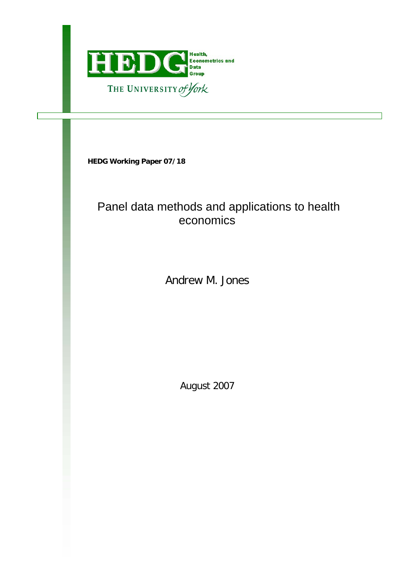

**HEDG Working Paper 07/18** 

# Panel data methods and applications to health economics

Andrew M. Jones

August 2007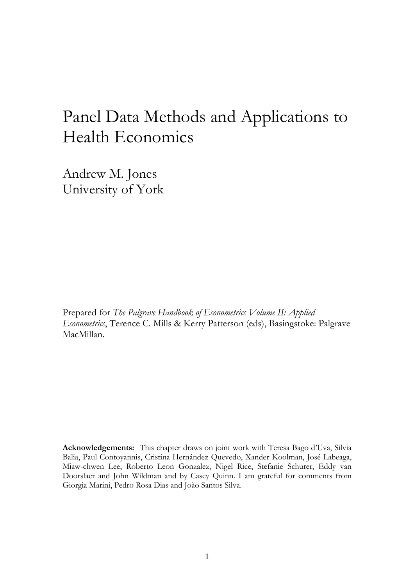# Panel Data Methods and Applications to Health Economics

Andrew M. Jones University of York

Prepared for *The Palgrave Handbook of Econometrics Volume II: Applied Econometrics*, Terence C. Mills & Kerry Patterson (eds), Basingstoke: Palgrave MacMillan.

**Acknowledgements:** This chapter draws on joint work with Teresa Bago d'Uva, Silvia Balia, Paul Contoyannis, Cristina Hernández Quevedo, Xander Koolman, José Labeaga, Miaw-chwen Lee, Roberto Leon Gonzalez, Nigel Rice, Stefanie Schurer, Eddy van Doorslaer and John Wildman and by Casey Quinn. I am grateful for comments from Giorgia Marini, Pedro Rosa Dias and João Santos Silva.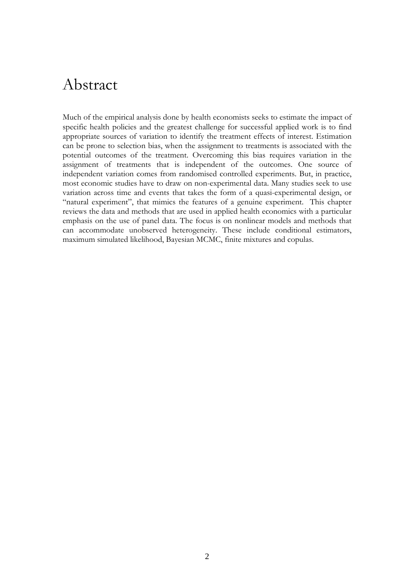# Abstract

Much of the empirical analysis done by health economists seeks to estimate the impact of specific health policies and the greatest challenge for successful applied work is to find appropriate sources of variation to identify the treatment effects of interest. Estimation can be prone to selection bias, when the assignment to treatments is associated with the potential outcomes of the treatment. Overcoming this bias requires variation in the assignment of treatments that is independent of the outcomes. One source of independent variation comes from randomised controlled experiments. But, in practice, most economic studies have to draw on non-experimental data. Many studies seek to use variation across time and events that takes the form of a quasi-experimental design, or "natural experiment", that mimics the features of a genuine experiment. This chapter reviews the data and methods that are used in applied health economics with a particular emphasis on the use of panel data. The focus is on nonlinear models and methods that can accommodate unobserved heterogeneity. These include conditional estimators, maximum simulated likelihood, Bayesian MCMC, finite mixtures and copulas.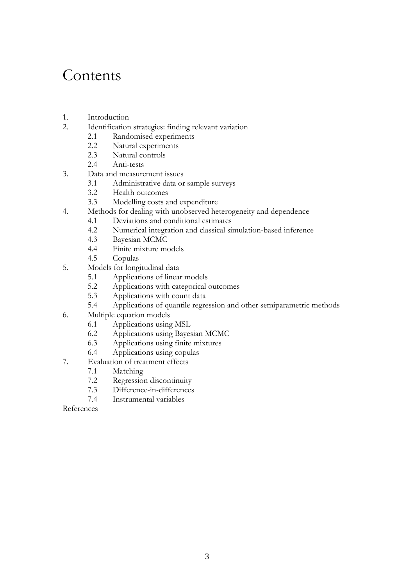# Contents

- 1. Introduction
- 2. Identification strategies: finding relevant variation
	- 2.1 Randomised experiments
	- 2.2 Natural experiments
	- 2.3 Natural controls
	- 2.4 Anti-tests
- 3. Data and measurement issues
	- 3.1 Administrative data or sample surveys
	- 3.2 Health outcomes
	- 3.3 Modelling costs and expenditure
- 4. Methods for dealing with unobserved heterogeneity and dependence
	- 4.1 Deviations and conditional estimates
	- 4.2 Numerical integration and classical simulation-based inference
	- 4.3 Bayesian MCMC
	- 4.4 Finite mixture models
	- 4.5 Copulas
- 5. Models for longitudinal data
	- 5.1 Applications of linear models
	- 5.2 Applications with categorical outcomes
	- 5.3 Applications with count data
	- 5.4 Applications of quantile regression and other semiparametric methods
- 6. Multiple equation models
	- 6.1 Applications using MSL
	- 6.2 Applications using Bayesian MCMC
	- 6.3 Applications using finite mixtures
	- 6.4 Applications using copulas
- 7. Evaluation of treatment effects
	- 7.1 Matching
	- 7.2 Regression discontinuity
	- 7.3 Difference-in-differences
	- 7.4 Instrumental variables

References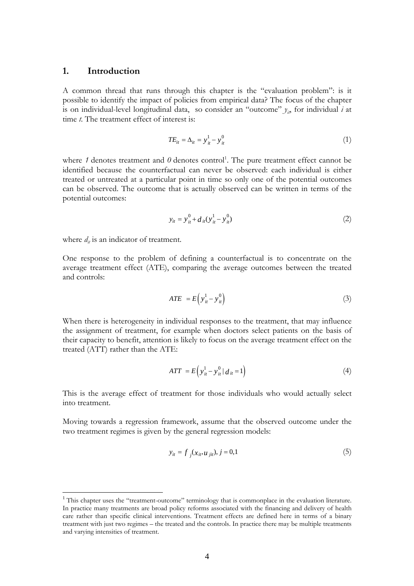## **1. Introduction**

A common thread that runs through this chapter is the "evaluation problem": is it possible to identify the impact of policies from empirical data? The focus of the chapter is on individual-level longitudinal data, so consider an "outcome"  $y_{ip}$  for individual *i* at time *t*. The treatment effect of interest is:

$$
TE_{it} = \Delta_{it} = y_{it}^1 - y_{it}^0 \tag{1}
$$

where 1 denotes treatment and  $0$  denotes control<sup>1</sup>. The pure treatment effect cannot be identified because the counterfactual can never be observed: each individual is either treated or untreated at a particular point in time so only one of the potential outcomes can be observed. The outcome that is actually observed can be written in terms of the potential outcomes:

$$
y_{it} = y_{it}^{0} + d_{it}(y_{it}^{1} - y_{it}^{0})
$$
 (2)

where  $d_i$  is an indicator of treatment.

 $\overline{a}$ 

One response to the problem of defining a counterfactual is to concentrate on the average treatment effect (ATE), comparing the average outcomes between the treated and controls:

$$
ATE = E\left(y_{it}^1 - y_{it}^0\right) \tag{3}
$$

When there is heterogeneity in individual responses to the treatment, that may influence the assignment of treatment, for example when doctors select patients on the basis of their capacity to benefit, attention is likely to focus on the average treatment effect on the treated (ATT) rather than the ATE:

$$
ATT = E(y_{it}^{1} - y_{it}^{0} | d_{it} = 1)
$$
\n(4)

This is the average effect of treatment for those individuals who would actually select into treatment.

Moving towards a regression framework, assume that the observed outcome under the two treatment regimes is given by the general regression models:

$$
y_{it} = f_j(x_{it}, u_{jit}), j = 0, 1
$$
 (5)

<sup>&</sup>lt;sup>1</sup> This chapter uses the "treatment-outcome" terminology that is commonplace in the evaluation literature. In practice many treatments are broad policy reforms associated with the financing and delivery of health care rather than specific clinical interventions. Treatment effects are defined here in terms of a binary treatment with just two regimes – the treated and the controls. In practice there may be multiple treatments and varying intensities of treatment.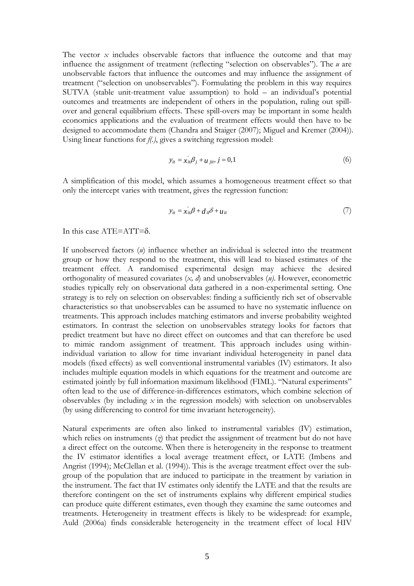The vector  $x$  includes observable factors that influence the outcome and that may influence the assignment of treatment (reflecting "selection on observables"). The *u* are unobservable factors that influence the outcomes and may influence the assignment of treatment ("selection on unobservables"). Formulating the problem in this way requires SUTVA (stable unit-treatment value assumption) to hold – an individual's potential outcomes and treatments are independent of others in the population, ruling out spillover and general equilibrium effects. These spill-overs may be important in some health economics applications and the evaluation of treatment effects would then have to be designed to accommodate them (Chandra and Staiger (2007); Miguel and Kremer (2004)). Using linear functions for *f(.)*, gives a switching regression model:

$$
y_{it} = x_{it} \beta_j + u_{jit}, j = 0, 1
$$
 (6)

A simplification of this model, which assumes a homogeneous treatment effect so that only the intercept varies with treatment, gives the regression function:

$$
y_{it} = x_{it}\beta + d_{it}\delta + u_{it} \tag{7}
$$

In this case  $ATE = ATT = δ$ .

If unobserved factors (*u*) influence whether an individual is selected into the treatment group or how they respond to the treatment, this will lead to biased estimates of the treatment effect. A randomised experimental design may achieve the desired orthogonality of measured covariates (*x, d*) and unobservables (*u)*. However, econometric studies typically rely on observational data gathered in a non-experimental setting. One strategy is to rely on selection on observables: finding a sufficiently rich set of observable characteristics so that unobservables can be assumed to have no systematic influence on treatments. This approach includes matching estimators and inverse probability weighted estimators. In contrast the selection on unobservables strategy looks for factors that predict treatment but have no direct effect on outcomes and that can therefore be used to mimic random assignment of treatment. This approach includes using withinindividual variation to allow for time invariant individual heterogeneity in panel data models (fixed effects) as well conventional instrumental variables (IV) estimators. It also includes multiple equation models in which equations for the treatment and outcome are estimated jointly by full information maximum likelihood (FIML). "Natural experiments" often lead to the use of difference-in-differences estimators, which combine selection of observables (by including *x* in the regression models) with selection on unobservables (by using differencing to control for time invariant heterogeneity).

Natural experiments are often also linked to instrumental variables (IV) estimation, which relies on instruments (*z*) that predict the assignment of treatment but do not have a direct effect on the outcome. When there is heterogeneity in the response to treatment the IV estimator identifies a local average treatment effect, or LATE (Imbens and Angrist (1994); McClellan et al. (1994)). This is the average treatment effect over the subgroup of the population that are induced to participate in the treatment by variation in the instrument. The fact that IV estimates only identify the LATE and that the results are therefore contingent on the set of instruments explains why different empirical studies can produce quite different estimates, even though they examine the same outcomes and treatments. Heterogeneity in treatment effects is likely to be widespread: for example, Auld (2006a) finds considerable heterogeneity in the treatment effect of local HIV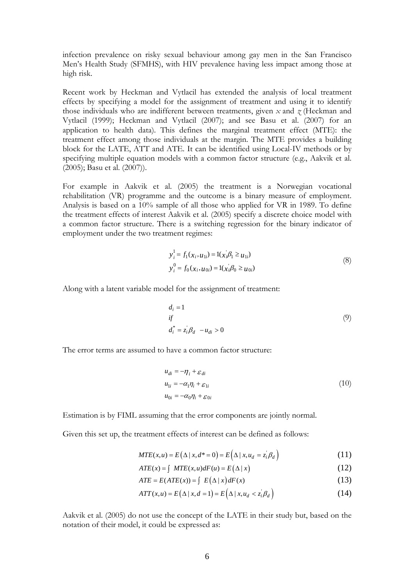infection prevalence on risky sexual behaviour among gay men in the San Francisco Men's Health Study (SFMHS), with HIV prevalence having less impact among those at high risk.

Recent work by Heckman and Vytlacil has extended the analysis of local treatment effects by specifying a model for the assignment of treatment and using it to identify those individuals who are indifferent between treatments, given *x* and *z* (Heckman and Vytlacil (1999); Heckman and Vytlacil (2007); and see Basu et al. (2007) for an application to health data). This defines the marginal treatment effect (MTE): the treatment effect among those individuals at the margin. The MTE provides a building block for the LATE, ATT and ATE. It can be identified using Local-IV methods or by specifying multiple equation models with a common factor structure (e.g., Aakvik et al. (2005); Basu et al. (2007)).

For example in Aakvik et al. (2005) the treatment is a Norwegian vocational rehabilitation (VR) programme and the outcome is a binary measure of employment. Analysis is based on a 10% sample of all those who applied for VR in 1989. To define the treatment effects of interest Aakvik et al. (2005) specify a discrete choice model with a common factor structure. There is a switching regression for the binary indicator of employment under the two treatment regimes:

$$
y_i^1 = f_1(x_i, u_{1i}) = 1(x_i \beta_1 \ge u_{1i})
$$
  
\n
$$
y_i^0 = f_0(x_i, u_{0i}) = 1(x_i \beta_0 \ge u_{0i})
$$
\n(8)

Along with a latent variable model for the assignment of treatment:

$$
d_i = 1
$$
  
if  

$$
d_i^* = z_i^{\dagger} \beta_d - u_{di} > 0
$$
 (9)

The error terms are assumed to have a common factor structure:

$$
u_{di} = -\eta_i + \varepsilon_{di}
$$
  
\n
$$
u_{1i} = -\alpha_1 \eta_i + \varepsilon_{1i}
$$
  
\n
$$
u_{0i} = -\alpha_0 \eta_i + \varepsilon_{0i}
$$
\n(10)

Estimation is by FIML assuming that the error components are jointly normal.

Given this set up, the treatment effects of interest can be defined as follows:

$$
MTE(x, u) = E(\Delta | x, d^* = 0) = E(\Delta | x, u_d = z_i \beta_d)
$$
\n(11)

$$
ATE(x) = \int MTE(x, u)dF(u) = E(\Delta | x)
$$
\n(12)

$$
ATE = E(ATE(x)) = \int E(\Delta | x) dF(x)
$$
\n(13)

$$
ATT(x, u) = E(\Delta | x, d = 1) = E(\Delta | x, u_d < z_i \beta_d)
$$
\n
$$
(14)
$$

Aakvik et al. (2005) do not use the concept of the LATE in their study but, based on the notation of their model, it could be expressed as: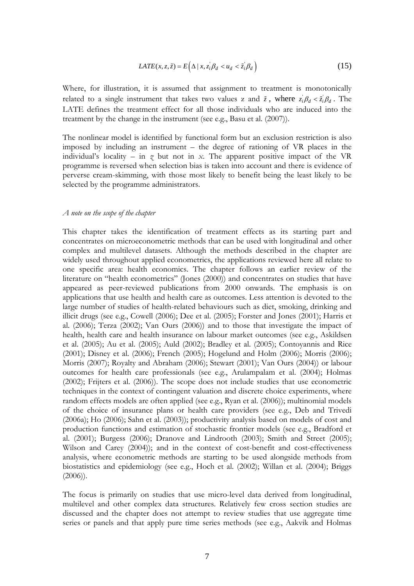$$
LATE(x, z, \tilde{z}) = E\left(\Delta \mid x, z_i \beta_d < u_d < \tilde{z}_i \beta_d\right) \tag{15}
$$

Where, for illustration, it is assumed that assignment to treatment is monotonically related to a single instrument that takes two values z and  $\tilde{z}$ , where  $z_i \beta_d < \tilde{z}_i \beta_d$ . The LATE defines the treatment effect for all those individuals who are induced into the treatment by the change in the instrument (see e.g., Basu et al. (2007)).

The nonlinear model is identified by functional form but an exclusion restriction is also imposed by including an instrument – the degree of rationing of VR places in the individual's locality – in  $\alpha$  but not in  $\alpha$ . The apparent positive impact of the VR programme is reversed when selection bias is taken into account and there is evidence of perverse cream-skimming, with those most likely to benefit being the least likely to be selected by the programme administrators.

#### *A note on the scope of the chapter*

This chapter takes the identification of treatment effects as its starting part and concentrates on microeconometric methods that can be used with longitudinal and other complex and multilevel datasets. Although the methods described in the chapter are widely used throughout applied econometrics, the applications reviewed here all relate to one specific area: health economics. The chapter follows an earlier review of the literature on "health econometrics" (Jones (2000)) and concentrates on studies that have appeared as peer-reviewed publications from 2000 onwards. The emphasis is on applications that use health and health care as outcomes. Less attention is devoted to the large number of studies of health-related behaviours such as diet, smoking, drinking and illicit drugs (see e.g., Cowell (2006); Dee et al. (2005); Forster and Jones (2001); Harris et al. (2006); Terza (2002); Van Ours (2006)) and to those that investigate the impact of health, health care and health insurance on labour market outcomes (see e.g., Askildsen et al. (2005); Au et al. (2005); Auld (2002); Bradley et al. (2005); Contoyannis and Rice (2001); Disney et al. (2006); French (2005); Hogelund and Holm (2006); Morris (2006); Morris (2007); Royalty and Abraham (2006); Stewart (2001); Van Ours (2004)) or labour outcomes for health care professionals (see e.g., Arulampalam et al. (2004); Holmas (2002); Frijters et al. (2006)). The scope does not include studies that use econometric techniques in the context of contingent valuation and discrete choice experiments, where random effects models are often applied (see e.g., Ryan et al. (2006)); multinomial models of the choice of insurance plans or health care providers (see e.g., Deb and Trivedi (2006a); Ho (2006); Sahn et al. (2003)); productivity analysis based on models of cost and production functions and estimation of stochastic frontier models (see e.g., Bradford et al. (2001); Burgess (2006); Dranove and Lindrooth (2003); Smith and Street (2005); Wilson and Carey (2004)); and in the context of cost-benefit and cost-effectiveness analysis, where econometric methods are starting to be used alongside methods from biostatistics and epidemiology (see e.g., Hoch et al. (2002); Willan et al. (2004); Briggs  $(2006)$ ).

The focus is primarily on studies that use micro-level data derived from longitudinal, multilevel and other complex data structures. Relatively few cross section studies are discussed and the chapter does not attempt to review studies that use aggregate time series or panels and that apply pure time series methods (see e.g., Aakvik and Holmas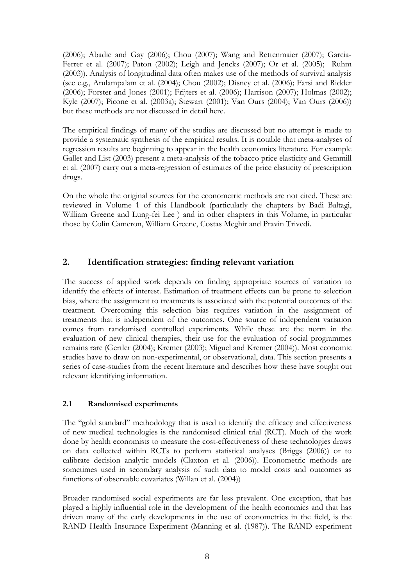(2006); Abadie and Gay (2006); Chou (2007); Wang and Rettenmaier (2007); Garcia-Ferrer et al. (2007); Paton (2002); Leigh and Jencks (2007); Or et al. (2005); Ruhm (2003)). Analysis of longitudinal data often makes use of the methods of survival analysis (see e.g., Arulampalam et al. (2004); Chou (2002); Disney et al. (2006); Farsi and Ridder (2006); Forster and Jones (2001); Frijters et al. (2006); Harrison (2007); Holmas (2002); Kyle (2007); Picone et al. (2003a); Stewart (2001); Van Ours (2004); Van Ours (2006)) but these methods are not discussed in detail here.

The empirical findings of many of the studies are discussed but no attempt is made to provide a systematic synthesis of the empirical results. It is notable that meta-analyses of regression results are beginning to appear in the health economics literature. For example Gallet and List (2003) present a meta-analysis of the tobacco price elasticity and Gemmill et al. (2007) carry out a meta-regression of estimates of the price elasticity of prescription drugs.

On the whole the original sources for the econometric methods are not cited. These are reviewed in Volume 1 of this Handbook (particularly the chapters by Badi Baltagi, William Greene and Lung-fei Lee ) and in other chapters in this Volume, in particular those by Colin Cameron, William Greene, Costas Meghir and Pravin Trivedi.

# **2. Identification strategies: finding relevant variation**

The success of applied work depends on finding appropriate sources of variation to identify the effects of interest. Estimation of treatment effects can be prone to selection bias, where the assignment to treatments is associated with the potential outcomes of the treatment. Overcoming this selection bias requires variation in the assignment of treatments that is independent of the outcomes. One source of independent variation comes from randomised controlled experiments. While these are the norm in the evaluation of new clinical therapies, their use for the evaluation of social programmes remains rare (Gertler (2004); Kremer (2003); Miguel and Kremer (2004)). Most economic studies have to draw on non-experimental, or observational, data. This section presents a series of case-studies from the recent literature and describes how these have sought out relevant identifying information.

# **2.1 Randomised experiments**

The "gold standard" methodology that is used to identify the efficacy and effectiveness of new medical technologies is the randomised clinical trial (RCT). Much of the work done by health economists to measure the cost-effectiveness of these technologies draws on data collected within RCTs to perform statistical analyses (Briggs (2006)) or to calibrate decision analytic models (Claxton et al. (2006)). Econometric methods are sometimes used in secondary analysis of such data to model costs and outcomes as functions of observable covariates (Willan et al. (2004))

Broader randomised social experiments are far less prevalent. One exception, that has played a highly influential role in the development of the health economics and that has driven many of the early developments in the use of econometrics in the field, is the RAND Health Insurance Experiment (Manning et al. (1987)). The RAND experiment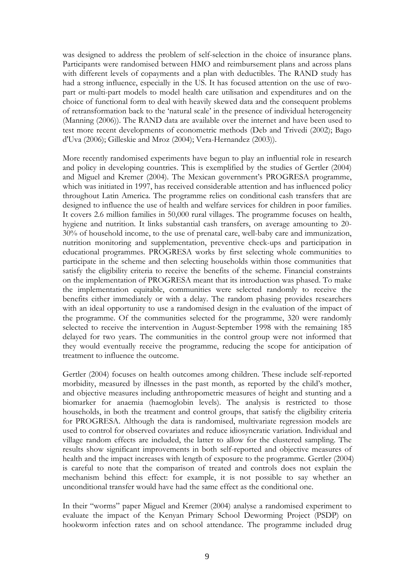was designed to address the problem of self-selection in the choice of insurance plans. Participants were randomised between HMO and reimbursement plans and across plans with different levels of copayments and a plan with deductibles. The RAND study has had a strong influence, especially in the US. It has focused attention on the use of twopart or multi-part models to model health care utilisation and expenditures and on the choice of functional form to deal with heavily skewed data and the consequent problems of retransformation back to the 'natural scale' in the presence of individual heterogeneity (Manning (2006)). The RAND data are available over the internet and have been used to test more recent developments of econometric methods (Deb and Trivedi (2002); Bago d'Uva (2006); Gilleskie and Mroz (2004); Vera-Hernandez (2003)).

More recently randomised experiments have begun to play an influential role in research and policy in developing countries. This is exemplified by the studies of Gertler (2004) and Miguel and Kremer (2004). The Mexican government's PROGRESA programme, which was initiated in 1997, has received considerable attention and has influenced policy throughout Latin America. The programme relies on conditional cash transfers that are designed to influence the use of health and welfare services for children in poor families. It covers 2.6 million families in 50,000 rural villages. The programme focuses on health, hygiene and nutrition. It links substantial cash transfers, on average amounting to 20- 30% of household income, to the use of prenatal care, well-baby care and immunization, nutrition monitoring and supplementation, preventive check-ups and participation in educational programmes. PROGRESA works by first selecting whole communities to participate in the scheme and then selecting households within those communities that satisfy the eligibility criteria to receive the benefits of the scheme. Financial constraints on the implementation of PROGRESA meant that its introduction was phased. To make the implementation equitable, communities were selected randomly to receive the benefits either immediately or with a delay. The random phasing provides researchers with an ideal opportunity to use a randomised design in the evaluation of the impact of the programme. Of the communities selected for the programme, 320 were randomly selected to receive the intervention in August-September 1998 with the remaining 185 delayed for two years. The communities in the control group were not informed that they would eventually receive the programme, reducing the scope for anticipation of treatment to influence the outcome.

Gertler (2004) focuses on health outcomes among children. These include self-reported morbidity, measured by illnesses in the past month, as reported by the child's mother, and objective measures including anthropometric measures of height and stunting and a biomarker for anaemia (haemoglobin levels). The analysis is restricted to those households, in both the treatment and control groups, that satisfy the eligibility criteria for PROGRESA. Although the data is randomised, multivariate regression models are used to control for observed covariates and reduce idiosyncratic variation. Individual and village random effects are included, the latter to allow for the clustered sampling. The results show significant improvements in both self-reported and objective measures of health and the impact increases with length of exposure to the programme. Gertler (2004) is careful to note that the comparison of treated and controls does not explain the mechanism behind this effect: for example, it is not possible to say whether an unconditional transfer would have had the same effect as the conditional one.

In their "worms" paper Miguel and Kremer (2004) analyse a randomised experiment to evaluate the impact of the Kenyan Primary School Deworming Project (PSDP) on hookworm infection rates and on school attendance. The programme included drug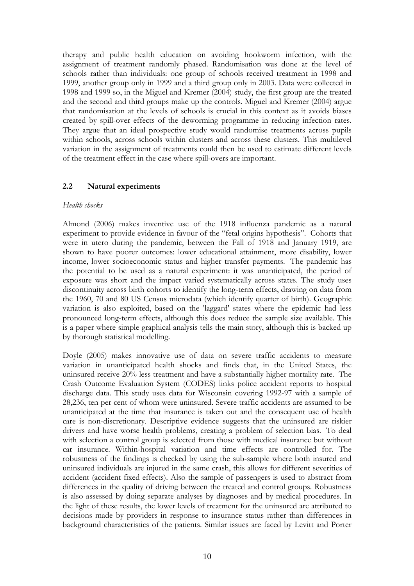therapy and public health education on avoiding hookworm infection, with the assignment of treatment randomly phased. Randomisation was done at the level of schools rather than individuals: one group of schools received treatment in 1998 and 1999, another group only in 1999 and a third group only in 2003. Data were collected in 1998 and 1999 so, in the Miguel and Kremer (2004) study, the first group are the treated and the second and third groups make up the controls. Miguel and Kremer (2004) argue that randomisation at the levels of schools is crucial in this context as it avoids biases created by spill-over effects of the deworming programme in reducing infection rates. They argue that an ideal prospective study would randomise treatments across pupils within schools, across schools within clusters and across these clusters. This multilevel variation in the assignment of treatments could then be used to estimate different levels of the treatment effect in the case where spill-overs are important.

## **2.2 Natural experiments**

#### *Health shocks*

Almond (2006) makes inventive use of the 1918 influenza pandemic as a natural experiment to provide evidence in favour of the "fetal origins hypothesis". Cohorts that were in utero during the pandemic, between the Fall of 1918 and January 1919, are shown to have poorer outcomes: lower educational attainment, more disability, lower income, lower socioeconomic status and higher transfer payments. The pandemic has the potential to be used as a natural experiment: it was unanticipated, the period of exposure was short and the impact varied systematically across states. The study uses discontinuity across birth cohorts to identify the long-term effects, drawing on data from the 1960, 70 and 80 US Census microdata (which identify quarter of birth). Geographic variation is also exploited, based on the 'laggard' states where the epidemic had less pronounced long-term effects, although this does reduce the sample size available. This is a paper where simple graphical analysis tells the main story, although this is backed up by thorough statistical modelling.

Doyle (2005) makes innovative use of data on severe traffic accidents to measure variation in unanticipated health shocks and finds that, in the United States, the uninsured receive 20% less treatment and have a substantially higher mortality rate. The Crash Outcome Evaluation System (CODES) links police accident reports to hospital discharge data. This study uses data for Wisconsin covering 1992-97 with a sample of 28,236, ten per cent of whom were uninsured. Severe traffic accidents are assumed to be unanticipated at the time that insurance is taken out and the consequent use of health care is non-discretionary. Descriptive evidence suggests that the uninsured are riskier drivers and have worse health problems, creating a problem of selection bias. To deal with selection a control group is selected from those with medical insurance but without car insurance. Within-hospital variation and time effects are controlled for. The robustness of the findings is checked by using the sub-sample where both insured and uninsured individuals are injured in the same crash, this allows for different severities of accident (accident fixed effects). Also the sample of passengers is used to abstract from differences in the quality of driving between the treated and control groups. Robustness is also assessed by doing separate analyses by diagnoses and by medical procedures. In the light of these results, the lower levels of treatment for the uninsured are attributed to decisions made by providers in response to insurance status rather than differences in background characteristics of the patients. Similar issues are faced by Levitt and Porter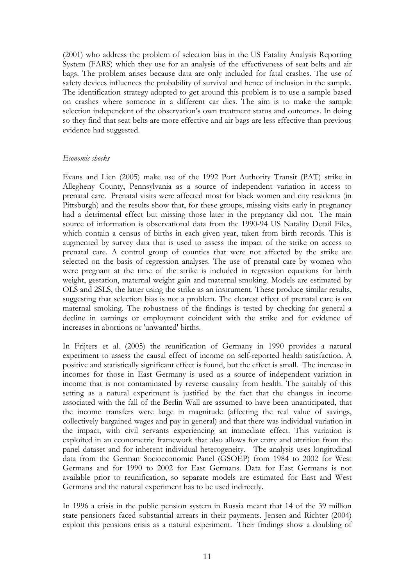(2001) who address the problem of selection bias in the US Fatality Analysis Reporting System (FARS) which they use for an analysis of the effectiveness of seat belts and air bags. The problem arises because data are only included for fatal crashes. The use of safety devices influences the probability of survival and hence of inclusion in the sample. The identification strategy adopted to get around this problem is to use a sample based on crashes where someone in a different car dies. The aim is to make the sample selection independent of the observation's own treatment status and outcomes. In doing so they find that seat belts are more effective and air bags are less effective than previous evidence had suggested.

#### *Economic shocks*

Evans and Lien (2005) make use of the 1992 Port Authority Transit (PAT) strike in Allegheny County, Pennsylvania as a source of independent variation in access to prenatal care. Prenatal visits were affected most for black women and city residents (in Pittsburgh) and the results show that, for these groups, missing visits early in pregnancy had a detrimental effect but missing those later in the pregnancy did not. The main source of information is observational data from the 1990-94 US Natality Detail Files, which contain a census of births in each given year, taken from birth records. This is augmented by survey data that is used to assess the impact of the strike on access to prenatal care. A control group of counties that were not affected by the strike are selected on the basis of regression analyses. The use of prenatal care by women who were pregnant at the time of the strike is included in regression equations for birth weight, gestation, maternal weight gain and maternal smoking. Models are estimated by OLS and 2SLS, the latter using the strike as an instrument. These produce similar results, suggesting that selection bias is not a problem. The clearest effect of prenatal care is on maternal smoking. The robustness of the findings is tested by checking for general a decline in earnings or employment coincident with the strike and for evidence of increases in abortions or 'unwanted' births.

In Frijters et al. (2005) the reunification of Germany in 1990 provides a natural experiment to assess the causal effect of income on self-reported health satisfaction. A positive and statistically significant effect is found, but the effect is small. The increase in incomes for those in East Germany is used as a source of independent variation in income that is not contaminated by reverse causality from health. The suitably of this setting as a natural experiment is justified by the fact that the changes in income associated with the fall of the Berlin Wall are assumed to have been unanticipated, that the income transfers were large in magnitude (affecting the real value of savings, collectively bargained wages and pay in general) and that there was individual variation in the impact, with civil servants experiencing an immediate effect. This variation is exploited in an econometric framework that also allows for entry and attrition from the panel dataset and for inherent individual heterogeneity. The analysis uses longitudinal data from the German Socioeconomic Panel (GSOEP) from 1984 to 2002 for West Germans and for 1990 to 2002 for East Germans. Data for East Germans is not available prior to reunification, so separate models are estimated for East and West Germans and the natural experiment has to be used indirectly.

In 1996 a crisis in the public pension system in Russia meant that 14 of the 39 million state pensioners faced substantial arrears in their payments. Jensen and Richter (2004) exploit this pensions crisis as a natural experiment. Their findings show a doubling of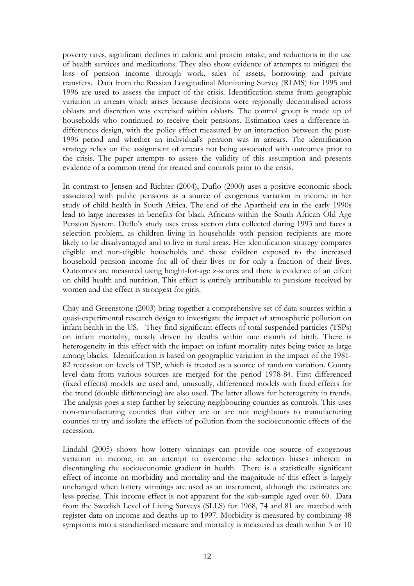poverty rates, significant declines in calorie and protein intake, and reductions in the use of health services and medications. They also show evidence of attempts to mitigate the loss of pension income through work, sales of assets, borrowing and private transfers. Data from the Russian Longitudinal Monitoring Survey (RLMS) for 1995 and 1996 are used to assess the impact of the crisis. Identification stems from geographic variation in arrears which arises because decisions were regionally decentralised across oblasts and discretion was exercised within oblasts. The control group is made up of households who continued to receive their pensions. Estimation uses a difference-indifferences design, with the policy effect measured by an interaction between the post-1996 period and whether an individual's pension was in arrears. The identification strategy relies on the assignment of arrears not being associated with outcomes prior to the crisis. The paper attempts to assess the validity of this assumption and presents evidence of a common trend for treated and controls prior to the crisis.

In contrast to Jensen and Richter (2004), Duflo (2000) uses a positive economic shock associated with public pensions as a source of exogenous variation in income in her study of child health in South Africa. The end of the Apartheid era in the early 1990s lead to large increases in benefits for black Africans within the South African Old Age Pension System. Duflo's study uses cross section data collected during 1993 and faces a selection problem, as children living in households with pension recipients are more likely to be disadvantaged and to live in rural areas. Her identification strategy compares eligible and non-eligible households and those children exposed to the increased household pension income for all of their lives or for only a fraction of their lives. Outcomes are measured using height-for-age z-scores and there is evidence of an effect on child health and nutrition. This effect is entirely attributable to pensions received by women and the effect is strongest for girls.

Chay and Greenstone (2003) bring together a comprehensive set of data sources within a quasi-experimental research design to investigate the impact of atmospheric pollution on infant health in the US. They find significant effects of total suspended particles (TSPs) on infant mortality, mostly driven by deaths within one month of birth. There is heterogeneity in this effect with the impact on infant mortality rates being twice as large among blacks. Identification is based on geographic variation in the impact of the 1981- 82 recession on levels of TSP, which is treated as a source of random variation. County level data from various sources are merged for the period 1978-84. First differenced (fixed effects) models are used and, unusually, differenced models with fixed effects for the trend (double differencing) are also used. The latter allows for heterogenity in trends. The analysis goes a step further by selecting neighbouring counties as controls. This uses non-manufacturing counties that either are or are not neighbours to manufacturing counties to try and isolate the effects of pollution from the socioeconomic effects of the recession.

Lindahl (2005) shows how lottery winnings can provide one source of exogenous variation in income, in an attempt to overcome the selection biases inherent in disentangling the socioeconomic gradient in health. There is a statistically significant effect of income on morbidity and mortality and the magnitude of this effect is largely unchanged when lottery winnings are used as an instrument, although the estimates are less precise. This income effect is not apparent for the sub-sample aged over 60. Data from the Swedish Level of Living Surveys (SLLS) for 1968, 74 and 81 are matched with register data on income and deaths up to 1997. Morbidity is measured by combining 48 symptoms into a standardised measure and mortality is measured as death within 5 or 10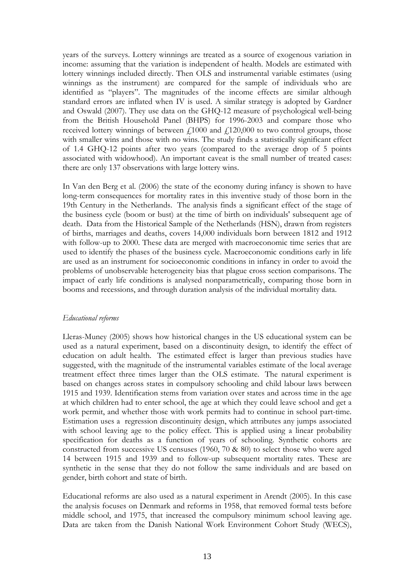years of the surveys. Lottery winnings are treated as a source of exogenous variation in income: assuming that the variation is independent of health. Models are estimated with lottery winnings included directly. Then OLS and instrumental variable estimates (using winnings as the instrument) are compared for the sample of individuals who are identified as "players". The magnitudes of the income effects are similar although standard errors are inflated when IV is used. A similar strategy is adopted by Gardner and Oswald (2007). They use data on the GHQ-12 measure of psychological well-being from the British Household Panel (BHPS) for 1996-2003 and compare those who received lottery winnings of between  $\ell$ 1000 and  $\ell$ 120,000 to two control groups, those with smaller wins and those with no wins. The study finds a statistically significant effect of 1.4 GHQ-12 points after two years (compared to the average drop of 5 points associated with widowhood). An important caveat is the small number of treated cases: there are only 137 observations with large lottery wins.

In Van den Berg et al. (2006) the state of the economy during infancy is shown to have long-term consequences for mortality rates in this inventive study of those born in the 19th Century in the Netherlands. The analysis finds a significant effect of the stage of the business cycle (boom or bust) at the time of birth on individuals' subsequent age of death. Data from the Historical Sample of the Netherlands (HSN), drawn from registers of births, marriages and deaths, covers 14,000 individuals born between 1812 and 1912 with follow-up to 2000. These data are merged with macroeconomic time series that are used to identify the phases of the business cycle. Macroeconomic conditions early in life are used as an instrument for socioeconomic conditions in infancy in order to avoid the problems of unobservable heterogeneity bias that plague cross section comparisons. The impact of early life conditions is analysed nonparametrically, comparing those born in booms and recessions, and through duration analysis of the individual mortality data.

# *Educational reforms*

Lleras-Muney (2005) shows how historical changes in the US educational system can be used as a natural experiment, based on a discontinuity design, to identify the effect of education on adult health. The estimated effect is larger than previous studies have suggested, with the magnitude of the instrumental variables estimate of the local average treatment effect three times larger than the OLS estimate. The natural experiment is based on changes across states in compulsory schooling and child labour laws between 1915 and 1939. Identification stems from variation over states and across time in the age at which children had to enter school, the age at which they could leave school and get a work permit, and whether those with work permits had to continue in school part-time. Estimation uses a regression discontinuity design, which attributes any jumps associated with school leaving age to the policy effect. This is applied using a linear probability specification for deaths as a function of years of schooling. Synthetic cohorts are constructed from successive US censuses (1960, 70 & 80) to select those who were aged 14 between 1915 and 1939 and to follow-up subsequent mortality rates. These are synthetic in the sense that they do not follow the same individuals and are based on gender, birth cohort and state of birth.

Educational reforms are also used as a natural experiment in Arendt (2005). In this case the analysis focuses on Denmark and reforms in 1958, that removed formal tests before middle school, and 1975, that increased the compulsory minimum school leaving age. Data are taken from the Danish National Work Environment Cohort Study (WECS),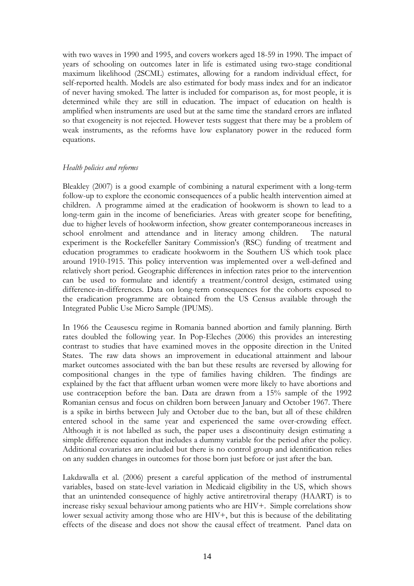with two waves in 1990 and 1995, and covers workers aged 18-59 in 1990. The impact of years of schooling on outcomes later in life is estimated using two-stage conditional maximum likelihood (2SCML) estimates, allowing for a random individual effect, for self-reported health. Models are also estimated for body mass index and for an indicator of never having smoked. The latter is included for comparison as, for most people, it is determined while they are still in education. The impact of education on health is amplified when instruments are used but at the same time the standard errors are inflated so that exogeneity is not rejected. However tests suggest that there may be a problem of weak instruments, as the reforms have low explanatory power in the reduced form equations.

## *Health policies and reforms*

Bleakley (2007) is a good example of combining a natural experiment with a long-term follow-up to explore the economic consequences of a public health intervention aimed at children. A programme aimed at the eradication of hookworm is shown to lead to a long-term gain in the income of beneficiaries. Areas with greater scope for benefiting, due to higher levels of hookworm infection, show greater contemporaneous increases in school enrolment and attendance and in literacy among children. The natural experiment is the Rockefeller Sanitary Commission's (RSC) funding of treatment and education programmes to eradicate hookworm in the Southern US which took place around 1910-1915. This policy intervention was implemented over a well-defined and relatively short period. Geographic differences in infection rates prior to the intervention can be used to formulate and identify a treatment/control design, estimated using difference-in-differences. Data on long-term consequences for the cohorts exposed to the eradication programme are obtained from the US Census available through the Integrated Public Use Micro Sample (IPUMS).

In 1966 the Ceausescu regime in Romania banned abortion and family planning. Birth rates doubled the following year. In Pop-Eleches (2006) this provides an interesting contrast to studies that have examined moves in the opposite direction in the United States. The raw data shows an improvement in educational attainment and labour market outcomes associated with the ban but these results are reversed by allowing for compositional changes in the type of families having children. The findings are explained by the fact that affluent urban women were more likely to have abortions and use contraception before the ban. Data are drawn from a 15% sample of the 1992 Romanian census and focus on children born between January and October 1967. There is a spike in births between July and October due to the ban, but all of these children entered school in the same year and experienced the same over-crowding effect. Although it is not labelled as such, the paper uses a discontinuity design estimating a simple difference equation that includes a dummy variable for the period after the policy. Additional covariates are included but there is no control group and identification relies on any sudden changes in outcomes for those born just before or just after the ban.

Lakdawalla et al. (2006) present a careful application of the method of instrumental variables, based on state-level variation in Medicaid eligibility in the US, which shows that an unintended consequence of highly active antiretroviral therapy (HAART) is to increase risky sexual behaviour among patients who are HIV+. Simple correlations show lower sexual activity among those who are HIV+, but this is because of the debilitating effects of the disease and does not show the causal effect of treatment. Panel data on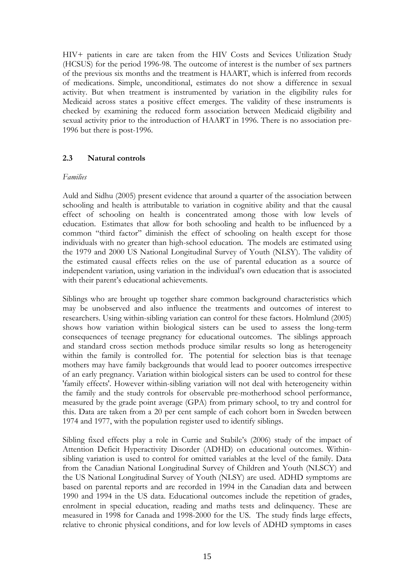HIV+ patients in care are taken from the HIV Costs and Sevices Utilization Study (HCSUS) for the period 1996-98. The outcome of interest is the number of sex partners of the previous six months and the treatment is HAART, which is inferred from records of medications. Simple, unconditional, estimates do not show a difference in sexual activity. But when treatment is instrumented by variation in the eligibility rules for Medicaid across states a positive effect emerges. The validity of these instruments is checked by examining the reduced form association between Medicaid eligibility and sexual activity prior to the introduction of HAART in 1996. There is no association pre-1996 but there is post-1996.

# **2.3 Natural controls**

## *Families*

Auld and Sidhu (2005) present evidence that around a quarter of the association between schooling and health is attributable to variation in cognitive ability and that the causal effect of schooling on health is concentrated among those with low levels of education. Estimates that allow for both schooling and health to be influenced by a common "third factor" diminish the effect of schooling on health except for those individuals with no greater than high-school education. The models are estimated using the 1979 and 2000 US National Longitudinal Survey of Youth (NLSY). The validity of the estimated causal effects relies on the use of parental education as a source of independent variation, using variation in the individual's own education that is associated with their parent's educational achievements.

Siblings who are brought up together share common background characteristics which may be unobserved and also influence the treatments and outcomes of interest to researchers. Using within-sibling variation can control for these factors. Holmlund (2005) shows how variation within biological sisters can be used to assess the long-term consequences of teenage pregnancy for educational outcomes. The siblings approach and standard cross section methods produce similar results so long as heterogeneity within the family is controlled for. The potential for selection bias is that teenage mothers may have family backgrounds that would lead to poorer outcomes irrespective of an early pregnancy. Variation within biological sisters can be used to control for these 'family effects'. However within-sibling variation will not deal with heterogeneity within the family and the study controls for observable pre-motherhood school performance, measured by the grade point average (GPA) from primary school, to try and control for this. Data are taken from a 20 per cent sample of each cohort born in Sweden between 1974 and 1977, with the population register used to identify siblings.

Sibling fixed effects play a role in Currie and Stabile's (2006) study of the impact of Attention Deficit Hyperactivity Disorder (ADHD) on educational outcomes. Withinsibling variation is used to control for omitted variables at the level of the family. Data from the Canadian National Longitudinal Survey of Children and Youth (NLSCY) and the US National Longitudinal Survey of Youth (NLSY) are used. ADHD symptoms are based on parental reports and are recorded in 1994 in the Canadian data and between 1990 and 1994 in the US data. Educational outcomes include the repetition of grades, enrolment in special education, reading and maths tests and delinquency. These are measured in 1998 for Canada and 1998-2000 for the US. The study finds large effects, relative to chronic physical conditions, and for low levels of ADHD symptoms in cases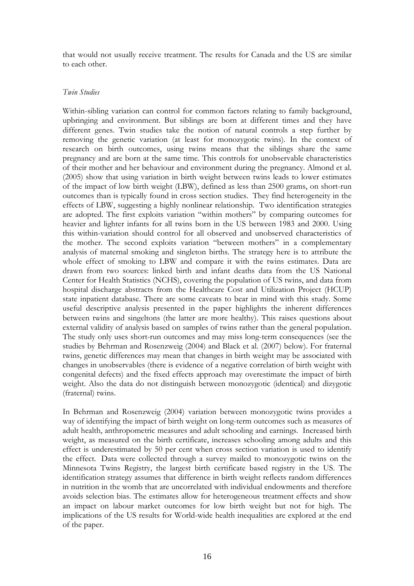that would not usually receive treatment. The results for Canada and the US are similar to each other.

#### *Twin Studies*

Within-sibling variation can control for common factors relating to family background, upbringing and environment. But siblings are born at different times and they have different genes. Twin studies take the notion of natural controls a step further by removing the genetic variation (at least for monozygotic twins). In the context of research on birth outcomes, using twins means that the siblings share the same pregnancy and are born at the same time. This controls for unobservable characteristics of their mother and her behaviour and environment during the pregnancy. Almond et al. (2005) show that using variation in birth weight between twins leads to lower estimates of the impact of low birth weight (LBW), defined as less than 2500 grams, on short-run outcomes than is typically found in cross section studies. They find heterogeneity in the effects of LBW, suggesting a highly nonlinear relationship. Two identification strategies are adopted. The first exploits variation "within mothers" by comparing outcomes for heavier and lighter infants for all twins born in the US between 1983 and 2000. Using this within-variation should control for all observed and unobserved characteristics of the mother. The second exploits variation "between mothers" in a complementary analysis of maternal smoking and singleton births. The strategy here is to attribute the whole effect of smoking to LBW and compare it with the twins estimates. Data are drawn from two sources: linked birth and infant deaths data from the US National Center for Health Statistics (NCHS), covering the population of US twins, and data from hospital discharge abstracts from the Healthcare Cost and Utilization Project (HCUP) state inpatient database. There are some caveats to bear in mind with this study. Some useful descriptive analysis presented in the paper highlights the inherent differences between twins and singeltons (the latter are more healthy). This raises questions about external validity of analysis based on samples of twins rather than the general population. The study only uses short-run outcomes and may miss long-term consequences (see the studies by Behrman and Rosenzweig (2004) and Black et al. (2007) below). For fraternal twins, genetic differences may mean that changes in birth weight may be associated with changes in unobservables (there is evidence of a negative correlation of birth weight with congenital defects) and the fixed effects approach may overestimate the impact of birth weight. Also the data do not distinguish between monozygotic (identical) and dizygotic (fraternal) twins.

In Behrman and Rosenzweig (2004) variation between monozygotic twins provides a way of identifying the impact of birth weight on long-term outcomes such as measures of adult health, anthropometric measures and adult schooling and earnings. Increased birth weight, as measured on the birth certificate, increases schooling among adults and this effect is underestimated by 50 per cent when cross section variation is used to identify the effect. Data were collected through a survey mailed to monozygotic twins on the Minnesota Twins Registry, the largest birth certificate based registry in the US. The identification strategy assumes that difference in birth weight reflects random differences in nutrition in the womb that are uncorrelated with individual endowments and therefore avoids selection bias. The estimates allow for heterogeneous treatment effects and show an impact on labour market outcomes for low birth weight but not for high. The implications of the US results for World-wide health inequalities are explored at the end of the paper.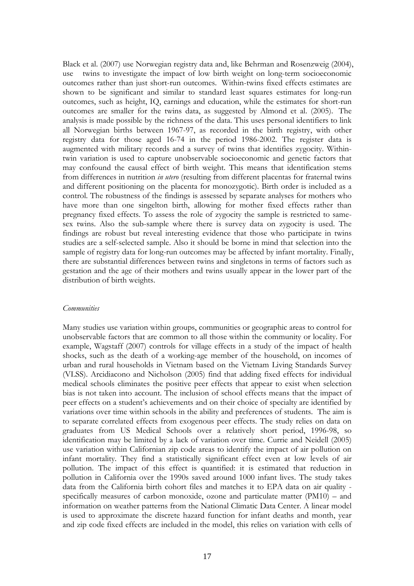Black et al. (2007) use Norwegian registry data and, like Behrman and Rosenzweig (2004), use twins to investigate the impact of low birth weight on long-term socioeconomic outcomes rather than just short-run outcomes. Within-twins fixed effects estimates are shown to be significant and similar to standard least squares estimates for long-run outcomes, such as height, IQ, earnings and education, while the estimates for short-run outcomes are smaller for the twins data, as suggested by Almond et al. (2005). The analysis is made possible by the richness of the data. This uses personal identifiers to link all Norwegian births between 1967-97, as recorded in the birth registry, with other registry data for those aged 16-74 in the period 1986-2002. The register data is augmented with military records and a survey of twins that identifies zygocity. Withintwin variation is used to capture unobservable socioeconomic and genetic factors that may confound the causal effect of birth weight. This means that identification stems from differences in nutrition *in utero* (resulting from different placentas for fraternal twins and different positioning on the placenta for monozygotic). Birth order is included as a control. The robustness of the findings is assessed by separate analyses for mothers who have more than one singelton birth, allowing for mother fixed effects rather than pregnancy fixed effects. To assess the role of zygocity the sample is restricted to samesex twins. Also the sub-sample where there is survey data on zygocity is used. The findings are robust but reveal interesting evidence that those who participate in twins studies are a self-selected sample. Also it should be borne in mind that selection into the sample of registry data for long-run outcomes may be affected by infant mortality. Finally, there are substantial differences between twins and singletons in terms of factors such as gestation and the age of their mothers and twins usually appear in the lower part of the distribution of birth weights.

#### *Communities*

Many studies use variation within groups, communities or geographic areas to control for unobservable factors that are common to all those within the community or locality. For example, Wagstaff (2007) controls for village effects in a study of the impact of health shocks, such as the death of a working-age member of the household, on incomes of urban and rural households in Vietnam based on the Vietnam Living Standards Survey (VLSS). Arcidiacono and Nicholson (2005) find that adding fixed effects for individual medical schools eliminates the positive peer effects that appear to exist when selection bias is not taken into account. The inclusion of school effects means that the impact of peer effects on a student's achievements and on their choice of specialty are identified by variations over time within schools in the ability and preferences of students. The aim is to separate correlated effects from exogenous peer effects. The study relies on data on graduates from US Medical Schools over a relatively short period, 1996-98, so identification may be limited by a lack of variation over time. Currie and Neidell (2005) use variation within Californian zip code areas to identify the impact of air pollution on infant mortality. They find a statistically significant effect even at low levels of air pollution. The impact of this effect is quantified: it is estimated that reduction in pollution in California over the 1990s saved around 1000 infant lives. The study takes data from the California birth cohort files and matches it to EPA data on air quality specifically measures of carbon monoxide, ozone and particulate matter (PM10) – and information on weather patterns from the National Climatic Data Center. A linear model is used to approximate the discrete hazard function for infant deaths and month, year and zip code fixed effects are included in the model, this relies on variation with cells of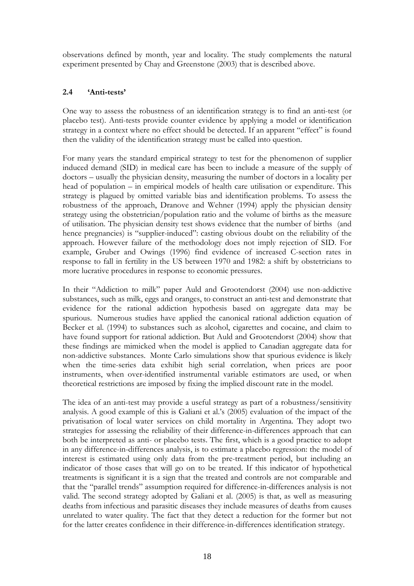observations defined by month, year and locality. The study complements the natural experiment presented by Chay and Greenstone (2003) that is described above.

# **2.4 'Anti-tests'**

One way to assess the robustness of an identification strategy is to find an anti-test (or placebo test). Anti-tests provide counter evidence by applying a model or identification strategy in a context where no effect should be detected. If an apparent "effect" is found then the validity of the identification strategy must be called into question.

For many years the standard empirical strategy to test for the phenomenon of supplier induced demand (SID) in medical care has been to include a measure of the supply of doctors – usually the physician density, measuring the number of doctors in a locality per head of population – in empirical models of health care utilisation or expenditure. This strategy is plagued by omitted variable bias and identification problems. To assess the robustness of the approach, Dranove and Wehner (1994) apply the physician density strategy using the obstetrician/population ratio and the volume of births as the measure of utilisation. The physician density test shows evidence that the number of births (and hence pregnancies) is "supplier-induced": casting obvious doubt on the reliability of the approach. However failure of the methodology does not imply rejection of SID. For example, Gruber and Owings (1996) find evidence of increased C-section rates in response to fall in fertility in the US between 1970 and 1982: a shift by obstetricians to more lucrative procedures in response to economic pressures.

In their "Addiction to milk" paper Auld and Grootendorst (2004) use non-addictive substances, such as milk, eggs and oranges, to construct an anti-test and demonstrate that evidence for the rational addiction hypothesis based on aggregate data may be spurious. Numerous studies have applied the canonical rational addiction equation of Becker et al. (1994) to substances such as alcohol, cigarettes and cocaine, and claim to have found support for rational addiction. But Auld and Grootendorst (2004) show that these findings are mimicked when the model is applied to Canadian aggregate data for non-addictive substances. Monte Carlo simulations show that spurious evidence is likely when the time-series data exhibit high serial correlation, when prices are poor instruments, when over-identified instrumental variable estimators are used, or when theoretical restrictions are imposed by fixing the implied discount rate in the model.

The idea of an anti-test may provide a useful strategy as part of a robustness/sensitivity analysis. A good example of this is Galiani et al.'s (2005) evaluation of the impact of the privatisation of local water services on child mortality in Argentina. They adopt two strategies for assessing the reliability of their difference-in-differences approach that can both be interpreted as anti- or placebo tests. The first, which is a good practice to adopt in any difference-in-differences analysis, is to estimate a placebo regression: the model of interest is estimated using only data from the pre-treatment period, but including an indicator of those cases that will go on to be treated. If this indicator of hypothetical treatments is significant it is a sign that the treated and controls are not comparable and that the "parallel trends" assumption required for difference-in-differences analysis is not valid. The second strategy adopted by Galiani et al. (2005) is that, as well as measuring deaths from infectious and parasitic diseases they include measures of deaths from causes unrelated to water quality. The fact that they detect a reduction for the former but not for the latter creates confidence in their difference-in-differences identification strategy.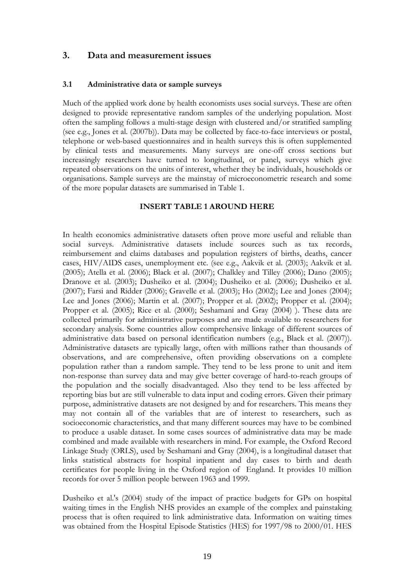# **3. Data and measurement issues**

#### **3.1 Administrative data or sample surveys**

Much of the applied work done by health economists uses social surveys. These are often designed to provide representative random samples of the underlying population. Most often the sampling follows a multi-stage design with clustered and/or stratified sampling (see e.g., Jones et al. (2007b)). Data may be collected by face-to-face interviews or postal, telephone or web-based questionnaires and in health surveys this is often supplemented by clinical tests and measurements. Many surveys are one-off cross sections but increasingly researchers have turned to longitudinal, or panel, surveys which give repeated observations on the units of interest, whether they be individuals, households or organisations. Sample surveys are the mainstay of microeconometric research and some of the more popular datasets are summarised in Table 1.

#### **INSERT TABLE 1 AROUND HERE**

In health economics administrative datasets often prove more useful and reliable than social surveys. Administrative datasets include sources such as tax records, reimbursement and claims databases and population registers of births, deaths, cancer cases, HIV/AIDS cases, unemployment etc. (see e.g., Aakvik et al. (2003); Aakvik et al. (2005); Atella et al. (2006); Black et al. (2007); Chalkley and Tilley (2006); Dano (2005); Dranove et al. (2003); Dusheiko et al. (2004); Dusheiko et al. (2006); Dusheiko et al. (2007); Farsi and Ridder (2006); Gravelle et al. (2003); Ho (2002); Lee and Jones (2004); Lee and Jones (2006); Martin et al. (2007); Propper et al. (2002); Propper et al. (2004); Propper et al. (2005); Rice et al. (2000); Seshamani and Gray (2004) ). These data are collected primarily for administrative purposes and are made available to researchers for secondary analysis. Some countries allow comprehensive linkage of different sources of administrative data based on personal identification numbers (e.g., Black et al. (2007)). Administrative datasets are typically large, often with millions rather than thousands of observations, and are comprehensive, often providing observations on a complete population rather than a random sample. They tend to be less prone to unit and item non-response than survey data and may give better coverage of hard-to-reach groups of the population and the socially disadvantaged. Also they tend to be less affected by reporting bias but are still vulnerable to data input and coding errors. Given their primary purpose, administrative datasets are not designed by and for researchers. This means they may not contain all of the variables that are of interest to researchers, such as socioeconomic characteristics, and that many different sources may have to be combined to produce a usable dataset. In some cases sources of administrative data may be made combined and made available with researchers in mind. For example, the Oxford Record Linkage Study (ORLS), used by Seshamani and Gray (2004), is a longitudinal dataset that links statistical abstracts for hospital inpatient and day cases to birth and death certificates for people living in the Oxford region of England. It provides 10 million records for over 5 million people between 1963 and 1999.

Dusheiko et al.'s (2004) study of the impact of practice budgets for GPs on hospital waiting times in the English NHS provides an example of the complex and painstaking process that is often required to link administrative data. Information on waiting times was obtained from the Hospital Episode Statistics (HES) for 1997/98 to 2000/01. HES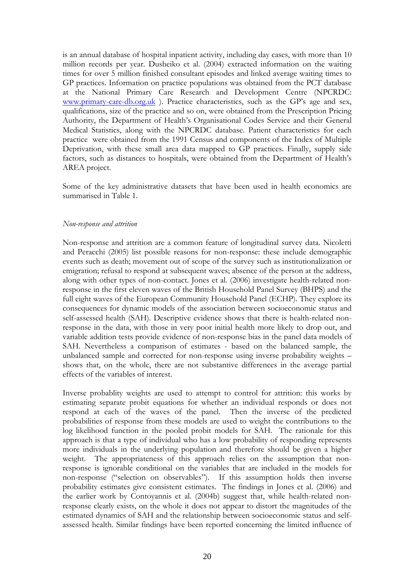is an annual database of hospital inpatient activity, including day cases, with more than 10 million records per year. Dusheiko et al. (2004) extracted information on the waiting times for over 5 million finished consultant episodes and linked average waiting times to GP practices. Information on practice populations was obtained from the PCT database at the National Primary Care Research and Development Centre (NPCRDC: www.primary-care-db.org.uk ). Practice characteristics, such as the GP's age and sex, qualifications, size of the practice and so on, were obtained from the Prescription Pricing Authority, the Department of Health's Organisational Codes Service and their General Medical Statistics, along with the NPCRDC database. Patient characteristics for each practice were obtained from the 1991 Census and components of the Index of Multiple Deprivation, with these small area data mapped to GP practices. Finally, supply side factors, such as distances to hospitals, were obtained from the Department of Health's AREA project.

Some of the key administrative datasets that have been used in health economics are summarised in Table 1.

#### *Non-response and attrition*

Non-response and attrition are a common feature of longitudinal survey data. Nicoletti and Peracchi (2005) list possible reasons for non-response: these include demographic events such as death; movement out of scope of the survey such as institutionalization or emigration; refusal to respond at subsequent waves; absence of the person at the address, along with other types of non-contact. Jones et al. (2006) investigate health-related nonresponse in the first eleven waves of the British Household Panel Survey (BHPS) and the full eight waves of the European Community Household Panel (ECHP). They explore its consequences for dynamic models of the association between socioeconomic status and self-assessed health (SAH). Descriptive evidence shows that there is health-related nonresponse in the data, with those in very poor initial health more likely to drop out, and variable addition tests provide evidence of non-response bias in the panel data models of SAH. Nevertheless a comparison of estimates - based on the balanced sample, the unbalanced sample and corrected for non-response using inverse probability weights – shows that, on the whole, there are not substantive differences in the average partial effects of the variables of interest.

Inverse probablity weights are used to attempt to control for attrition: this works by estimating separate probit equations for whether an individual responds or does not respond at each of the waves of the panel. Then the inverse of the predicted probabilities of response from these models are used to weight the contributions to the log likelihood function in the pooled probit models for SAH. The rationale for this approach is that a type of individual who has a low probability of responding represents more individuals in the underlying population and therefore should be given a higher weight. The appropriateness of this approach relies on the assumption that nonresponse is ignorable conditional on the variables that are included in the models for non-response ("selection on observables"). If this assumption holds then inverse probability estimates give consistent estimates. The findings in Jones et al. (2006) and the earlier work by Contoyannis et al. (2004b) suggest that, while health-related nonresponse clearly exists, on the whole it does not appear to distort the magnitudes of the estimated dynamics of SAH and the relationship between socioeconomic status and selfassessed health. Similar findings have been reported concerning the limited influence of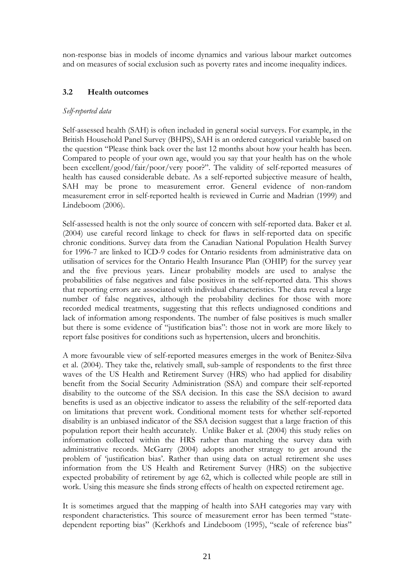non-response bias in models of income dynamics and various labour market outcomes and on measures of social exclusion such as poverty rates and income inequality indices.

# **3.2 Health outcomes**

# *Self-reported data*

Self-assessed health (SAH) is often included in general social surveys. For example, in the British Household Panel Survey (BHPS), SAH is an ordered categorical variable based on the question "Please think back over the last 12 months about how your health has been. Compared to people of your own age, would you say that your health has on the whole been excellent/good/fair/poor/very poor?". The validity of self-reported measures of health has caused considerable debate. As a self-reported subjective measure of health, SAH may be prone to measurement error. General evidence of non-random measurement error in self-reported health is reviewed in Currie and Madrian (1999) and Lindeboom (2006).

Self-assessed health is not the only source of concern with self-reported data. Baker et al. (2004) use careful record linkage to check for flaws in self-reported data on specific chronic conditions. Survey data from the Canadian National Population Health Survey for 1996-7 are linked to ICD-9 codes for Ontario residents from administrative data on utilisation of services for the Ontario Health Insurance Plan (OHIP) for the survey year and the five previous years. Linear probability models are used to analyse the probabilities of false negatives and false positives in the self-reported data. This shows that reporting errors are associated with individual characteristics. The data reveal a large number of false negatives, although the probability declines for those with more recorded medical treatments, suggesting that this reflects undiagnosed conditions and lack of information among respondents. The number of false positives is much smaller but there is some evidence of "justification bias": those not in work are more likely to report false positives for conditions such as hypertension, ulcers and bronchitis.

A more favourable view of self-reported measures emerges in the work of Benitez-Silva et al. (2004). They take the, relatively small, sub-sample of respondents to the first three waves of the US Health and Retirement Survey (HRS) who had applied for disability benefit from the Social Security Administration (SSA) and compare their self-reported disability to the outcome of the SSA decision. In this case the SSA decision to award benefits is used as an objective indicator to assess the reliability of the self-reported data on limitations that prevent work. Conditional moment tests for whether self-reported disability is an unbiased indicator of the SSA decision suggest that a large fraction of this population report their health accurately. Unlike Baker et al. (2004) this study relies on information collected within the HRS rather than matching the survey data with administrative records. McGarry (2004) adopts another strategy to get around the problem of 'justification bias'. Rather than using data on actual retirement she uses information from the US Health and Retirement Survey (HRS) on the subjective expected probability of retirement by age 62, which is collected while people are still in work. Using this measure she finds strong effects of health on expected retirement age.

It is sometimes argued that the mapping of health into SAH categories may vary with respondent characteristics. This source of measurement error has been termed "statedependent reporting bias" (Kerkhofs and Lindeboom (1995), "scale of reference bias"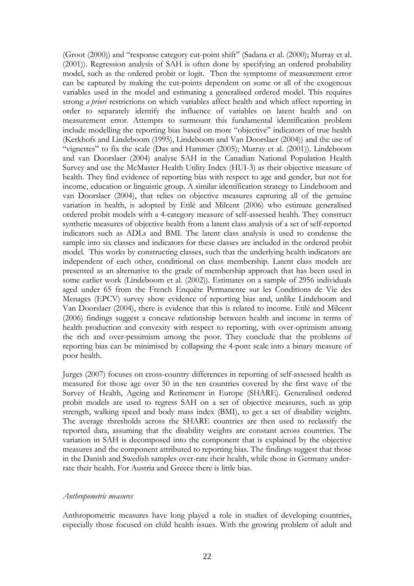(Groot (2000)) and "response category cut-point shift" (Sadana et al. (2000); Murray et al. (2001)). Regression analysis of SAH is often done by specifying an ordered probability model, such as the ordered probit or logit. Then the symptoms of measurement error can be captured by making the cut-points dependent on some or all of the exogenous variables used in the model and estimating a generalised ordered model. This requires strong *a priori* restrictions on which variables affect health and which affect reporting in order to separately identify the influence of variables on latent health and on measurement error. Attempts to surmount this fundamental identification problem include modelling the reporting bias based on more "objective" indicators of true health (Kerkhofs and Lindeboom (1995), Lindeboom and Van Doorslaer (2004)) and the use of "vignettes" to fix the scale (Das and Hammer (2005); Murray et al. (2001)). Lindeboom and van Doorslaer (2004) analyse SAH in the Canadian National Population Health Survey and use the McMaster Health Utility Index (HUI-3) as their objective measure of health. They find evidence of reporting bias with respect to age and gender, but not for income, education or linguistic group. A similar identification strategy to Lindeboom and van Doorslaer (2004), that relies on objective measures capturing all of the genuine variation in health, is adopted by Etilé and Milcent (2006) who estimate generalised ordered probit models with a 4-category measure of self-assessed health. They construct synthetic measures of objective health from a latent class analysis of a set of self-reported indicators such as ADLs and BMI. The latent class analysis is used to condense the sample into six classes and indicators for these classes are included in the ordered probit model. This works by constructing classes, such that the underlying health indicators are independent of each other, conditional on class membership. Latent class models are presented as an alternative to the grade of membership approach that has been used in some earlier work (Lindeboom et al. (2002)). Estimates on a sample of 2956 individuals aged under 65 from the French Enquête Permanente sur les Conditions de Vie des Menages (EPCV) survey show evidence of reporting bias and, unlike Lindeboom and Van Doorslaer (2004), there is evidence that this is related to income. Etilé and Milcent (2006) findings suggest a concave relationship between health and income in terms of health production and convexity with respect to reporting, with over-optimism among the rich and over-pessimism among the poor. They conclude that the problems of reporting bias can be minimised by collapsing the 4-pont scale into a binary measure of poor health.

Jurges (2007) focuses on cross-country differences in reporting of self-assessed health as measured for those age over 50 in the ten countries covered by the first wave of the Survey of Health, Ageing and Retirement in Europe (SHARE). Generalised ordered probit models are used to regress SAH on a set of objective measures, such as grip strength, walking speed and body mass index (BMI), to get a set of disability weights. The average thresholds across the SHARE countries are then used to reclassify the reported data, assuming that the disability weights are constant across countries. The variation in SAH is decomposed into the component that is explained by the objective measures and the component attributed to reporting bias. The findings suggest that those in the Danish and Swedish samples over-rate their health, while those in Germany underrate their health. For Austria and Greece there is little bias.

#### *Anthropometric measures*

Anthropometric measures have long played a role in studies of developing countries, especially those focused on child health issues. With the growing problem of adult and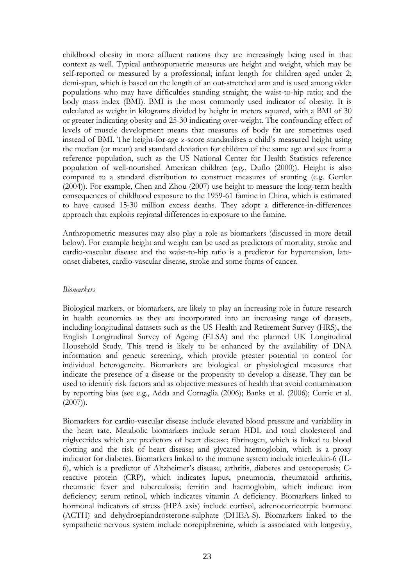childhood obesity in more affluent nations they are increasingly being used in that context as well. Typical anthropometric measures are height and weight, which may be self-reported or measured by a professional; infant length for children aged under 2; demi-span, which is based on the length of an out-stretched arm and is used among older populations who may have difficulties standing straight; the waist-to-hip ratio; and the body mass index (BMI). BMI is the most commonly used indicator of obesity. It is calculated as weight in kilograms divided by height in meters squared, with a BMI of 30 or greater indicating obesity and 25-30 indicating over-weight. The confounding effect of levels of muscle development means that measures of body fat are sometimes used instead of BMI. The height-for-age z-score standardises a child's measured height using the median (or mean) and standard deviation for children of the same age and sex from a reference population, such as the US National Center for Health Statistics reference population of well-nourished American children (e.g., Duflo (2000)). Height is also compared to a standard distribution to construct measures of stunting (e.g. Gertler (2004)). For example, Chen and Zhou (2007) use height to measure the long-term health consequences of childhood exposure to the 1959-61 famine in China, which is estimated to have caused 15-30 million excess deaths. They adopt a difference-in-differences approach that exploits regional differences in exposure to the famine.

Anthropometric measures may also play a role as biomarkers (discussed in more detail below). For example height and weight can be used as predictors of mortality, stroke and cardio-vascular disease and the waist-to-hip ratio is a predictor for hypertension, lateonset diabetes, cardio-vascular disease, stroke and some forms of cancer.

#### *Biomarkers*

Biological markers, or biomarkers, are likely to play an increasing role in future research in health economics as they are incorporated into an increasing range of datasets, including longitudinal datasets such as the US Health and Retirement Survey (HRS), the English Longitudinal Survey of Ageing (ELSA) and the planned UK Longitudinal Household Study. This trend is likely to be enhanced by the availability of DNA information and genetic screening, which provide greater potential to control for individual heterogeneity. Biomarkers are biological or physiological measures that indicate the presence of a disease or the propensity to develop a disease. They can be used to identify risk factors and as objective measures of health that avoid contamination by reporting bias (see e.g., Adda and Cornaglia (2006); Banks et al. (2006); Currie et al.  $(2007)$ ).

Biomarkers for cardio-vascular disease include elevated blood pressure and variability in the heart rate. Metabolic biomarkers include serum HDL and total cholesterol and triglycerides which are predictors of heart disease; fibrinogen, which is linked to blood clotting and the risk of heart disease; and glycated haemoglobin, which is a proxy indicator for diabetes. Biomarkers linked to the immune system include interleukin-6 (IL-6), which is a predictor of Altzheimer's disease, arthritis, diabetes and osteoperosis; Creactive protein (CRP), which indicates lupus, pneumonia, rheumatoid arthritis, rheumatic fever and tuberculosis; ferritin and haemoglobin, which indicate iron deficiency; serum retinol, which indicates vitamin A deficiency. Biomarkers linked to hormonal indicators of stress (HPA axis) include cortisol, adrenocotricotrpic hormone (ACTH) and dehydroepiandrosterone-sulphate (DHEA-S). Biomarkers linked to the sympathetic nervous system include norepiphrenine, which is associated with longevity,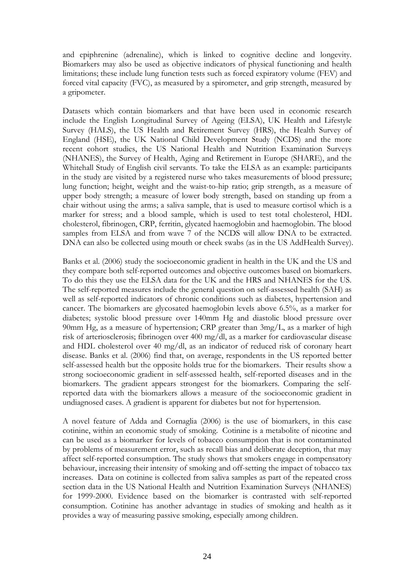and epiphrenine (adrenaline), which is linked to cognitive decline and longevity. Biomarkers may also be used as objective indicators of physical functioning and health limitations; these include lung function tests such as forced expiratory volume (FEV) and forced vital capacity (FVC), as measured by a spirometer, and grip strength, measured by a gripometer.

Datasets which contain biomarkers and that have been used in economic research include the English Longitudinal Survey of Ageing (ELSA), UK Health and Lifestyle Survey (HALS), the US Health and Retirement Survey (HRS), the Health Survey of England (HSE), the UK National Child Development Study (NCDS) and the more recent cohort studies, the US National Health and Nutrition Examination Surveys (NHANES), the Survey of Health, Aging and Retirement in Europe (SHARE), and the Whitehall Study of English civil servants. To take the ELSA as an example: participants in the study are visited by a registered nurse who takes measurements of blood pressure; lung function; height, weight and the waist-to-hip ratio; grip strength, as a measure of upper body strength; a measure of lower body strength, based on standing up from a chair without using the arms; a saliva sample, that is used to measure cortisol which is a marker for stress; and a blood sample, which is used to test total cholesterol, HDL cholesterol, fibrinogen, CRP, ferritin, glycated haemoglobin and haemoglobin. The blood samples from ELSA and from wave 7 of the NCDS will allow DNA to be extracted. DNA can also be collected using mouth or cheek swabs (as in the US AddHealth Survey).

Banks et al. (2006) study the socioeconomic gradient in health in the UK and the US and they compare both self-reported outcomes and objective outcomes based on biomarkers. To do this they use the ELSA data for the UK and the HRS and NHANES for the US. The self-reported measures include the general question on self-assessed health (SAH) as well as self-reported indicators of chronic conditions such as diabetes, hypertension and cancer. The biomarkers are glycosated haemoglobin levels above 6.5%, as a marker for diabetes; systolic blood pressure over 140mm Hg and diastolic blood pressure over 90mm Hg, as a measure of hypertension; CRP greater than 3mg/L, as a marker of high risk of arteriosclerosis; fibrinogen over 400 mg/dl, as a marker for cardiovascular disease and HDL cholesterol over 40 mg/dl, as an indicator of reduced risk of coronary heart disease. Banks et al. (2006) find that, on average, respondents in the US reported better self-assessed health but the opposite holds true for the biomarkers. Their results show a strong socioeconomic gradient in self-assessed health, self-reported diseases and in the biomarkers. The gradient appears strongest for the biomarkers. Comparing the selfreported data with the biomarkers allows a measure of the socioeconomic gradient in undiagnosed cases. A gradient is apparent for diabetes but not for hypertension.

A novel feature of Adda and Cornaglia (2006) is the use of biomarkers, in this case cotinine, within an economic study of smoking. Cotinine is a metabolite of nicotine and can be used as a biomarker for levels of tobacco consumption that is not contaminated by problems of measurement error, such as recall bias and deliberate deception, that may affect self-reported consumption. The study shows that smokers engage in compensatory behaviour, increasing their intensity of smoking and off-setting the impact of tobacco tax increases. Data on cotinine is collected from saliva samples as part of the repeated cross section data in the US National Health and Nutrition Examination Surveys (NHANES) for 1999-2000. Evidence based on the biomarker is contrasted with self-reported consumption. Cotinine has another advantage in studies of smoking and health as it provides a way of measuring passive smoking, especially among children.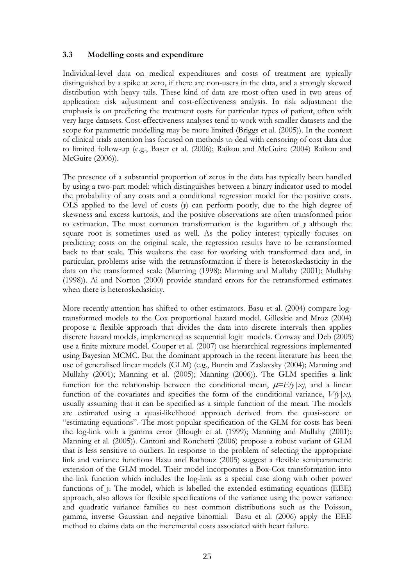# **3.3 Modelling costs and expenditure**

Individual-level data on medical expenditures and costs of treatment are typically distinguished by a spike at zero, if there are non-users in the data, and a strongly skewed distribution with heavy tails. These kind of data are most often used in two areas of application: risk adjustment and cost-effectiveness analysis. In risk adjustment the emphasis is on predicting the treatment costs for particular types of patient, often with very large datasets. Cost-effectiveness analyses tend to work with smaller datasets and the scope for parametric modelling may be more limited (Briggs et al. (2005)). In the context of clinical trials attention has focused on methods to deal with censoring of cost data due to limited follow-up (e.g., Baser et al. (2006); Raikou and McGuire (2004) Raikou and McGuire (2006)).

The presence of a substantial proportion of zeros in the data has typically been handled by using a two-part model: which distinguishes between a binary indicator used to model the probability of any costs and a conditional regression model for the positive costs. OLS applied to the level of costs (*y*) can perform poorly, due to the high degree of skewness and excess kurtosis, and the positive observations are often transformed prior to estimation. The most common transformation is the logarithm of *y* although the square root is sometimes used as well. As the policy interest typically focuses on predicting costs on the original scale, the regression results have to be retransformed back to that scale. This weakens the case for working with transformed data and, in particular, problems arise with the retransformation if there is heteroskedasticity in the data on the transformed scale (Manning (1998); Manning and Mullahy (2001); Mullahy (1998)). Ai and Norton (2000) provide standard errors for the retransformed estimates when there is heteroskedasicity.

More recently attention has shifted to other estimators. Basu et al. (2004) compare logtransformed models to the Cox proportional hazard model. Gilleskie and Mroz (2004) propose a flexible approach that divides the data into discrete intervals then applies discrete hazard models, implemented as sequential logit models. Conway and Deb (2005) use a finite mixture model. Cooper et al. (2007) use hierarchical regressions implemented using Bayesian MCMC. But the dominant approach in the recent literature has been the use of generalised linear models (GLM) (e.g., Buntin and Zaslavsky (2004); Manning and Mullahy (2001); Manning et al. (2005); Manning (2006)). The GLM specifies a link function for the relationship between the conditional mean,  $\mu = E(y|x)$ , and a linear function of the covariates and specifies the form of the conditional variance,  $V(y|x)$ , usually assuming that it can be specified as a simple function of the mean. The models are estimated using a quasi-likelihood approach derived from the quasi-score or "estimating equations". The most popular specification of the GLM for costs has been the log-link with a gamma error (Blough et al. (1999); Manning and Mullahy (2001); Manning et al. (2005)). Cantoni and Ronchetti (2006) propose a robust variant of GLM that is less sensitive to outliers. In response to the problem of selecting the appropriate link and variance functions Basu and Rathouz (2005) suggest a flexible semiparametric extension of the GLM model. Their model incorporates a Box-Cox transformation into the link function which includes the log-link as a special case along with other power functions of *y.* The model, which is labelled the extended estimating equations (EEE) approach, also allows for flexible specifications of the variance using the power variance and quadratic variance families to nest common distributions such as the Poisson, gamma, inverse Gaussian and negative binomial. Basu et al. (2006) apply the EEE method to claims data on the incremental costs associated with heart failure.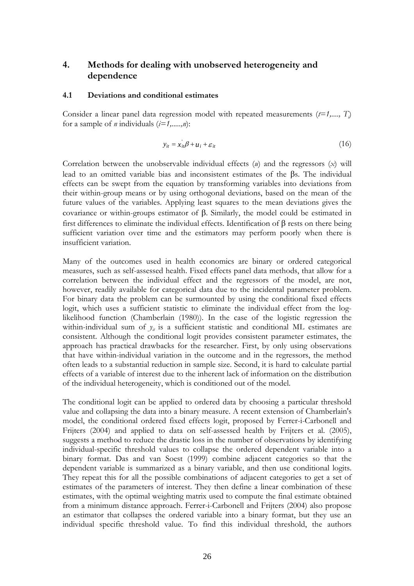# **4. Methods for dealing with unobserved heterogeneity and dependence**

#### **4.1 Deviations and conditional estimates**

Consider a linear panel data regression model with repeated measurements (*t=1,...., Ti* ) for a sample of *n* individuals (*i=1,.....,n*):

$$
y_{it} = x_{it}\beta + u_i + \varepsilon_{it} \tag{16}
$$

Correlation between the unobservable individual effects  $(u)$  and the regressors  $(x)$  will lead to an omitted variable bias and inconsistent estimates of the βs. The individual effects can be swept from the equation by transforming variables into deviations from their within-group means or by using orthogonal deviations, based on the mean of the future values of the variables. Applying least squares to the mean deviations gives the covariance or within-groups estimator of β. Similarly, the model could be estimated in first differences to eliminate the individual effects. Identification of β rests on there being sufficient variation over time and the estimators may perform poorly when there is insufficient variation.

Many of the outcomes used in health economics are binary or ordered categorical measures, such as self-assessed health. Fixed effects panel data methods, that allow for a correlation between the individual effect and the regressors of the model, are not, however, readily available for categorical data due to the incidental parameter problem. For binary data the problem can be surmounted by using the conditional fixed effects logit, which uses a sufficient statistic to eliminate the individual effect from the loglikelihood function (Chamberlain (1980)). In the case of the logistic regression the within-individual sum of  $y_i$  is a sufficient statistic and conditional ML estimates are consistent. Although the conditional logit provides consistent parameter estimates, the approach has practical drawbacks for the researcher. First, by only using observations that have within-individual variation in the outcome and in the regressors, the method often leads to a substantial reduction in sample size. Second, it is hard to calculate partial effects of a variable of interest due to the inherent lack of information on the distribution of the individual heterogeneity, which is conditioned out of the model.

The conditional logit can be applied to ordered data by choosing a particular threshold value and collapsing the data into a binary measure. A recent extension of Chamberlain's model, the conditional ordered fixed effects logit, proposed by Ferrer-i-Carbonell and Frijters (2004) and applied to data on self-assessed health by Frijters et al. (2005), suggests a method to reduce the drastic loss in the number of observations by identifying individual-specific threshold values to collapse the ordered dependent variable into a binary format. Das and van Soest (1999) combine adjacent categories so that the dependent variable is summarized as a binary variable, and then use conditional logits. They repeat this for all the possible combinations of adjacent categories to get a set of estimates of the parameters of interest. They then define a linear combination of these estimates, with the optimal weighting matrix used to compute the final estimate obtained from a minimum distance approach. Ferrer-i-Carbonell and Frijters (2004) also propose an estimator that collapses the ordered variable into a binary format, but they use an individual specific threshold value. To find this individual threshold, the authors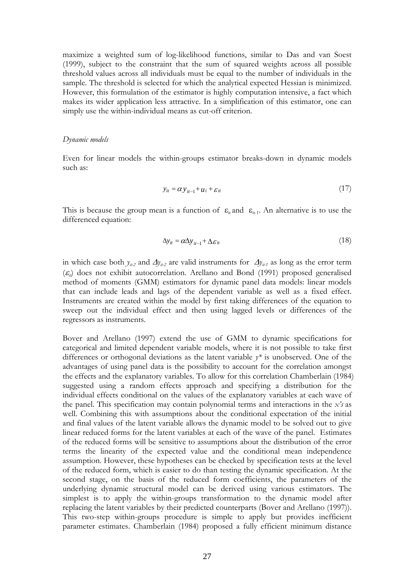maximize a weighted sum of log-likelihood functions, similar to Das and van Soest (1999), subject to the constraint that the sum of squared weights across all possible threshold values across all individuals must be equal to the number of individuals in the sample. The threshold is selected for which the analytical expected Hessian is minimized. However, this formulation of the estimator is highly computation intensive, a fact which makes its wider application less attractive. In a simplification of this estimator, one can simply use the within-individual means as cut-off criterion.

#### *Dynamic models*

Even for linear models the within-groups estimator breaks-down in dynamic models such as:

$$
y_{it} = \alpha y_{it-1} + u_i + \varepsilon_{it} \tag{17}
$$

This is because the group mean is a function of  $\varepsilon_{i}$  and  $\varepsilon_{i+1}$ . An alternative is to use the differenced equation:

$$
\Delta y_{it} = \alpha \Delta y_{it-1} + \Delta \varepsilon_{it} \tag{18}
$$

in which case both  $y_{i,t}$ <sub>2</sub> and  $\Delta y_{i,t}$ <sub>2</sub> are valid instruments for  $\Delta y_{i,t}$ <sub>4</sub> as long as the error term  $(\varepsilon)$  does not exhibit autocorrelation. Arellano and Bond (1991) proposed generalised method of moments (GMM) estimators for dynamic panel data models: linear models that can include leads and lags of the dependent variable as well as a fixed effect. Instruments are created within the model by first taking differences of the equation to sweep out the individual effect and then using lagged levels or differences of the regressors as instruments.

Bover and Arellano (1997) extend the use of GMM to dynamic specifications for categorical and limited dependent variable models, where it is not possible to take first differences or orthogonal deviations as the latent variable *y\** is unobserved. One of the advantages of using panel data is the possibility to account for the correlation amongst the effects and the explanatory variables. To allow for this correlation Chamberlain (1984) suggested using a random effects approach and specifying a distribution for the individual effects conditional on the values of the explanatory variables at each wave of the panel. This specification may contain polynomial terms and interactions in the *x's* as well. Combining this with assumptions about the conditional expectation of the initial and final values of the latent variable allows the dynamic model to be solved out to give linear reduced forms for the latent variables at each of the wave of the panel. Estimates of the reduced forms will be sensitive to assumptions about the distribution of the error terms the linearity of the expected value and the conditional mean independence assumption. However, these hypotheses can be checked by specification tests at the level of the reduced form, which is easier to do than testing the dynamic specification. At the second stage, on the basis of the reduced form coefficients, the parameters of the underlying dynamic structural model can be derived using various estimators. The simplest is to apply the within-groups transformation to the dynamic model after replacing the latent variables by their predicted counterparts (Bover and Arellano (1997)). This two-step within-groups procedure is simple to apply but provides inefficient parameter estimates. Chamberlain (1984) proposed a fully efficient minimum distance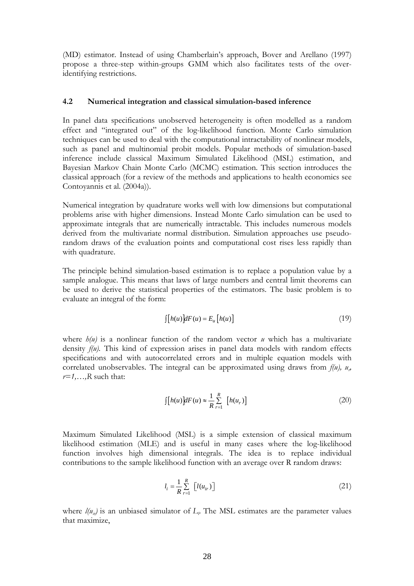(MD) estimator. Instead of using Chamberlain's approach, Bover and Arellano (1997) propose a three-step within-groups GMM which also facilitates tests of the overidentifying restrictions.

#### **4.2 Numerical integration and classical simulation-based inference**

In panel data specifications unobserved heterogeneity is often modelled as a random effect and "integrated out" of the log-likelihood function. Monte Carlo simulation techniques can be used to deal with the computational intractability of nonlinear models, such as panel and multinomial probit models. Popular methods of simulation-based inference include classical Maximum Simulated Likelihood (MSL) estimation, and Bayesian Markov Chain Monte Carlo (MCMC) estimation. This section introduces the classical approach (for a review of the methods and applications to health economics see Contoyannis et al. (2004a)).

Numerical integration by quadrature works well with low dimensions but computational problems arise with higher dimensions. Instead Monte Carlo simulation can be used to approximate integrals that are numerically intractable. This includes numerous models derived from the multivariate normal distribution. Simulation approaches use pseudorandom draws of the evaluation points and computational cost rises less rapidly than with quadrature.

The principle behind simulation-based estimation is to replace a population value by a sample analogue. This means that laws of large numbers and central limit theorems can be used to derive the statistical properties of the estimators. The basic problem is to evaluate an integral of the form:

$$
\iint h(u) dF(u) = E_u[h(u)] \tag{19}
$$

where  $h(u)$  is a nonlinear function of the random vector *u* which has a multivariate density *f(u)*. This kind of expression arises in panel data models with random effects specifications and with autocorrelated errors and in multiple equation models with correlated unobservables. The integral can be approximated using draws from  $f(u)$ ,  $u_r$ , *r=1,…,R* such that:

$$
\int [h(u)]dF(u) \approx \frac{1}{R} \sum_{r=1}^{R} [h(u_r)] \tag{20}
$$

Maximum Simulated Likelihood (MSL) is a simple extension of classical maximum likelihood estimation (MLE) and is useful in many cases where the log-likelihood function involves high dimensional integrals. The idea is to replace individual contributions to the sample likelihood function with an average over R random draws:

$$
l_i = \frac{1}{R} \sum_{r=1}^{R} \left[ l(u_{ir}) \right] \tag{21}
$$

where  $l(u_{ij})$  is an unbiased simulator of  $L_i$ . The MSL estimates are the parameter values that maximize,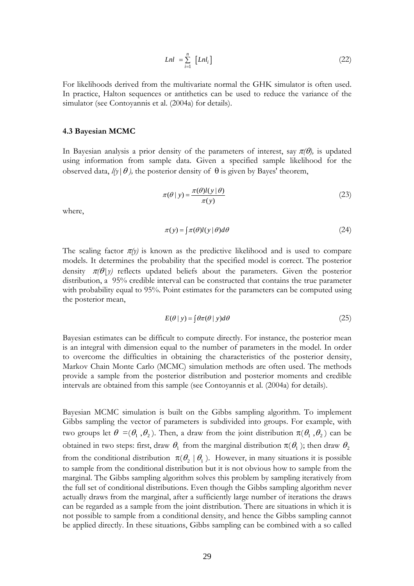$$
Lnl = \sum_{i=1}^{n} [Lnl_i]
$$
 (22)

For likelihoods derived from the multivariate normal the GHK simulator is often used. In practice, Halton sequences or antithetics can be used to reduce the variance of the simulator (see Contoyannis et al. (2004a) for details).

#### **4.3 Bayesian MCMC**

In Bayesian analysis a prior density of the parameters of interest, say π*(*θ*),* is updated using information from sample data. Given a specified sample likelihood for the observed data,  $l(y|\theta)$ , the posterior density of  $\theta$  is given by Bayes' theorem,

$$
\pi(\theta \mid y) = \frac{\pi(\theta)l(y \mid \theta)}{\pi(y)}\tag{23}
$$

where,

$$
\pi(y) = \int \pi(\theta) l(y | \theta) d\theta \tag{24}
$$

The scaling factor  $\pi(y)$  is known as the predictive likelihood and is used to compare models. It determines the probability that the specified model is correct. The posterior density  $\pi(\theta|\mathbf{y})$  reflects updated beliefs about the parameters. Given the posterior distribution, a 95% credible interval can be constructed that contains the true parameter with probability equal to 95%. Point estimates for the parameters can be computed using the posterior mean,

$$
E(\theta \mid y) = \int \theta \pi(\theta \mid y) d\theta \tag{25}
$$

Bayesian estimates can be difficult to compute directly. For instance, the posterior mean is an integral with dimension equal to the number of parameters in the model. In order to overcome the difficulties in obtaining the characteristics of the posterior density, Markov Chain Monte Carlo (MCMC) simulation methods are often used. The methods provide a sample from the posterior distribution and posterior moments and credible intervals are obtained from this sample (see Contoyannis et al. (2004a) for details).

Bayesian MCMC simulation is built on the Gibbs sampling algorithm. To implement Gibbs sampling the vector of parameters is subdivided into groups. For example, with two groups let  $\theta = (\theta_1, \theta_2)$ . Then, a draw from the joint distribution  $\pi(\theta_1, \theta_2)$  can be obtained in two steps: first, draw  $\theta_1$  from the marginal distribution  $\pi(\theta_1)$ ; then draw  $\theta_2$ from the conditional distribution  $\pi(\theta_1 | \theta_1)$ . However, in many situations it is possible to sample from the conditional distribution but it is not obvious how to sample from the marginal. The Gibbs sampling algorithm solves this problem by sampling iteratively from the full set of conditional distributions. Even though the Gibbs sampling algorithm never actually draws from the marginal, after a sufficiently large number of iterations the draws can be regarded as a sample from the joint distribution. There are situations in which it is not possible to sample from a conditional density, and hence the Gibbs sampling cannot be applied directly. In these situations, Gibbs sampling can be combined with a so called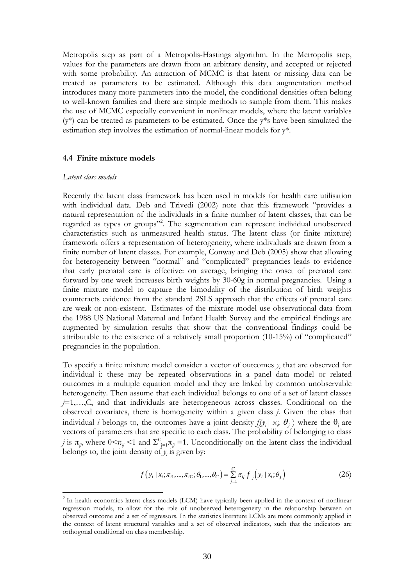Metropolis step as part of a Metropolis-Hastings algorithm. In the Metropolis step, values for the parameters are drawn from an arbitrary density, and accepted or rejected with some probability. An attraction of MCMC is that latent or missing data can be treated as parameters to be estimated. Although this data augmentation method introduces many more parameters into the model, the conditional densities often belong to well-known families and there are simple methods to sample from them. This makes the use of MCMC especially convenient in nonlinear models, where the latent variables  $(y^*)$  can be treated as parameters to be estimated. Once the  $y^*s$  have been simulated the estimation step involves the estimation of normal-linear models for y\*.

#### **4.4 Finite mixture models**

#### *Latent class models*

 $\overline{a}$ 

Recently the latent class framework has been used in models for health care utilisation with individual data. Deb and Trivedi (2002) note that this framework "provides a natural representation of the individuals in a finite number of latent classes, that can be regarded as types or groups"<sup>2</sup>. The segmentation can represent individual unobserved characteristics such as unmeasured health status. The latent class (or finite mixture) framework offers a representation of heterogeneity, where individuals are drawn from a finite number of latent classes. For example, Conway and Deb (2005) show that allowing for heterogeneity between "normal" and "complicated" pregnancies leads to evidence that early prenatal care is effective: on average, bringing the onset of prenatal care forward by one week increases birth weights by 30-60g in normal pregnancies. Using a finite mixture model to capture the bimodality of the distribution of birth weights counteracts evidence from the standard 2SLS approach that the effects of prenatal care are weak or non-existent. Estimates of the mixture model use observational data from the 1988 US National Maternal and Infant Health Survey and the empirical findings are augmented by simulation results that show that the conventional findings could be attributable to the existence of a relatively small proportion (10-15%) of "complicated" pregnancies in the population.

To specify a finite mixture model consider a vector of outcomes  $y_i$  that are observed for individual i: these may be repeated observations in a panel data model or related outcomes in a multiple equation model and they are linked by common unobservable heterogeneity. Then assume that each individual belongs to one of a set of latent classes *j*=1,…,C, and that individuals are heterogeneous across classes. Conditional on the observed covariates, there is homogeneity within a given class *j*. Given the class that individual *i* belongs to, the outcomes have a joint density  $f_j(y_i | x_i; \theta_j)$  where the  $\theta_j$  are vectors of parameters that are specific to each class. The probability of belonging to class *j* is  $\pi_{ij}$ , where  $0 \le \pi_{ij} \le 1$  and  $\sum_{j=1}^{C} \pi_{ij} = 1$ . Unconditionally on the latent class the individual belongs to, the joint density of  $y_i$  is given by:

$$
f(y_i | x_i; \pi_{i1}, ..., \pi_{iC}; \theta_1, ..., \theta_C) = \sum_{j=1}^{C} \pi_{ij} f_j (y_i | x_i; \theta_j)
$$
 (26)

<sup>&</sup>lt;sup>2</sup> In health economics latent class models (LCM) have typically been applied in the context of nonlinear regression models, to allow for the role of unobserved heterogeneity in the relationship between an observed outcome and a set of regressors. In the statistics literature LCMs are more commonly applied in the context of latent structural variables and a set of observed indicators, such that the indicators are orthogonal conditional on class membership.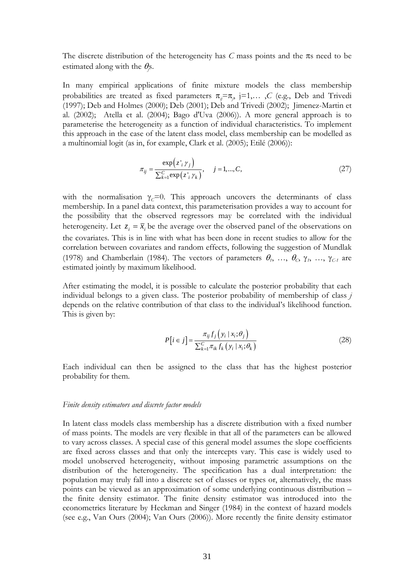The discrete distribution of the heterogeneity has *C* mass points and the πs need to be estimated along with the  $\theta$ <sub>*j*s</sub>.

In many empirical applications of finite mixture models the class membership probabilities are treated as fixed parameters  $\pi_{ij} = \pi_{ji} = 1,..., C$  (e.g., Deb and Trivedi (1997); Deb and Holmes (2000); Deb (2001); Deb and Trivedi (2002); Jimenez-Martin et al. (2002); Atella et al. (2004); Bago d'Uva (2006)). A more general approach is to parameterise the heterogeneity as a function of individual characteristics. To implement this approach in the case of the latent class model, class membership can be modelled as a multinomial logit (as in, for example, Clark et al. (2005); Etilé (2006)):

$$
\pi_{ij} = \frac{\exp(z_i \gamma_j)}{\sum_{k=1}^C \exp(z_i \gamma_k)}, \quad j = 1, ..., C,
$$
\n(27)

with the normalisation  $\gamma_c=0$ . This approach uncovers the determinants of class membership. In a panel data context, this parameterisation provides a way to account for the possibility that the observed regressors may be correlated with the individual heterogeneity. Let  $z_i = \overline{x}_i$  be the average over the observed panel of the observations on the covariates. This is in line with what has been done in recent studies to allow for the correlation between covariates and random effects, following the suggestion of Mundlak (1978) and Chamberlain (1984). The vectors of parameters  $\theta_1, \ldots, \theta_{\text{C}} \gamma_1, \ldots, \gamma_{\text{C}}$  are estimated jointly by maximum likelihood.

After estimating the model, it is possible to calculate the posterior probability that each individual belongs to a given class. The posterior probability of membership of class *j* depends on the relative contribution of that class to the individual's likelihood function. This is given by:

$$
P[i \in j] = \frac{\pi_{ij} f_j\left(y_i \mid x_i; \theta_j\right)}{\sum_{k=1}^{C} \pi_{ik} f_k\left(y_i \mid x_i; \theta_k\right)}
$$
(28)

Each individual can then be assigned to the class that has the highest posterior probability for them.

#### *Finite density estimators and discrete factor models*

In latent class models class membership has a discrete distribution with a fixed number of mass points. The models are very flexible in that all of the parameters can be allowed to vary across classes. A special case of this general model assumes the slope coefficients are fixed across classes and that only the intercepts vary. This case is widely used to model unobserved heterogeneity, without imposing parametric assumptions on the distribution of the heterogeneity. The specification has a dual interpretation: the population may truly fall into a discrete set of classes or types or, alternatively, the mass points can be viewed as an approximation of some underlying continuous distribution – the finite density estimator. The finite density estimator was introduced into the econometrics literature by Heckman and Singer (1984) in the context of hazard models (see e.g., Van Ours (2004); Van Ours (2006)). More recently the finite density estimator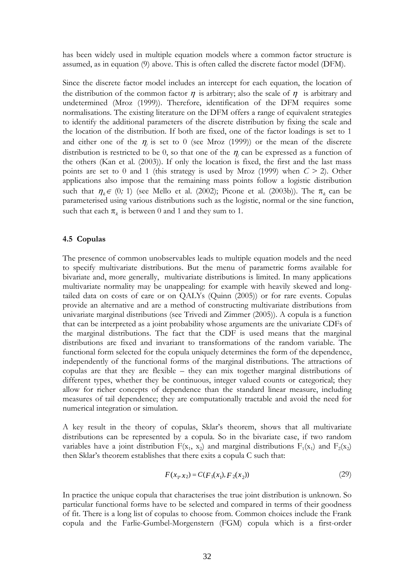has been widely used in multiple equation models where a common factor structure is assumed, as in equation (9) above. This is often called the discrete factor model (DFM).

Since the discrete factor model includes an intercept for each equation, the location of the distribution of the common factor  $\eta$  is arbitrary; also the scale of  $\eta$  is arbitrary and undetermined (Mroz (1999)). Therefore, identification of the DFM requires some normalisations. The existing literature on the DFM offers a range of equivalent strategies to identify the additional parameters of the discrete distribution by fixing the scale and the location of the distribution. If both are fixed, one of the factor loadings is set to 1 and either one of the  $\eta_i$  is set to 0 (see Mroz (1999)) or the mean of the discrete distribution is restricted to be 0, so that one of the  $\eta_j$  can be expressed as a function of the others (Kan et al. (2003)). If only the location is fixed, the first and the last mass points are set to 0 and 1 (this strategy is used by Mroz (1999) when *C >* 2). Other applications also impose that the remaining mass points follow a logistic distribution such that  $\eta_k \in (0, 1)$  (see Mello et al. (2002); Picone et al. (2003b)). The  $\pi_k$  can be parameterised using various distributions such as the logistic, normal or the sine function, such that each  $\pi_k$  is between 0 and 1 and they sum to 1.

#### **4.5 Copulas**

The presence of common unobservables leads to multiple equation models and the need to specify multivariate distributions. But the menu of parametric forms available for bivariate and, more generally, multivariate distributions is limited. In many applications multivariate normality may be unappealing: for example with heavily skewed and longtailed data on costs of care or on QALYs (Quinn (2005)) or for rare events. Copulas provide an alternative and are a method of constructing multivariate distributions from univariate marginal distributions (see Trivedi and Zimmer (2005)). A copula is a function that can be interpreted as a joint probability whose arguments are the univariate CDFs of the marginal distributions. The fact that the CDF is used means that the marginal distributions are fixed and invariant to transformations of the random variable. The functional form selected for the copula uniquely determines the form of the dependence, independently of the functional forms of the marginal distributions. The attractions of copulas are that they are flexible – they can mix together marginal distributions of different types, whether they be continuous, integer valued counts or categorical; they allow for richer concepts of dependence than the standard linear measure, including measures of tail dependence; they are computationally tractable and avoid the need for numerical integration or simulation.

A key result in the theory of copulas, Sklar's theorem, shows that all multivariate distributions can be represented by a copula. So in the bivariate case, if two random variables have a joint distribution  $F(x_1, x_2)$  and marginal distributions  $F_1(x_1)$  and  $F_2(x_2)$ then Sklar's theorem establishes that there exits a copula C such that:

$$
F(x_1, x_2) = C(F_1(x_1), F_2(x_2))
$$
\n(29)

In practice the unique copula that characterises the true joint distribution is unknown. So particular functional forms have to be selected and compared in terms of their goodness of fit. There is a long list of copulas to choose from. Common choices include the Frank copula and the Farlie-Gumbel-Morgenstern (FGM) copula which is a first-order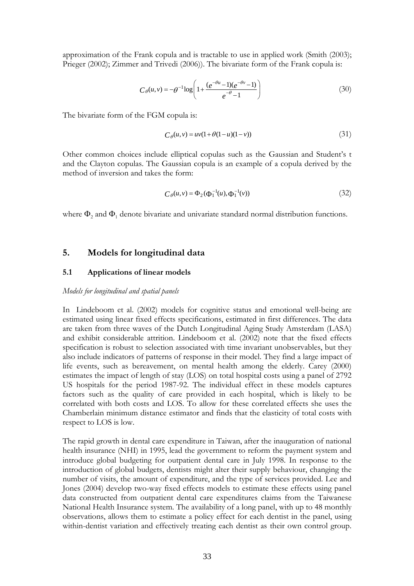approximation of the Frank copula and is tractable to use in applied work (Smith (2003); Prieger (2002); Zimmer and Trivedi (2006)). The bivariate form of the Frank copula is:

$$
C_{\theta}(u,v) = -\theta^{-1} \log \left( 1 + \frac{(e^{-\theta u} - 1)(e^{-\theta v} - 1)}{e^{-\theta} - 1} \right)
$$
 (30)

The bivariate form of the FGM copula is:

$$
C_{\theta}(u, v) = uv(1 + \theta(1 - u)(1 - v))
$$
\n(31)

Other common choices include elliptical copulas such as the Gaussian and Student's t and the Clayton copulas. The Gaussian copula is an example of a copula derived by the method of inversion and takes the form:

$$
C_{\theta}(u,v) = \Phi_2(\Phi_1^{-1}(u), \Phi_1^{-1}(v))
$$
\n(32)

where  $\Phi_2$  and  $\Phi_1$  denote bivariate and univariate standard normal distribution functions.

# **5. Models for longitudinal data**

# **5.1 Applications of linear models**

#### *Models for longitudinal and spatial panels*

In Lindeboom et al. (2002) models for cognitive status and emotional well-being are estimated using linear fixed effects specifications, estimated in first differences. The data are taken from three waves of the Dutch Longitudinal Aging Study Amsterdam (LASA) and exhibit considerable attrition. Lindeboom et al. (2002) note that the fixed effects specification is robust to selection associated with time invariant unobservables, but they also include indicators of patterns of response in their model. They find a large impact of life events, such as bereavement, on mental health among the elderly. Carey (2000) estimates the impact of length of stay (LOS) on total hospital costs using a panel of 2792 US hospitals for the period 1987-92. The individual effect in these models captures factors such as the quality of care provided in each hospital, which is likely to be correlated with both costs and LOS. To allow for these correlated effects she uses the Chamberlain minimum distance estimator and finds that the elasticity of total costs with respect to LOS is low.

The rapid growth in dental care expenditure in Taiwan, after the inauguration of national health insurance (NHI) in 1995, lead the government to reform the payment system and introduce global budgeting for outpatient dental care in July 1998. In response to the introduction of global budgets, dentists might alter their supply behaviour, changing the number of visits, the amount of expenditure, and the type of services provided. Lee and Jones (2004) develop two-way fixed effects models to estimate these effects using panel data constructed from outpatient dental care expenditures claims from the Taiwanese National Health Insurance system. The availability of a long panel, with up to 48 monthly observations, allows them to estimate a policy effect for each dentist in the panel, using within-dentist variation and effectively treating each dentist as their own control group.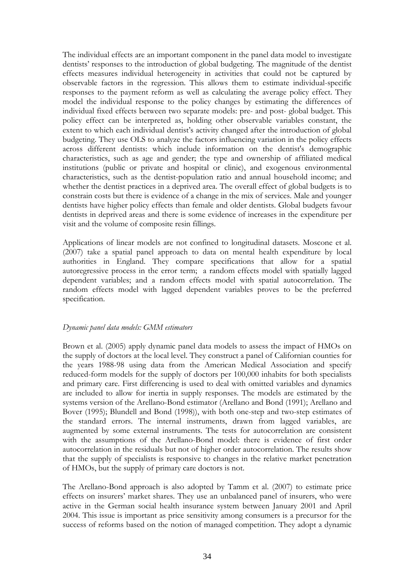The individual effects are an important component in the panel data model to investigate dentists' responses to the introduction of global budgeting. The magnitude of the dentist effects measures individual heterogeneity in activities that could not be captured by observable factors in the regression. This allows them to estimate individual-specific responses to the payment reform as well as calculating the average policy effect. They model the individual response to the policy changes by estimating the differences of individual fixed effects between two separate models: pre- and post- global budget. This policy effect can be interpreted as, holding other observable variables constant, the extent to which each individual dentist's activity changed after the introduction of global budgeting. They use OLS to analyze the factors influencing variation in the policy effects across different dentists: which include information on the dentist's demographic characteristics, such as age and gender; the type and ownership of affiliated medical institutions (public or private and hospital or clinic), and exogenous environmental characteristics, such as the dentist-population ratio and annual household income; and whether the dentist practices in a deprived area. The overall effect of global budgets is to constrain costs but there is evidence of a change in the mix of services. Male and younger dentists have higher policy effects than female and older dentists. Global budgets favour dentists in deprived areas and there is some evidence of increases in the expenditure per visit and the volume of composite resin fillings.

Applications of linear models are not confined to longitudinal datasets. Moscone et al. (2007) take a spatial panel approach to data on mental health expenditure by local authorities in England. They compare specifications that allow for a spatial autoregressive process in the error term; a random effects model with spatially lagged dependent variables; and a random effects model with spatial autocorrelation. The random effects model with lagged dependent variables proves to be the preferred specification.

# *Dynamic panel data models: GMM estimators*

Brown et al. (2005) apply dynamic panel data models to assess the impact of HMOs on the supply of doctors at the local level. They construct a panel of Californian counties for the years 1988-98 using data from the American Medical Association and specify reduced-form models for the supply of doctors per 100,000 inhabits for both specialists and primary care. First differencing is used to deal with omitted variables and dynamics are included to allow for inertia in supply responses. The models are estimated by the systems version of the Arellano-Bond estimator (Arellano and Bond (1991); Arellano and Bover (1995); Blundell and Bond (1998)), with both one-step and two-step estimates of the standard errors. The internal instruments, drawn from lagged variables, are augmented by some external instruments. The tests for autocorrelation are consistent with the assumptions of the Arellano-Bond model: there is evidence of first order autocorrelation in the residuals but not of higher order autocorrelation. The results show that the supply of specialists is responsive to changes in the relative market penetration of HMOs, but the supply of primary care doctors is not.

The Arellano-Bond approach is also adopted by Tamm et al. (2007) to estimate price effects on insurers' market shares. They use an unbalanced panel of insurers, who were active in the German social health insurance system between January 2001 and April 2004. This issue is important as price sensitivity among consumers is a precursor for the success of reforms based on the notion of managed competition. They adopt a dynamic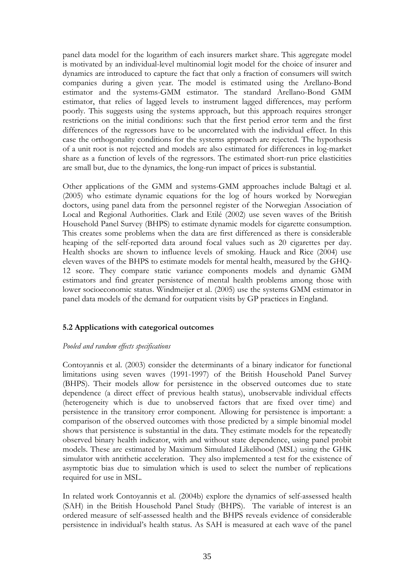panel data model for the logarithm of each insurers market share. This aggregate model is motivated by an individual-level multinomial logit model for the choice of insurer and dynamics are introduced to capture the fact that only a fraction of consumers will switch companies during a given year. The model is estimated using the Arellano-Bond estimator and the systems-GMM estimator. The standard Arellano-Bond GMM estimator, that relies of lagged levels to instrument lagged differences, may perform poorly. This suggests using the systems approach, but this approach requires stronger restrictions on the initial conditions: such that the first period error term and the first differences of the regressors have to be uncorrelated with the individual effect. In this case the orthogonality conditions for the systems approach are rejected. The hypothesis of a unit root is not rejected and models are also estimated for differences in log-market share as a function of levels of the regressors. The estimated short-run price elasticities are small but, due to the dynamics, the long-run impact of prices is substantial.

Other applications of the GMM and systems-GMM approaches include Baltagi et al. (2005) who estimate dynamic equations for the log of hours worked by Norwegian doctors, using panel data from the personnel register of the Norwegian Association of Local and Regional Authorities. Clark and Etilé (2002) use seven waves of the British Household Panel Survey (BHPS) to estimate dynamic models for cigarette consumption. This creates some problems when the data are first differenced as there is considerable heaping of the self-reported data around focal values such as 20 cigarettes per day. Health shocks are shown to influence levels of smoking. Hauck and Rice (2004) use eleven waves of the BHPS to estimate models for mental health, measured by the GHQ-12 score. They compare static variance components models and dynamic GMM estimators and find greater persistence of mental health problems among those with lower socioeconomic status. Windmeijer et al. (2005) use the systems GMM estimator in panel data models of the demand for outpatient visits by GP practices in England.

# **5.2 Applications with categorical outcomes**

# *Pooled and random effects specifications*

Contoyannis et al. (2003) consider the determinants of a binary indicator for functional limitations using seven waves (1991-1997) of the British Household Panel Survey (BHPS). Their models allow for persistence in the observed outcomes due to state dependence (a direct effect of previous health status), unobservable individual effects (heterogeneity which is due to unobserved factors that are fixed over time) and persistence in the transitory error component. Allowing for persistence is important: a comparison of the observed outcomes with those predicted by a simple binomial model shows that persistence is substantial in the data. They estimate models for the repeatedly observed binary health indicator, with and without state dependence, using panel probit models. These are estimated by Maximum Simulated Likelihood (MSL) using the GHK simulator with antithetic acceleration. They also implemented a test for the existence of asymptotic bias due to simulation which is used to select the number of replications required for use in MSL.

In related work Contoyannis et al. (2004b) explore the dynamics of self-assessed health (SAH) in the British Household Panel Study (BHPS). The variable of interest is an ordered measure of self-assessed health and the BHPS reveals evidence of considerable persistence in individual's health status. As SAH is measured at each wave of the panel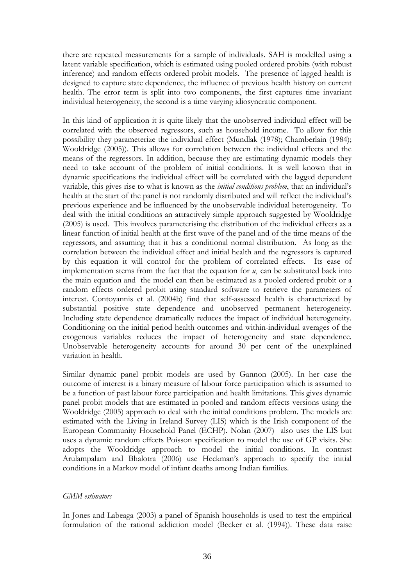there are repeated measurements for a sample of individuals. SAH is modelled using a latent variable specification, which is estimated using pooled ordered probits (with robust inference) and random effects ordered probit models. The presence of lagged health is designed to capture state dependence, the influence of previous health history on current health. The error term is split into two components, the first captures time invariant individual heterogeneity, the second is a time varying idiosyncratic component.

In this kind of application it is quite likely that the unobserved individual effect will be correlated with the observed regressors, such as household income. To allow for this possibility they parameterize the individual effect (Mundlak (1978); Chamberlain (1984); Wooldridge (2005)). This allows for correlation between the individual effects and the means of the regressors. In addition, because they are estimating dynamic models they need to take account of the problem of initial conditions. It is well known that in dynamic specifications the individual effect will be correlated with the lagged dependent variable, this gives rise to what is known as the *initial conditions problem*, that an individual's health at the start of the panel is not randomly distributed and will reflect the individual's previous experience and be influenced by the unobservable individual heterogeneity. To deal with the initial conditions an attractively simple approach suggested by Wooldridge (2005) is used. This involves parameterising the distribution of the individual effects as a linear function of initial health at the first wave of the panel and of the time means of the regressors, and assuming that it has a conditional normal distribution. As long as the correlation between the individual effect and initial health and the regressors is captured by this equation it will control for the problem of correlated effects. Its ease of implementation stems from the fact that the equation for *ui* can be substituted back into the main equation and the model can then be estimated as a pooled ordered probit or a random effects ordered probit using standard software to retrieve the parameters of interest. Contoyannis et al. (2004b) find that self-assessed health is characterized by substantial positive state dependence and unobserved permanent heterogeneity. Including state dependence dramatically reduces the impact of individual heterogeneity. Conditioning on the initial period health outcomes and within-individual averages of the exogenous variables reduces the impact of heterogeneity and state dependence. Unobservable heterogeneity accounts for around 30 per cent of the unexplained variation in health.

Similar dynamic panel probit models are used by Gannon (2005). In her case the outcome of interest is a binary measure of labour force participation which is assumed to be a function of past labour force participation and health limitations. This gives dynamic panel probit models that are estimated in pooled and random effects versions using the Wooldridge (2005) approach to deal with the initial conditions problem. The models are estimated with the Living in Ireland Survey (LIS) which is the Irish component of the European Community Household Panel (ECHP). Nolan (2007) also uses the LIS but uses a dynamic random effects Poisson specification to model the use of GP visits. She adopts the Wooldridge approach to model the initial conditions. In contrast Arulampalam and Bhalotra (2006) use Heckman's approach to specify the initial conditions in a Markov model of infant deaths among Indian families.

## *GMM estimators*

In Jones and Labeaga (2003) a panel of Spanish households is used to test the empirical formulation of the rational addiction model (Becker et al. (1994)). These data raise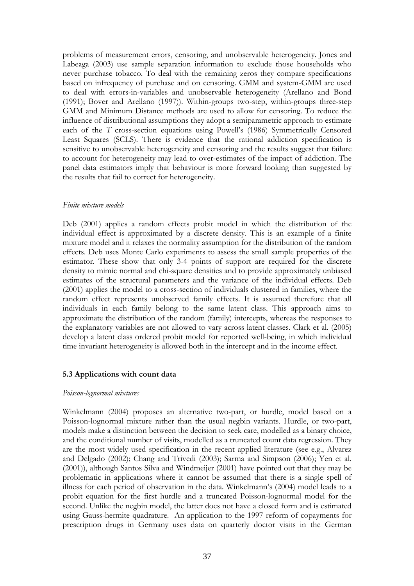problems of measurement errors, censoring, and unobservable heterogeneity. Jones and Labeaga (2003) use sample separation information to exclude those households who never purchase tobacco. To deal with the remaining zeros they compare specifications based on infrequency of purchase and on censoring. GMM and system-GMM are used to deal with errors-in-variables and unobservable heterogeneity (Arellano and Bond (1991); Bover and Arellano (1997)). Within-groups two-step, within-groups three-step GMM and Minimum Distance methods are used to allow for censoring. To reduce the influence of distributional assumptions they adopt a semiparametric approach to estimate each of the *T* cross-section equations using Powell's (1986) Symmetrically Censored Least Squares (SCLS). There is evidence that the rational addiction specification is sensitive to unobservable heterogeneity and censoring and the results suggest that failure to account for heterogeneity may lead to over-estimates of the impact of addiction. The panel data estimators imply that behaviour is more forward looking than suggested by the results that fail to correct for heterogeneity.

#### *Finite mixture models*

Deb (2001) applies a random effects probit model in which the distribution of the individual effect is approximated by a discrete density. This is an example of a finite mixture model and it relaxes the normality assumption for the distribution of the random effects. Deb uses Monte Carlo experiments to assess the small sample properties of the estimator. These show that only 3-4 points of support are required for the discrete density to mimic normal and chi-square densities and to provide approximately unbiased estimates of the structural parameters and the variance of the individual effects. Deb (2001) applies the model to a cross-section of individuals clustered in families, where the random effect represents unobserved family effects. It is assumed therefore that all individuals in each family belong to the same latent class. This approach aims to approximate the distribution of the random (family) intercepts, whereas the responses to the explanatory variables are not allowed to vary across latent classes. Clark et al. (2005) develop a latent class ordered probit model for reported well-being, in which individual time invariant heterogeneity is allowed both in the intercept and in the income effect.

## **5.3 Applications with count data**

#### *Poisson-lognormal mixtures*

Winkelmann (2004) proposes an alternative two-part, or hurdle, model based on a Poisson-lognormal mixture rather than the usual negbin variants. Hurdle, or two-part, models make a distinction between the decision to seek care, modelled as a binary choice, and the conditional number of visits, modelled as a truncated count data regression. They are the most widely used specification in the recent applied literature (see e.g., Alvarez and Delgado (2002); Chang and Trivedi (2003); Sarma and Simpson (2006); Yen et al. (2001)), although Santos Silva and Windmeijer (2001) have pointed out that they may be problematic in applications where it cannot be assumed that there is a single spell of illness for each period of observation in the data. Winkelmann's (2004) model leads to a probit equation for the first hurdle and a truncated Poisson-lognormal model for the second. Unlike the negbin model, the latter does not have a closed form and is estimated using Gauss-hermite quadrature. An application to the 1997 reform of copayments for prescription drugs in Germany uses data on quarterly doctor visits in the German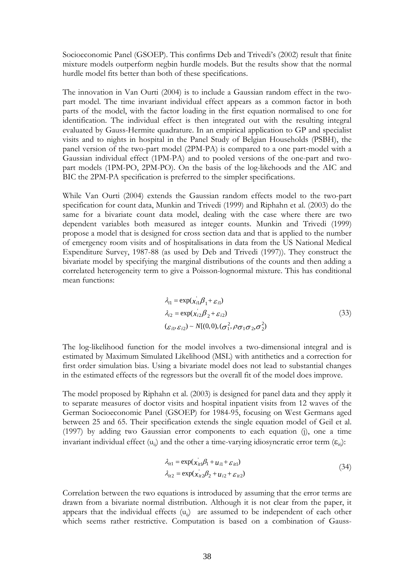Socioeconomic Panel (GSOEP). This confirms Deb and Trivedi's (2002) result that finite mixture models outperform negbin hurdle models. But the results show that the normal hurdle model fits better than both of these specifications.

The innovation in Van Ourti (2004) is to include a Gaussian random effect in the twopart model. The time invariant individual effect appears as a common factor in both parts of the model, with the factor loading in the first equation normalised to one for identification. The individual effect is then integrated out with the resulting integral evaluated by Gauss-Hermite quadrature. In an empirical application to GP and specialist visits and to nights in hospital in the Panel Study of Belgian Households (PSBH), the panel version of the two-part model (2PM-PA) is compared to a one part-model with a Gaussian individual effect (1PM-PA) and to pooled versions of the one-part and twopart models (1PM-PO, 2PM-PO). On the basis of the log-likehoods and the AIC and BIC the 2PM-PA specification is preferred to the simpler specifications.

While Van Ourti (2004) extends the Gaussian random effects model to the two-part specification for count data, Munkin and Trivedi (1999) and Riphahn et al. (2003) do the same for a bivariate count data model, dealing with the case where there are two dependent variables both measured as integer counts. Munkin and Trivedi (1999) propose a model that is designed for cross section data and that is applied to the number of emergency room visits and of hospitalisations in data from the US National Medical Expenditure Survey, 1987-88 (as used by Deb and Trivedi (1997)). They construct the bivariate model by specifying the marginal distributions of the counts and then adding a correlated heterogeneity term to give a Poisson-lognormal mixture. This has conditional mean functions:

$$
\lambda_{i1} = \exp(x_{i1}\beta_1 + \varepsilon_{i1})
$$
  
\n
$$
\lambda_{i2} = \exp(x_{i2}\beta_2 + \varepsilon_{i2})
$$
  
\n
$$
(\varepsilon_{i1}, \varepsilon_{i2}) \sim N[(0,0), (\sigma_1^2, \rho \sigma_1 \sigma_2, \sigma_2^2)
$$
\n(33)

The log-likelihood function for the model involves a two-dimensional integral and is estimated by Maximum Simulated Likelihood (MSL) with antithetics and a correction for first order simulation bias. Using a bivariate model does not lead to substantial changes in the estimated effects of the regressors but the overall fit of the model does improve.

The model proposed by Riphahn et al. (2003) is designed for panel data and they apply it to separate measures of doctor visits and hospital inpatient visits from 12 waves of the German Socioeconomic Panel (GSOEP) for 1984-95, focusing on West Germans aged between 25 and 65. Their specification extends the single equation model of Geil et al. (1997) by adding two Gaussian error components to each equation (j), one a time invariant individual effect (u<sub>ii</sub>) and the other a time-varying idiosyncratic error term  $(\varepsilon_{\text{in}})$ :

$$
\lambda_{it1} = \exp(x_{it1}\beta_1 + u_{i1} + \varepsilon_{it1})
$$
  
\n
$$
\lambda_{it2} = \exp(x_{it2}\beta_2 + u_{i2} + \varepsilon_{it2})
$$
\n(34)

Correlation between the two equations is introduced by assuming that the error terms are drawn from a bivariate normal distribution. Although it is not clear from the paper, it appears that the individual effects  $(u_{ii})$  are assumed to be independent of each other which seems rather restrictive. Computation is based on a combination of Gauss-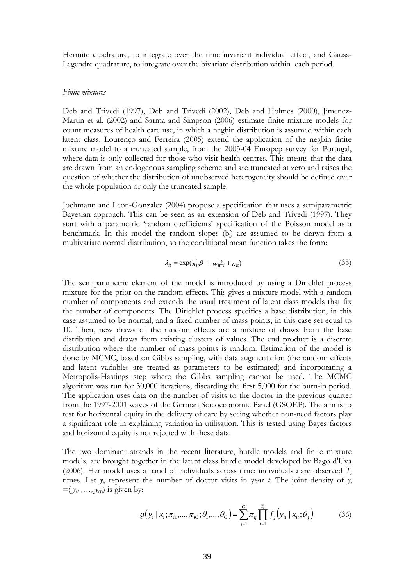Hermite quadrature, to integrate over the time invariant individual effect, and Gauss-Legendre quadrature, to integrate over the bivariate distribution within each period.

#### *Finite mixtures*

Deb and Trivedi (1997), Deb and Trivedi (2002), Deb and Holmes (2000), Jimenez-Martin et al. (2002) and Sarma and Simpson (2006) estimate finite mixture models for count measures of health care use, in which a negbin distribution is assumed within each latent class. Lourenço and Ferreira (2005) extend the application of the negbin finite mixture model to a truncated sample, from the 2003-04 Europep survey for Portugal, where data is only collected for those who visit health centres. This means that the data are drawn from an endogenous sampling scheme and are truncated at zero and raises the question of whether the distribution of unobserved heterogeneity should be defined over the whole population or only the truncated sample.

Jochmann and Leon-Gonzalez (2004) propose a specification that uses a semiparametric Bayesian approach. This can be seen as an extension of Deb and Trivedi (1997). They start with a parametric 'random coefficients' specification of the Poisson model as a benchmark. In this model the random slopes (b<sub>i</sub>) are assumed to be drawn from a multivariate normal distribution, so the conditional mean function takes the form:

$$
\lambda_{it} = \exp(x_{it}\beta + w_{it}b_i + \varepsilon_{it})
$$
\n(35)

The semiparametric element of the model is introduced by using a Dirichlet process mixture for the prior on the random effects. This gives a mixture model with a random number of components and extends the usual treatment of latent class models that fix the number of components. The Dirichlet process specifies a base distribution, in this case assumed to be normal, and a fixed number of mass points, in this case set equal to 10. Then, new draws of the random effects are a mixture of draws from the base distribution and draws from existing clusters of values. The end product is a discrete distribution where the number of mass points is random. Estimation of the model is done by MCMC, based on Gibbs sampling, with data augmentation (the random effects and latent variables are treated as parameters to be estimated) and incorporating a Metropolis-Hastings step where the Gibbs sampling cannot be used. The MCMC algorithm was run for 30,000 iterations, discarding the first 5,000 for the burn-in period. The application uses data on the number of visits to the doctor in the previous quarter from the 1997-2001 waves of the German Socioeconomic Panel (GSOEP). The aim is to test for horizontal equity in the delivery of care by seeing whether non-need factors play a significant role in explaining variation in utilisation. This is tested using Bayes factors and horizontal equity is not rejected with these data.

The two dominant strands in the recent literature, hurdle models and finite mixture models, are brought together in the latent class hurdle model developed by Bago d'Uva (2006). Her model uses a panel of individuals across time: individuals *i* are observed *Ti* times. Let  $y_i$  represent the number of doctor visits in year *t*. The joint density of  $y_i$  $=(y_{it},..., y_{iT})$  is given by:

$$
g(y_i | x_i; \pi_{i1}, \dots, \pi_{iC}; \theta_1, \dots, \theta_C) = \sum_{j=1}^C \pi_{ij} \prod_{t=1}^{T_i} f_j(y_{it} | x_{it}; \theta_j)
$$
(36)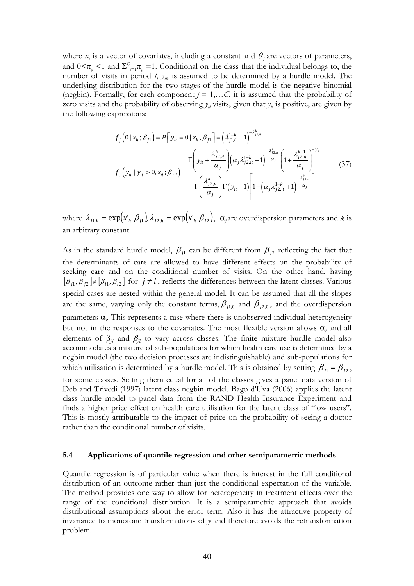where  $x_i$  is a vector of covariates, including a constant and  $\theta_j$  are vectors of parameters, and  $0 \le \pi_{ij} \le 1$  and  $\sum_{j=1}^{C} \pi_{ij} = 1$ . Conditional on the class that the individual belongs to, the number of visits in period  $t$ ,  $y_{ip}$  is assumed to be determined by a hurdle model. The underlying distribution for the two stages of the hurdle model is the negative binomial (negbin). Formally, for each component  $j = 1,...C$ , it is assumed that the probability of zero visits and the probability of observing  $y_i$  visits, given that  $y_i$  is positive, are given by the following expressions:

$$
f_{j}\left(0 \mid x_{it}; \beta_{j1}\right) = P\left[y_{it} = 0 \mid x_{it}, \beta_{j1}\right] = \left(\lambda_{j1, it}^{1-k} + 1\right)^{-\lambda_{j1, it}^{k}}
$$

$$
f_{j}\left(y_{it} \mid y_{it} > 0, x_{it}; \beta_{j2}\right) = \frac{\Gamma\left(y_{it} + \frac{\lambda_{j2, it}^{k}}{\alpha_{j}}\right)\left(\alpha_{j} \lambda_{j2, it}^{1-k} + 1\right)^{-\frac{\lambda_{j2, it}^{k}}{\alpha_{j}}}\left(1 + \frac{\lambda_{j2, it}^{k-1}}{\alpha_{j}}\right)^{-y_{it}}}{\Gamma\left(\frac{\lambda_{j2, it}^{k}}{\alpha_{j}}\right)\Gamma\left(y_{it} + 1\right)\left[1 - \left(\alpha_{j} \lambda_{j2, it}^{1-k} + 1\right)^{-\frac{\lambda_{j2, it}^{k}}{\alpha_{j}}}\right]}
$$
(37)

where  $\lambda_{j1, it} = \exp(x_i \beta_{j1}) \lambda_{j2, it} = \exp(x_i \beta_{j2})$ ,  $\alpha_{j}$  are overdispersion parameters and *k* is an arbitrary constant.

As in the standard hurdle model,  $\beta_{i1}$  can be different from  $\beta_{i2}$  reflecting the fact that the determinants of care are allowed to have different effects on the probability of seeking care and on the conditional number of visits. On the other hand, having  $[\beta_{i_1}, \beta_{i_2}] \neq [\beta_{i_1}, \beta_{i_2}]$  for  $j \neq l$ , reflects the differences between the latent classes. Various special cases are nested within the general model. It can be assumed that all the slopes are the same, varying only the constant terms,  $\beta_{i1,0}$  and  $\beta_{i2,0}$ , and the overdispersion parameters α*<sup>j</sup>* . This represents a case where there is unobserved individual heterogeneity but not in the responses to the covariates. The most flexible version allows  $\alpha_j$  and all elements of  $\beta_{ij}$  and  $\beta_{ij}$  to vary across classes. The finite mixture hurdle model also accommodates a mixture of sub-populations for which health care use is determined by a negbin model (the two decision processes are indistinguishable) and sub-populations for which utilisation is determined by a hurdle model. This is obtained by setting  $\beta_{j1} = \beta_{j2}$ , for some classes. Setting them equal for all of the classes gives a panel data version of Deb and Trivedi (1997) latent class negbin model. Bago d'Uva (2006) applies the latent class hurdle model to panel data from the RAND Health Insurance Experiment and finds a higher price effect on health care utilisation for the latent class of "low users". This is mostly attributable to the impact of price on the probability of seeing a doctor rather than the conditional number of visits.

#### **5.4 Applications of quantile regression and other semiparametric methods**

Quantile regression is of particular value when there is interest in the full conditional distribution of an outcome rather than just the conditional expectation of the variable. The method provides one way to allow for heterogeneity in treatment effects over the range of the conditional distribution. It is a semiparametric approach that avoids distributional assumptions about the error term. Also it has the attractive property of invariance to monotone transformations of *y* and therefore avoids the retransformation problem.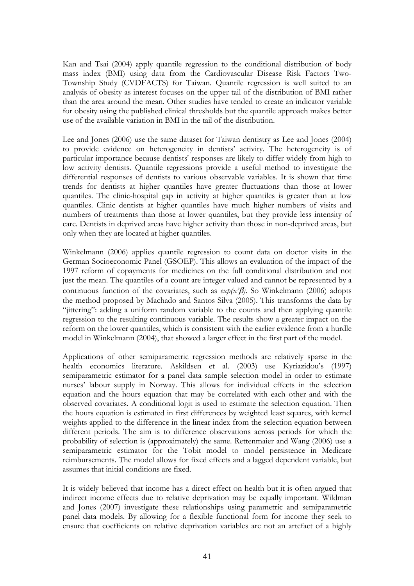Kan and Tsai (2004) apply quantile regression to the conditional distribution of body mass index (BMI) using data from the Cardiovascular Disease Risk Factors Two-Township Study (CVDFACTS) for Taiwan. Quantile regression is well suited to an analysis of obesity as interest focuses on the upper tail of the distribution of BMI rather than the area around the mean. Other studies have tended to create an indicator variable for obesity using the published clinical thresholds but the quantile approach makes better use of the available variation in BMI in the tail of the distribution.

Lee and Jones (2006) use the same dataset for Taiwan dentistry as Lee and Jones (2004) to provide evidence on heterogeneity in dentists' activity. The heterogeneity is of particular importance because dentists' responses are likely to differ widely from high to low activity dentists. Quantile regressions provide a useful method to investigate the differential responses of dentists to various observable variables. It is shown that time trends for dentists at higher quantiles have greater fluctuations than those at lower quantiles. The clinic-hospital gap in activity at higher quantiles is greater than at low quantiles. Clinic dentists at higher quantiles have much higher numbers of visits and numbers of treatments than those at lower quantiles, but they provide less intensity of care. Dentists in deprived areas have higher activity than those in non-deprived areas, but only when they are located at higher quantiles.

Winkelmann (2006) applies quantile regression to count data on doctor visits in the German Socioeconomic Panel (GSOEP). This allows an evaluation of the impact of the 1997 reform of copayments for medicines on the full conditional distribution and not just the mean. The quantiles of a count are integer valued and cannot be represented by a continuous function of the covariates, such as *exp(x'*β*)*. So Winkelmann (2006) adopts the method proposed by Machado and Santos Silva (2005). This transforms the data by "jittering": adding a uniform random variable to the counts and then applying quantile regression to the resulting continuous variable. The results show a greater impact on the reform on the lower quantiles, which is consistent with the earlier evidence from a hurdle model in Winkelmann (2004), that showed a larger effect in the first part of the model.

Applications of other semiparametric regression methods are relatively sparse in the health economics literature. Askildsen et al. (2003) use Kyriazidou's (1997) semiparametric estimator for a panel data sample selection model in order to estimate nurses' labour supply in Norway. This allows for individual effects in the selection equation and the hours equation that may be correlated with each other and with the observed covariates. A conditional logit is used to estimate the selection equation. Then the hours equation is estimated in first differences by weighted least squares, with kernel weights applied to the difference in the linear index from the selection equation between different periods. The aim is to difference observations across periods for which the probability of selection is (approximately) the same. Rettenmaier and Wang (2006) use a semiparametric estimator for the Tobit model to model persistence in Medicare reimbursements. The model allows for fixed effects and a lagged dependent variable, but assumes that initial conditions are fixed.

It is widely believed that income has a direct effect on health but it is often argued that indirect income effects due to relative deprivation may be equally important. Wildman and Jones (2007) investigate these relationships using parametric and semiparametric panel data models. By allowing for a flexible functional form for income they seek to ensure that coefficients on relative deprivation variables are not an artefact of a highly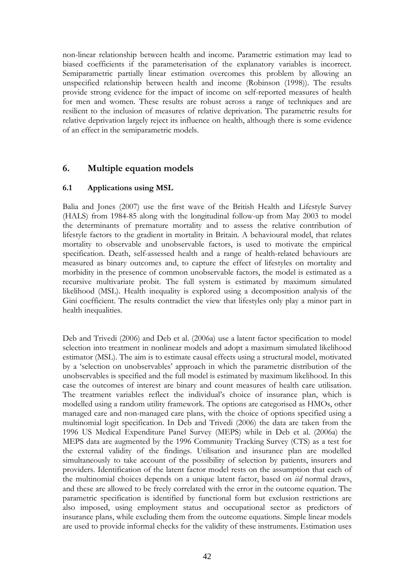non-linear relationship between health and income. Parametric estimation may lead to biased coefficients if the parameterisation of the explanatory variables is incorrect. Semiparametric partially linear estimation overcomes this problem by allowing an unspecified relationship between health and income (Robinson (1998)). The results provide strong evidence for the impact of income on self-reported measures of health for men and women. These results are robust across a range of techniques and are resilient to the inclusion of measures of relative deprivation. The parametric results for relative deprivation largely reject its influence on health, although there is some evidence of an effect in the semiparametric models.

## **6. Multiple equation models**

## **6.1 Applications using MSL**

Balia and Jones (2007) use the first wave of the British Health and Lifestyle Survey (HALS) from 1984-85 along with the longitudinal follow-up from May 2003 to model the determinants of premature mortality and to assess the relative contribution of lifestyle factors to the gradient in mortality in Britain. A behavioural model, that relates mortality to observable and unobservable factors, is used to motivate the empirical specification. Death, self-assessed health and a range of health-related behaviours are measured as binary outcomes and, to capture the effect of lifestyles on mortality and morbidity in the presence of common unobservable factors, the model is estimated as a recursive multivariate probit. The full system is estimated by maximum simulated likelihood (MSL). Health inequality is explored using a decomposition analysis of the Gini coefficient. The results contradict the view that lifestyles only play a minor part in health inequalities.

Deb and Trivedi (2006) and Deb et al. (2006a) use a latent factor specification to model selection into treatment in nonlinear models and adopt a maximum simulated likelihood estimator (MSL). The aim is to estimate causal effects using a structural model, motivated by a 'selection on unobservables' approach in which the parametric distribution of the unobservables is specified and the full model is estimated by maximum likelihood. In this case the outcomes of interest are binary and count measures of health care utilisation. The treatment variables reflect the individual's choice of insurance plan, which is modelled using a random utility framework. The options are categorised as HMOs, other managed care and non-managed care plans, with the choice of options specified using a multinomial logit specification. In Deb and Trivedi (2006) the data are taken from the 1996 US Medical Expenditure Panel Survey (MEPS) while in Deb et al. (2006a) the MEPS data are augmented by the 1996 Community Tracking Survey (CTS) as a test for the external validity of the findings. Utilisation and insurance plan are modelled simultaneously to take account of the possibility of selection by patients, insurers and providers. Identification of the latent factor model rests on the assumption that each of the multinomial choices depends on a unique latent factor, based on *iid* normal draws, and these are allowed to be freely correlated with the error in the outcome equation. The parametric specification is identified by functional form but exclusion restrictions are also imposed, using employment status and occupational sector as predictors of insurance plans, while excluding them from the outcome equations. Simple linear models are used to provide informal checks for the validity of these instruments. Estimation uses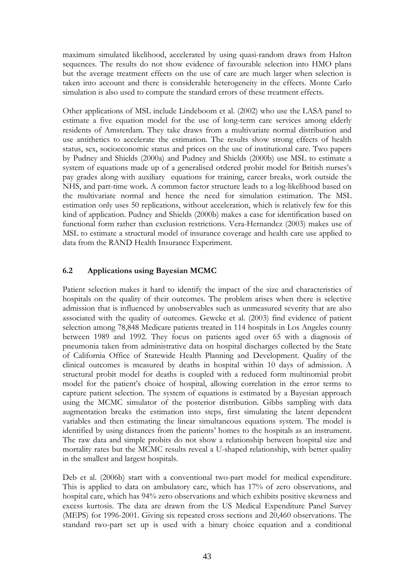maximum simulated likelihood, accelerated by using quasi-random draws from Halton sequences. The results do not show evidence of favourable selection into HMO plans but the average treatment effects on the use of care are much larger when selection is taken into account and there is considerable heterogeneity in the effects. Monte Carlo simulation is also used to compute the standard errors of these treatment effects.

Other applications of MSL include Lindeboom et al. (2002) who use the LASA panel to estimate a five equation model for the use of long-term care services among elderly residents of Amsterdam. They take draws from a multivariate normal distribution and use antithetics to accelerate the estimation. The results show strong effects of health status, sex, socioeconomic status and prices on the use of institutional care. Two papers by Pudney and Shields (2000a) and Pudney and Shields (2000b) use MSL to estimate a system of equations made up of a generalised ordered probit model for British nurses's pay grades along with auxiliary equations for training, career breaks, work outside the NHS, and part-time work. A common factor structure leads to a log-likelihood based on the multivariate normal and hence the need for simulation estimation. The MSL estimation only uses 50 replications, without acceleration, which is relatively few for this kind of application. Pudney and Shields (2000b) makes a case for identification based on functional form rather than exclusion restrictions. Vera-Hernandez (2003) makes use of MSL to estimate a structural model of insurance coverage and health care use applied to data from the RAND Health Insurance Experiment.

## **6.2 Applications using Bayesian MCMC**

Patient selection makes it hard to identify the impact of the size and characteristics of hospitals on the quality of their outcomes. The problem arises when there is selective admission that is influenced by unobservables such as unmeasured severity that are also associated with the quality of outcomes. Geweke et al. (2003) find evidence of patient selection among 78,848 Medicare patients treated in 114 hospitals in Los Angeles county between 1989 and 1992. They focus on patients aged over 65 with a diagnosis of pneumonia taken from administrative data on hospital discharges collected by the State of California Office of Statewide Health Planning and Development. Quality of the clinical outcomes is measured by deaths in hospital within 10 days of admission. A structural probit model for deaths is coupled with a reduced form multinomial probit model for the patient's choice of hospital, allowing correlation in the error terms to capture patient selection. The system of equations is estimated by a Bayesian approach using the MCMC simulator of the posterior distribution. Gibbs sampling with data augmentation breaks the estimation into steps, first simulating the latent dependent variables and then estimating the linear simultaneous equations system. The model is identified by using distances from the patients' homes to the hospitals as an instrument. The raw data and simple probits do not show a relationship between hospital size and mortality rates but the MCMC results reveal a U-shaped relationship, with better quality in the smallest and largest hospitals.

Deb et al. (2006b) start with a conventional two-part model for medical expenditure. This is applied to data on ambulatory care, which has 17% of zero observations, and hospital care, which has 94% zero observations and which exhibits positive skewness and excess kurtosis. The data are drawn from the US Medical Expenditure Panel Survey (MEPS) for 1996-2001. Giving six repeated cross sections and 20,460 observations. The standard two-part set up is used with a binary choice equation and a conditional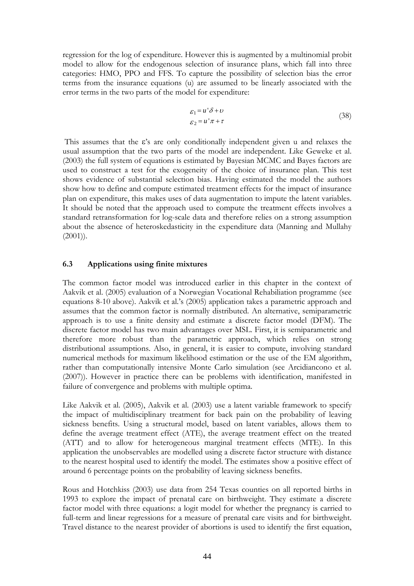regression for the log of expenditure. However this is augmented by a multinomial probit model to allow for the endogenous selection of insurance plans, which fall into three categories: HMO, PPO and FFS. To capture the possibility of selection bias the error terms from the insurance equations (u) are assumed to be linearly associated with the error terms in the two parts of the model for expenditure:

$$
\varepsilon_1 = u' \delta + v \n\varepsilon_2 = u' \pi + \tau
$$
\n(38)

 This assumes that the ε's are only conditionally independent given u and relaxes the usual assumption that the two parts of the model are independent. Like Geweke et al. (2003) the full system of equations is estimated by Bayesian MCMC and Bayes factors are used to construct a test for the exogeneity of the choice of insurance plan. This test shows evidence of substantial selection bias. Having estimated the model the authors show how to define and compute estimated treatment effects for the impact of insurance plan on expenditure, this makes uses of data augmentation to impute the latent variables. It should be noted that the approach used to compute the treatment effects involves a standard retransformation for log-scale data and therefore relies on a strong assumption about the absence of heteroskedasticity in the expenditure data (Manning and Mullahy  $(2001)$ ).

### **6.3 Applications using finite mixtures**

The common factor model was introduced earlier in this chapter in the context of Aakvik et al. (2005) evaluation of a Norwegian Vocational Rehabiliation programme (see equations 8-10 above). Aakvik et al.'s (2005) application takes a parametric approach and assumes that the common factor is normally distributed. An alternative, semiparametric approach is to use a finite density and estimate a discrete factor model (DFM). The discrete factor model has two main advantages over MSL. First, it is semiparametric and therefore more robust than the parametric approach, which relies on strong distributional assumptions. Also, in general, it is easier to compute, involving standard numerical methods for maximum likelihood estimation or the use of the EM algorithm, rather than computationally intensive Monte Carlo simulation (see Arcidiancono et al. (2007)). However in practice there can be problems with identification, manifested in failure of convergence and problems with multiple optima.

Like Aakvik et al. (2005), Aakvik et al. (2003) use a latent variable framework to specify the impact of multidisciplinary treatment for back pain on the probability of leaving sickness benefits. Using a structural model, based on latent variables, allows them to define the average treatment effect (ATE), the average treatment effect on the treated (ATT) and to allow for heterogeneous marginal treatment effects (MTE). In this application the unobservables are modelled using a discrete factor structure with distance to the nearest hospital used to identify the model. The estimates show a positive effect of around 6 percentage points on the probability of leaving sickness benefits.

Rous and Hotchkiss (2003) use data from 254 Texas counties on all reported births in 1993 to explore the impact of prenatal care on birthweight. They estimate a discrete factor model with three equations: a logit model for whether the pregnancy is carried to full-term and linear regressions for a measure of prenatal care visits and for birthweight. Travel distance to the nearest provider of abortions is used to identify the first equation,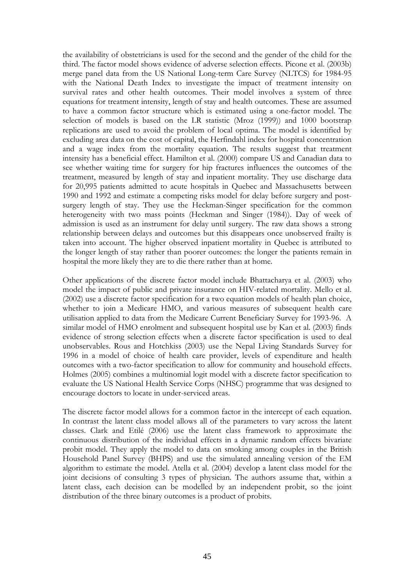the availability of obstetricians is used for the second and the gender of the child for the third. The factor model shows evidence of adverse selection effects. Picone et al. (2003b) merge panel data from the US National Long-term Care Survey (NLTCS) for 1984-95 with the National Death Index to investigate the impact of treatment intensity on survival rates and other health outcomes. Their model involves a system of three equations for treatment intensity, length of stay and health outcomes. These are assumed to have a common factor structure which is estimated using a one-factor model. The selection of models is based on the LR statistic (Mroz (1999)) and 1000 bootstrap replications are used to avoid the problem of local optima. The model is identified by excluding area data on the cost of capital, the Herfindahl index for hospital concentration and a wage index from the mortality equation. The results suggest that treatment intensity has a beneficial effect. Hamilton et al. (2000) compare US and Canadian data to see whether waiting time for surgery for hip fractures influences the outcomes of the treatment, measured by length of stay and inpatient mortality. They use discharge data for 20,995 patients admitted to acute hospitals in Quebec and Massachusetts between 1990 and 1992 and estimate a competing risks model for delay before surgery and postsurgery length of stay. They use the Heckman-Singer specification for the common heterogeneity with two mass points (Heckman and Singer (1984)). Day of week of admission is used as an instrument for delay until surgery. The raw data shows a strong relationship between delays and outcomes but this disappears once unobserved frailty is taken into account. The higher observed inpatient mortality in Quebec is attributed to the longer length of stay rather than poorer outcomes: the longer the patients remain in hospital the more likely they are to die there rather than at home.

Other applications of the discrete factor model include Bhattacharya et al. (2003) who model the impact of public and private insurance on HIV-related mortality. Mello et al. (2002) use a discrete factor specification for a two equation models of health plan choice, whether to join a Medicare HMO, and various measures of subsequent health care utilisation applied to data from the Medicare Current Beneficiary Survey for 1993-96. A similar model of HMO enrolment and subsequent hospital use by Kan et al. (2003) finds evidence of strong selection effects when a discrete factor specification is used to deal unobservables. Rous and Hotchkiss (2003) use the Nepal Living Standards Survey for 1996 in a model of choice of health care provider, levels of expenditure and health outcomes with a two-factor specification to allow for community and household effects. Holmes (2005) combines a multinomial logit model with a discrete factor specification to evaluate the US National Health Service Corps (NHSC) programme that was designed to encourage doctors to locate in under-serviced areas.

The discrete factor model allows for a common factor in the intercept of each equation. In contrast the latent class model allows all of the parameters to vary across the latent classes. Clark and Etilé (2006) use the latent class framework to approximate the continuous distribution of the individual effects in a dynamic random effects bivariate probit model. They apply the model to data on smoking among couples in the British Household Panel Survey (BHPS) and use the simulated annealing version of the EM algorithm to estimate the model. Atella et al. (2004) develop a latent class model for the joint decisions of consulting 3 types of physician. The authors assume that, within a latent class, each decision can be modelled by an independent probit, so the joint distribution of the three binary outcomes is a product of probits.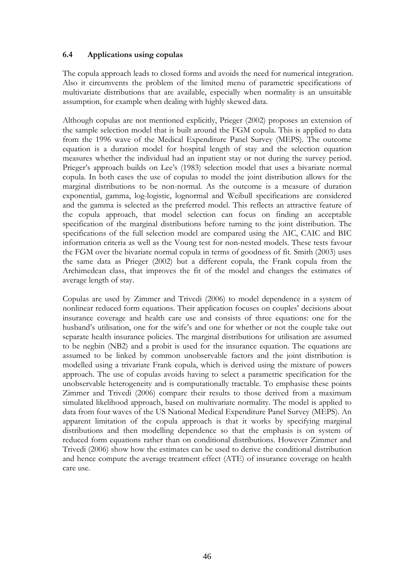## **6.4 Applications using copulas**

The copula approach leads to closed forms and avoids the need for numerical integration. Also it circumvents the problem of the limited menu of parametric specifications of multivariate distributions that are available, especially when normality is an unsuitable assumption, for example when dealing with highly skewed data.

Although copulas are not mentioned explicitly, Prieger (2002) proposes an extension of the sample selection model that is built around the FGM copula. This is applied to data from the 1996 wave of the Medical Expenditure Panel Survey (MEPS). The outcome equation is a duration model for hospital length of stay and the selection equation measures whether the individual had an inpatient stay or not during the survey period. Prieger's approach builds on Lee's (1983) selection model that uses a bivariate normal copula. In both cases the use of copulas to model the joint distribution allows for the marginal distributions to be non-normal. As the outcome is a measure of duration exponential, gamma, log-logistic, lognormal and Weibull specifications are considered and the gamma is selected as the preferred model. This reflects an attractive feature of the copula approach, that model selection can focus on finding an acceptable specification of the marginal distributions before turning to the joint distribution. The specifications of the full selection model are compared using the AIC, CAIC and BIC information criteria as well as the Voung test for non-nested models. These tests favour the FGM over the bivariate normal copula in terms of goodness of fit. Smith (2003) uses the same data as Prieger (2002) but a different copula, the Frank copula from the Archimedean class, that improves the fit of the model and changes the estimates of average length of stay.

Copulas are used by Zimmer and Trivedi (2006) to model dependence in a system of nonlinear reduced form equations. Their application focuses on couples' decisions about insurance coverage and health care use and consists of three equations: one for the husband's utilisation, one for the wife's and one for whether or not the couple take out separate health insurance policies. The marginal distributions for utilisation are assumed to be negbin (NB2) and a probit is used for the insurance equation. The equations are assumed to be linked by common unobservable factors and the joint distribution is modelled using a trivariate Frank copula, which is derived using the mixture of powers approach. The use of copulas avoids having to select a parametric specification for the unobservable heterogeneity and is computationally tractable. To emphasise these points Zimmer and Trivedi (2006) compare their results to those derived from a maximum simulated likelihood approach, based on multivariate normality. The model is applied to data from four waves of the US National Medical Expenditure Panel Survey (MEPS). An apparent limitation of the copula approach is that it works by specifying marginal distributions and then modelling dependence so that the emphasis is on system of reduced form equations rather than on conditional distributions. However Zimmer and Trivedi (2006) show how the estimates can be used to derive the conditional distribution and hence compute the average treatment effect (ATE) of insurance coverage on health care use.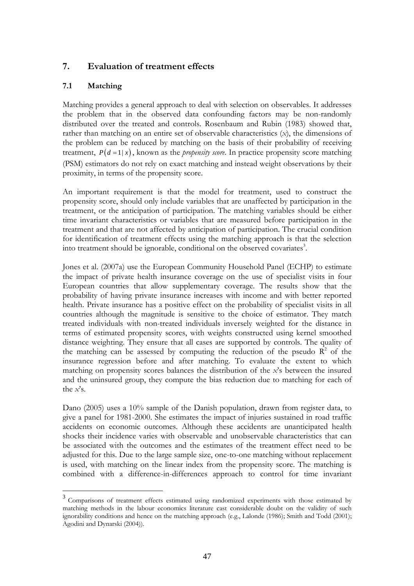## **7. Evaluation of treatment effects**

## **7.1 Matching**

 $\overline{a}$ 

Matching provides a general approach to deal with selection on observables. It addresses the problem that in the observed data confounding factors may be non-randomly distributed over the treated and controls. Rosenbaum and Rubin (1983) showed that, rather than matching on an entire set of observable characteristics (*x*), the dimensions of the problem can be reduced by matching on the basis of their probability of receiving treatment,  $P(d=1|x)$ , known as the *propensity score*. In practice propensity score matching (PSM) estimators do not rely on exact matching and instead weight observations by their proximity, in terms of the propensity score.

An important requirement is that the model for treatment, used to construct the propensity score, should only include variables that are unaffected by participation in the treatment, or the anticipation of participation. The matching variables should be either time invariant characteristics or variables that are measured before participation in the treatment and that are not affected by anticipation of participation. The crucial condition for identification of treatment effects using the matching approach is that the selection into treatment should be ignorable, conditional on the observed covariates<sup>3</sup>.

Jones et al. (2007a) use the European Community Household Panel (ECHP) to estimate the impact of private health insurance coverage on the use of specialist visits in four European countries that allow supplementary coverage. The results show that the probability of having private insurance increases with income and with better reported health. Private insurance has a positive effect on the probability of specialist visits in all countries although the magnitude is sensitive to the choice of estimator. They match treated individuals with non-treated individuals inversely weighted for the distance in terms of estimated propensity scores, with weights constructed using kernel smoothed distance weighting. They ensure that all cases are supported by controls. The quality of the matching can be assessed by computing the reduction of the pseudo  $R^2$  of the insurance regression before and after matching. To evaluate the extent to which matching on propensity scores balances the distribution of the *x*'s between the insured and the uninsured group, they compute the bias reduction due to matching for each of the *x*'s.

Dano (2005) uses a 10% sample of the Danish population, drawn from register data, to give a panel for 1981-2000. She estimates the impact of injuries sustained in road traffic accidents on economic outcomes. Although these accidents are unanticipated health shocks their incidence varies with observable and unobservable characteristics that can be associated with the outcomes and the estimates of the treatment effect need to be adjusted for this. Due to the large sample size, one-to-one matching without replacement is used, with matching on the linear index from the propensity score. The matching is combined with a difference-in-differences approach to control for time invariant

<sup>&</sup>lt;sup>3</sup> Comparisons of treatment effects estimated using randomized experiments with those estimated by matching methods in the labour economics literature cast considerable doubt on the validity of such ignorability conditions and hence on the matching approach (e.g., Lalonde (1986); Smith and Todd (2001); Agodini and Dynarski (2004)).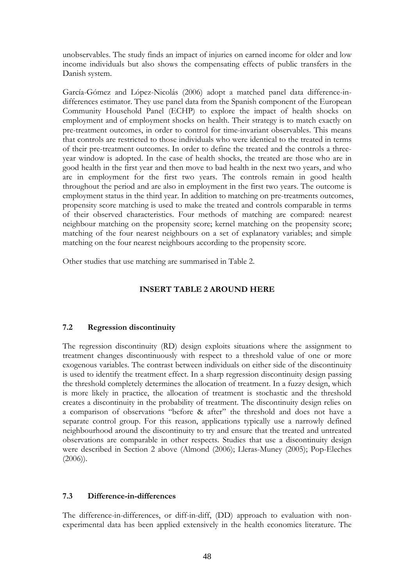unobservables. The study finds an impact of injuries on earned income for older and low income individuals but also shows the compensating effects of public transfers in the Danish system.

García-Gómez and López-Nicolás (2006) adopt a matched panel data difference-indifferences estimator. They use panel data from the Spanish component of the European Community Household Panel (ECHP) to explore the impact of health shocks on employment and of employment shocks on health. Their strategy is to match exactly on pre-treatment outcomes, in order to control for time-invariant observables. This means that controls are restricted to those individuals who were identical to the treated in terms of their pre-treatment outcomes. In order to define the treated and the controls a threeyear window is adopted. In the case of health shocks, the treated are those who are in good health in the first year and then move to bad health in the next two years, and who are in employment for the first two years. The controls remain in good health throughout the period and are also in employment in the first two years. The outcome is employment status in the third year. In addition to matching on pre-treatments outcomes, propensity score matching is used to make the treated and controls comparable in terms of their observed characteristics. Four methods of matching are compared: nearest neighbour matching on the propensity score; kernel matching on the propensity score; matching of the four nearest neighbours on a set of explanatory variables; and simple matching on the four nearest neighbours according to the propensity score.

Other studies that use matching are summarised in Table 2.

## **INSERT TABLE 2 AROUND HERE**

## **7.2 Regression discontinuity**

The regression discontinuity (RD) design exploits situations where the assignment to treatment changes discontinuously with respect to a threshold value of one or more exogenous variables. The contrast between individuals on either side of the discontinuity is used to identify the treatment effect. In a sharp regression discontinuity design passing the threshold completely determines the allocation of treatment. In a fuzzy design, which is more likely in practice, the allocation of treatment is stochastic and the threshold creates a discontinuity in the probability of treatment. The discontinuity design relies on a comparison of observations "before & after" the threshold and does not have a separate control group. For this reason, applications typically use a narrowly defined neighbourhood around the discontinuity to try and ensure that the treated and untreated observations are comparable in other respects. Studies that use a discontinuity design were described in Section 2 above (Almond (2006); Lleras-Muney (2005); Pop-Eleches  $(2006)$ ).

## **7.3 Difference-in-differences**

The difference-in-differences, or diff-in-diff, (DD) approach to evaluation with nonexperimental data has been applied extensively in the health economics literature. The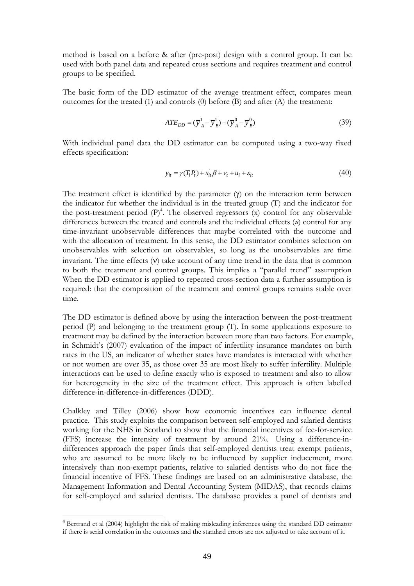method is based on a before & after (pre-post) design with a control group. It can be used with both panel data and repeated cross sections and requires treatment and control groups to be specified.

The basic form of the DD estimator of the average treatment effect, compares mean outcomes for the treated  $(1)$  and controls  $(0)$  before  $(B)$  and after  $(A)$  the treatment:

$$
ATE_{DD} = (\bar{y}_A^1 - \bar{y}_B^1) - (\bar{y}_A^0 - \bar{y}_B^0)
$$
\n(39)

With individual panel data the DD estimator can be computed using a two-way fixed effects specification:

$$
y_{it} = \gamma(T_i P_t) + x_{it} \beta + v_t + u_i + \varepsilon_{it}
$$
\n
$$
\tag{40}
$$

The treatment effect is identified by the parameter  $(y)$  on the interaction term between the indicator for whether the individual is in the treated group (T) and the indicator for the post-treatment period  $(P)^4$ . The observed regressors  $(x)$  control for any observable differences between the treated and controls and the individual effects (*u*) control for any time-invariant unobservable differences that maybe correlated with the outcome and with the allocation of treatment. In this sense, the DD estimator combines selection on unobservables with selection on observables, so long as the unobservables are time invariant. The time effects (ν) take account of any time trend in the data that is common to both the treatment and control groups. This implies a "parallel trend" assumption When the DD estimator is applied to repeated cross-section data a further assumption is required: that the composition of the treatment and control groups remains stable over time.

The DD estimator is defined above by using the interaction between the post-treatment period (P) and belonging to the treatment group (T). In some applications exposure to treatment may be defined by the interaction between more than two factors. For example, in Schmidt's (2007) evaluation of the impact of infertility insurance mandates on birth rates in the US, an indicator of whether states have mandates is interacted with whether or not women are over 35, as those over 35 are most likely to suffer infertility. Multiple interactions can be used to define exactly who is exposed to treatment and also to allow for heterogeneity in the size of the treatment effect. This approach is often labelled difference-in-difference-in-differences (DDD).

Chalkley and Tilley (2006) show how economic incentives can influence dental practice. This study exploits the comparison between self-employed and salaried dentists working for the NHS in Scotland to show that the financial incentives of fee-for-service (FFS) increase the intensity of treatment by around 21%. Using a difference-indifferences approach the paper finds that self-employed dentists treat exempt patients, who are assumed to be more likely to be influenced by supplier inducement, more intensively than non-exempt patients, relative to salaried dentists who do not face the financial incentive of FFS. These findings are based on an administrative database, the Management Information and Dental Accounting System (MIDAS), that records claims for self-employed and salaried dentists. The database provides a panel of dentists and

 $\overline{a}$ 

<sup>4</sup> Bertrand et al (2004) highlight the risk of making misleading inferences using the standard DD estimator if there is serial correlation in the outcomes and the standard errors are not adjusted to take account of it.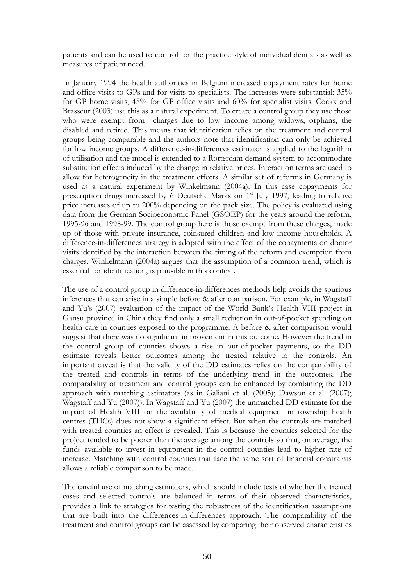patients and can be used to control for the practice style of individual dentists as well as measures of patient need.

In January 1994 the health authorities in Belgium increased copayment rates for home and office visits to GPs and for visits to specialists. The increases were substantial: 35% for GP home visits, 45% for GP office visits and 60% for specialist visits. Cockx and Brasseur (2003) use this as a natural experiment. To create a control group they use those who were exempt from charges due to low income among widows, orphans, the disabled and retired. This means that identification relies on the treatment and control groups being comparable and the authors note that identification can only be achieved for low income groups. A difference-in-differences estimator is applied to the logarithm of utilisation and the model is extended to a Rotterdam demand system to accommodate substitution effects induced by the change in relative prices. Interaction terms are used to allow for heterogeneity in the treatment effects. A similar set of reforms in Germany is used as a natural experiment by Winkelmann (2004a). In this case copayments for prescription drugs increased by 6 Deutsche Marks on  $1<sup>st</sup>$  July 1997, leading to relative price increases of up to 200% depending on the pack size. The policy is evaluated using data from the German Socioeconomic Panel (GSOEP) for the years around the reform, 1995-96 and 1998-99. The control group here is those exempt from these charges, made up of those with private insurance, coinsured children and low income households. A difference-in-differences strategy is adopted with the effect of the copayments on doctor visits identified by the interaction between the timing of the reform and exemption from charges. Winkelmann (2004a) argues that the assumption of a common trend, which is essential for identification, is plausible in this context.

The use of a control group in difference-in-differences methods help avoids the spurious inferences that can arise in a simple before & after comparison. For example, in Wagstaff and Yu's (2007) evaluation of the impact of the World Bank's Health VIII project in Gansu province in China they find only a small reduction in out-of-pocket spending on health care in counties exposed to the programme. A before & after comparison would suggest that there was no significant improvement in this outcome. However the trend in the control group of counties shows a rise in out-of-pocket payments, so the DD estimate reveals better outcomes among the treated relative to the controls. An important caveat is that the validity of the DD estimates relies on the comparability of the treated and controls in terms of the underlying trend in the outcomes. The comparability of treatment and control groups can be enhanced by combining the DD approach with matching estimators (as in Galiani et al. (2005); Dawson et al. (2007); Wagstaff and Yu (2007)). In Wagstaff and Yu (2007) the unmatched DD estimate for the impact of Health VIII on the availability of medical equipment in township health centres (THCs) does not show a significant effect. But when the controls are matched with treated counties an effect is revealed. This is because the counties selected for the project tended to be poorer than the average among the controls so that, on average, the funds available to invest in equipment in the control counties lead to higher rate of increase. Matching with control counties that face the same sort of financial constraints allows a reliable comparison to be made.

The careful use of matching estimators, which should include tests of whether the treated cases and selected controls are balanced in terms of their observed characteristics, provides a link to strategies for testing the robustness of the identification assumptions that are built into the differences-in-differences approach. The comparability of the treatment and control groups can be assessed by comparing their observed characteristics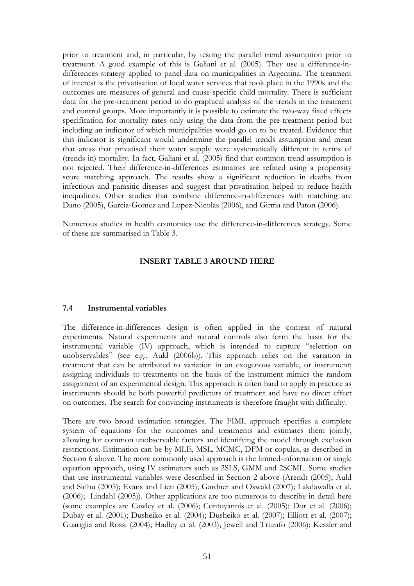prior to treatment and, in particular, by testing the parallel trend assumption prior to treatment. A good example of this is Galiani et al. (2005). They use a difference-indifferences strategy applied to panel data on municipalities in Argentina. The treatment of interest is the privatisation of local water services that took place in the 1990s and the outcomes are measures of general and cause-specific child mortality. There is sufficient data for the pre-treatment period to do graphical analysis of the trends in the treatment and control groups. More importantly it is possible to estimate the two-way fixed effects specification for mortality rates only using the data from the pre-treatment period but including an indicator of which municipalities would go on to be treated. Evidence that this indicator is significant would undermine the parallel trends assumption and mean that areas that privatised their water supply were systematically different in terms of (trends in) mortality. In fact, Galiani et al. (2005) find that common trend assumption is not rejected. Their difference-in-differences estimators are refined using a propensity score matching approach. The results show a significant reduction in deaths from infectious and parasitic diseases and suggest that privatisation helped to reduce health inequalities. Other studies that combine difference-in-differences with matching are Dano (2005), Garcia-Gomez and Lopez-Nicolas (2006), and Girma and Paton (2006).

Numerous studies in health economics use the difference-in-differences strategy. Some of these are summarised in Table 3.

### **INSERT TABLE 3 AROUND HERE**

### **7.4 Instrumental variables**

The difference-in-differences design is often applied in the context of natural experiments. Natural experiments and natural controls also form the basis for the instrumental variable (IV) approach, which is intended to capture "selection on unobservables" (see e.g., Auld (2006b)). This approach relies on the variation in treatment that can be attributed to variation in an exogenous variable, or instrument; assigning individuals to treatments on the basis of the instrument mimics the random assignment of an experimental design. This approach is often hard to apply in practice as instruments should be both powerful predictors of treatment and have no direct effect on outcomes. The search for convincing instruments is therefore fraught with difficulty.

There are two broad estimation strategies. The FIML approach specifies a complete system of equations for the outcomes and treatments and estimates them jointly, allowing for common unobservable factors and identifying the model through exclusion restrictions. Estimation can be by MLE, MSL, MCMC, DFM or copulas, as described in Section 6 above. The more commonly used approach is the limited-information or single equation approach, using IV estimators such as 2SLS, GMM and 2SCML. Some studies that use instrumental variables were described in Section 2 above (Arendt (2005); Auld and Sidhu (2005); Evans and Lien (2005); Gardner and Oswald (2007); Lakdawalla et al. (2006); Lindahl (2005)). Other applications are too numerous to describe in detail here (some examples are Cawley et al. (2006); Contoyannis et al. (2005); Dor et al. (2006); Dubay et al. (2001); Dusheiko et al. (2004); Dusheiko et al. (2007); Elliott et al. (2007); Guariglia and Rossi (2004); Hadley et al. (2003); Jewell and Triunfo (2006); Kessler and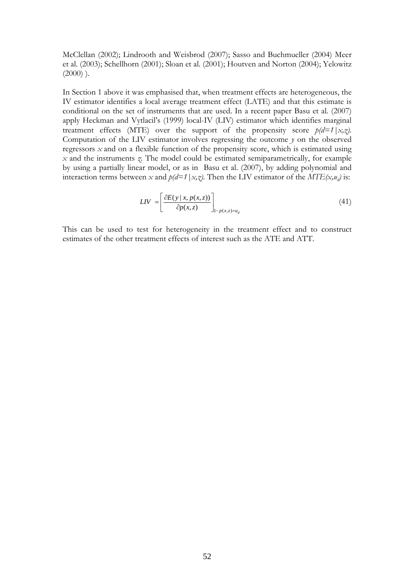McClellan (2002); Lindrooth and Weisbrod (2007); Sasso and Buchmueller (2004) Meer et al. (2003); Schellhorn (2001); Sloan et al. (2001); Houtven and Norton (2004); Yelowitz  $(2000)$ ).

In Section 1 above it was emphasised that, when treatment effects are heterogeneous, the IV estimator identifies a local average treatment effect (LATE) and that this estimate is conditional on the set of instruments that are used. In a recent paper Basu et al. (2007) apply Heckman and Vytlacil's (1999) local-IV (LIV) estimator which identifies marginal treatment effects (MTE) over the support of the propensity score  $p(d=1|x,z)$ . Computation of the LIV estimator involves regressing the outcome *y* on the observed regressors *x* and on a flexible function of the propensity score, which is estimated using *x* and the instruments *z*. The model could be estimated semiparametrically, for example by using a partially linear model, or as in Basu et al. (2007), by adding polynomial and interaction terms between *x* and  $p(d=1|x,z)$ . Then the LIV estimator of the *MTE*(*x,u<sub>d</sub>*) is:

$$
LIV = \left[\frac{\partial E(y \mid x, p(x, z))}{\partial p(x, z)}\right]_{1 - p(x, z) = u_d}
$$
\n(41)

This can be used to test for heterogeneity in the treatment effect and to construct estimates of the other treatment effects of interest such as the ATE and ATT.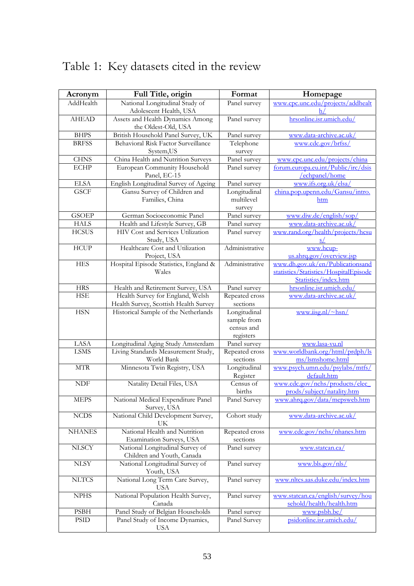# Table 1: Key datasets cited in the review Acronym Full Title, origin Format Homepage AddHealth National Longitudinal Study of

| Adolescent Health, USA<br><b>AHEAD</b><br>Assets and Health Dynamics Among<br>Panel survey<br>hrsonline.isr.umich.edu/<br>the Oldest-Old, USA<br><b>BHPS</b><br>British Household Panel Survey, UK<br>Panel survey<br>www.data-archive.ac.uk/ | www.cpc.unc.edu/projects/addhealt |
|-----------------------------------------------------------------------------------------------------------------------------------------------------------------------------------------------------------------------------------------------|-----------------------------------|
|                                                                                                                                                                                                                                               |                                   |
|                                                                                                                                                                                                                                               |                                   |
|                                                                                                                                                                                                                                               |                                   |
|                                                                                                                                                                                                                                               |                                   |
| <b>BRFSS</b><br>Behavioral Risk Factor Surveillance<br>www.cdc.gov/brfss/<br>Telephone                                                                                                                                                        |                                   |
| System, US<br>survey                                                                                                                                                                                                                          |                                   |
| <b>CHNS</b><br>China Health and Nutrition Surveys<br>Panel survey<br>www.cpc.unc.edu/projects/china                                                                                                                                           |                                   |
| <b>ECHP</b><br>European Community Household<br>forum.europa.eu.int/Public/irc/dsis<br>Panel survey                                                                                                                                            |                                   |
| /echpanel/home<br>Panel, EC-15                                                                                                                                                                                                                |                                   |
| English Longitudinal Survey of Ageing<br><b>ELSA</b><br>Panel survey<br>www.ifs.org.uk/elsa/                                                                                                                                                  |                                   |
| <b>GSCF</b><br>Gansu Survey of Children and<br>Longitudinal<br>china.pop.upenn.edu/Gansu/intro.                                                                                                                                               |                                   |
| multilevel<br>Families, China<br>htm                                                                                                                                                                                                          |                                   |
| survey                                                                                                                                                                                                                                        |                                   |
| <b>GSOEP</b><br>Panel survey<br>German Socioeconomic Panel<br>www.diw.de/english/sop/                                                                                                                                                         |                                   |
| www.data-archive.ac.uk/<br><b>HALS</b><br>Health and Lifestyle Survey, GB<br>Panel survey                                                                                                                                                     |                                   |
| <b>HCSUS</b><br>HIV Cost and Services Utilization<br>Panel survey<br>www.rand.org/health/projects/hcsu                                                                                                                                        |                                   |
| Study, USA                                                                                                                                                                                                                                    |                                   |
| Administrative<br><b>HCUP</b><br>Healthcare Cost and Utilization<br>www.hcup-                                                                                                                                                                 |                                   |
| us.ahrq.gov/overview.jsp<br>Project, USA                                                                                                                                                                                                      |                                   |
| <b>HES</b><br>Hospital Episode Statistics, England &<br>Administrative<br>www.dh.gov.uk/en/Publicationsand                                                                                                                                    |                                   |
| statistics/Statistics/HospitalEpisode<br>Wales                                                                                                                                                                                                |                                   |
| Statistics/index.htm                                                                                                                                                                                                                          |                                   |
| hrsonline.isr.umich.edu/<br><b>HRS</b><br>Health and Retirement Survey, USA<br>Panel survey                                                                                                                                                   |                                   |
| Health Survey for England, Welsh<br><b>HSE</b><br>Repeated cross<br>www.data-archive.ac.uk/                                                                                                                                                   |                                   |
| Health Survey, Scottish Health Survey<br>sections                                                                                                                                                                                             |                                   |
| <b>HSN</b><br>www.iisg.nl/~hsn/<br>Historical Sample of the Netherlands<br>Longitudinal                                                                                                                                                       |                                   |
| sample from                                                                                                                                                                                                                                   |                                   |
| census and                                                                                                                                                                                                                                    |                                   |
| registers                                                                                                                                                                                                                                     |                                   |
| LASA<br>Longitudinal Aging Study Amsterdam<br>Panel survey<br>www.lasa-vu.nl                                                                                                                                                                  |                                   |
| Living Standards Measurement Study,<br>www.worldbank.org/html/prdph/ls<br><b>LSMS</b><br>Repeated cross                                                                                                                                       |                                   |
| ms/lsmshome.html<br>World Bank<br>sections                                                                                                                                                                                                    |                                   |
| $\operatorname{MTR}$<br>Minnesota Twin Registry, USA<br>Longitudinal<br>www.psych.umn.edu/psylabs/mtfs/                                                                                                                                       |                                   |
| default.htm<br>Register                                                                                                                                                                                                                       |                                   |
| Census of<br><b>NDF</b><br>Natality Detail Files, USA<br>www.cdc.gov/nchs/products/elec                                                                                                                                                       |                                   |
| prods/subject/natality.htm<br>births                                                                                                                                                                                                          |                                   |
| <b>MEPS</b><br>National Medical Expenditure Panel<br>www.ahrq.gov/data/mepsweb.htm<br>Panel Survey                                                                                                                                            |                                   |
| Survey, USA                                                                                                                                                                                                                                   |                                   |
|                                                                                                                                                                                                                                               |                                   |
| <b>NCDS</b><br>National Child Development Survey,<br>www.data-archive.ac.uk/<br>Cohort study                                                                                                                                                  |                                   |
| UК                                                                                                                                                                                                                                            |                                   |
| <b>NHANES</b><br>National Health and Nutrition<br>Repeated cross<br>www.cdc.gov/nchs/nhanes.htm                                                                                                                                               |                                   |
| Examination Surveys, USA<br>sections                                                                                                                                                                                                          |                                   |
| <b>NLSCY</b><br>National Longitudinal Survey of<br>Panel survey<br>www.statcan.ca/                                                                                                                                                            |                                   |
| Children and Youth, Canada                                                                                                                                                                                                                    |                                   |
| <b>NLSY</b><br>National Longitudinal Survey of<br>Panel survey<br>www.bls.gov/nls/                                                                                                                                                            |                                   |
| Youth, USA                                                                                                                                                                                                                                    |                                   |
| <b>NLTCS</b><br>National Long Term Care Survey,<br>www.nltcs.aas.duke.edu/index.htm<br>Panel survey                                                                                                                                           |                                   |
| <b>USA</b>                                                                                                                                                                                                                                    |                                   |
| <b>NPHS</b><br>National Population Health Survey,<br>www.statcan.ca/english/survey/hou<br>Panel survey                                                                                                                                        |                                   |
| sehold/health/health.htm<br>Canada                                                                                                                                                                                                            |                                   |
| Panel Study of Belgian Households<br><b>PSBH</b><br>Panel survey<br>www.psbh.be/                                                                                                                                                              |                                   |
| <b>PSID</b><br>Panel Study of Income Dynamics,<br>Panel Survey<br>psidonline.isr.umich.edu/                                                                                                                                                   |                                   |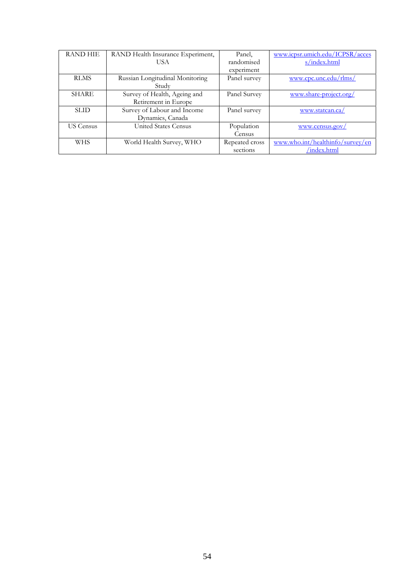| <b>RAND HIE</b> | RAND Health Insurance Experiment, | Panel,         | www.icpsr.umich.edu/ICPSR/acces  |
|-----------------|-----------------------------------|----------------|----------------------------------|
|                 | <b>USA</b>                        | randomised     | s/index.html                     |
|                 |                                   | experiment     |                                  |
| <b>RLMS</b>     | Russian Longitudinal Monitoring   | Panel survey   | www.cpc.unc.edu/rlms/            |
|                 | Study                             |                |                                  |
| <b>SHARE</b>    | Survey of Health, Ageing and      | Panel Survey   | www.share-project.org/           |
|                 | Retirement in Europe              |                |                                  |
| <b>SLID</b>     | Survey of Labour and Income       | Panel survey   | www.statcan.ca/                  |
|                 | Dynamics, Canada                  |                |                                  |
| US Census       | United States Census              | Population     | www.census.gov/                  |
|                 |                                   | Census         |                                  |
| <b>WHS</b>      | World Health Survey, WHO          | Repeated cross | www.who.int/healthinfo/survey/en |
|                 |                                   | sections       | /index.html                      |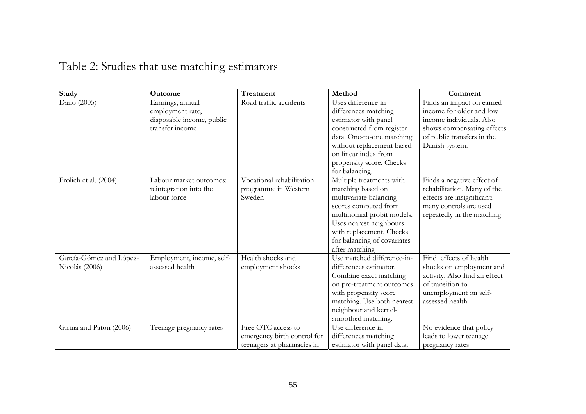## Table 2: Studies that use matching estimators

| <b>Study</b>                              | Outcome                                                                              | <b>Treatment</b>                                                                | Method                                                                                                                                                                                                                                | Comment                                                                                                                                                         |
|-------------------------------------------|--------------------------------------------------------------------------------------|---------------------------------------------------------------------------------|---------------------------------------------------------------------------------------------------------------------------------------------------------------------------------------------------------------------------------------|-----------------------------------------------------------------------------------------------------------------------------------------------------------------|
| Dano (2005)                               | Earnings, annual<br>employment rate,<br>disposable income, public<br>transfer income | Road traffic accidents                                                          | Uses difference-in-<br>differences matching<br>estimator with panel<br>constructed from register<br>data. One-to-one matching<br>without replacement based<br>on linear index from<br>propensity score. Checks<br>for balancing.      | Finds an impact on earned<br>income for older and low<br>income individuals. Also<br>shows compensating effects<br>of public transfers in the<br>Danish system. |
| Frolich et al. (2004)                     | Labour market outcomes:<br>reintegration into the<br>labour force                    | Vocational rehabilitation<br>programme in Western<br>Sweden                     | Multiple treatments with<br>matching based on<br>multivariate balancing<br>scores computed from<br>multinomial probit models.<br>Uses nearest neighbours<br>with replacement. Checks<br>for balancing of covariates<br>after matching | Finds a negative effect of<br>rehabilitation. Many of the<br>effects are insignificant:<br>many controls are used<br>repeatedly in the matching                 |
| García-Gómez and López-<br>Nicolás (2006) | Employment, income, self-<br>assessed health                                         | Health shocks and<br>employment shocks                                          | Use matched difference-in-<br>differences estimator.<br>Combine exact matching<br>on pre-treatment outcomes<br>with propensity score<br>matching. Use both nearest<br>neighbour and kernel-<br>smoothed matching.                     | Find effects of health<br>shocks on employment and<br>activity. Also find an effect<br>of transition to<br>unemployment on self-<br>assessed health.            |
| Girma and Paton (2006)                    | Teenage pregnancy rates                                                              | Free OTC access to<br>emergency birth control for<br>teenagers at pharmacies in | Use difference-in-<br>differences matching<br>estimator with panel data.                                                                                                                                                              | No evidence that policy<br>leads to lower teenage<br>pregnancy rates                                                                                            |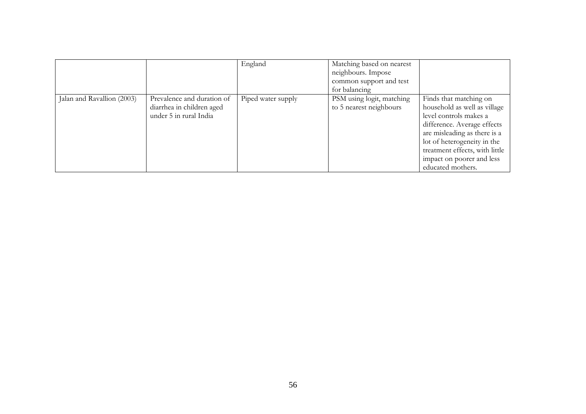|                            |                                                                                   | England            | Matching based on nearest<br>neighbours. Impose<br>common support and test<br>for balancing |                                                                                                                                                                                                                                                                    |
|----------------------------|-----------------------------------------------------------------------------------|--------------------|---------------------------------------------------------------------------------------------|--------------------------------------------------------------------------------------------------------------------------------------------------------------------------------------------------------------------------------------------------------------------|
| Jalan and Ravallion (2003) | Prevalence and duration of<br>diarrhea in children aged<br>under 5 in rural India | Piped water supply | PSM using logit, matching<br>to 5 nearest neighbours                                        | Finds that matching on<br>household as well as village<br>level controls makes a<br>difference. Average effects<br>are misleading as there is a<br>lot of heterogeneity in the<br>treatment effects, with little<br>impact on poorer and less<br>educated mothers. |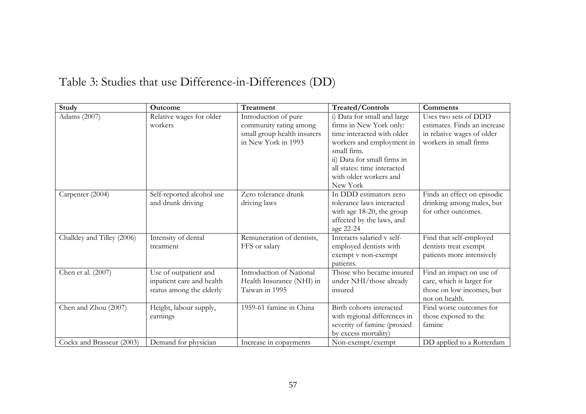| Study                      | Outcome                   | Treatment                       | <b>Treated/Controls</b>      | <b>Comments</b>              |
|----------------------------|---------------------------|---------------------------------|------------------------------|------------------------------|
| Adams (2007)               | Relative wages for older  | Introduction of pure            | i) Data for small and large  | Uses two sets of DDD         |
|                            | workers                   | community rating among          | firms in New York only:      | estimates. Finds an increase |
|                            |                           | small group health insurers     | time interacted with older   | in relative wages of older   |
|                            |                           | in New York in 1993             | workers and employment in    | workers in small firms       |
|                            |                           |                                 | small firm.                  |                              |
|                            |                           |                                 | ii) Data for small firms in  |                              |
|                            |                           |                                 | all states: time interacted  |                              |
|                            |                           |                                 | with older workers and       |                              |
|                            |                           |                                 | New York                     |                              |
| Carpenter (2004)           | Self-reported alcohol use | Zero tolerance drunk            | In DDD estimators zero       | Finds an effect on episodic  |
|                            | and drunk driving         | driving laws                    | tolerance laws interacted    | drinking among males, but    |
|                            |                           |                                 | with age 18-20, the group    | for other outcomes.          |
|                            |                           |                                 | affected by the laws, and    |                              |
|                            |                           |                                 | age 22-24                    |                              |
| Chalkley and Tilley (2006) | Intensity of dental       | Remuneration of dentists,       | Interacts salaried v self-   | Find that self-employed      |
|                            | treatment                 | FFS or salary                   | employed dentists with       | dentists treat exempt        |
|                            |                           |                                 | exempt v non-exempt          | patients more intensively    |
|                            |                           |                                 | patients.                    |                              |
| Chen et al. (2007)         | Use of outpatient and     | <b>Introduction of National</b> | Those who became insured     | Find an impact on use of     |
|                            | inpatient care and health | Health Insurance (NHI) in       | under NHI/those already      | care, which is larger for    |
|                            | status among the elderly  | Taiwan in 1995                  | insured                      | those on low incomes, but    |
|                            |                           |                                 |                              | not on health.               |
| Chen and Zhou (2007)       | Height, labour supply,    | 1959-61 famine in China         | Birth cohorts interacted     | Find worse outcomes for      |
|                            | earnings                  |                                 | with regional differences in | those exposed to the         |
|                            |                           |                                 | severity of famine (proxied  | famine                       |
|                            |                           |                                 | by excess mortality)         |                              |
| Cockx and Brasseur (2003)  | Demand for physician      | Increase in copayments          | Non-exempt/exempt            | DD applied to a Rotterdam    |

## Table 3: Studies that use Difference-in-Differences (DD)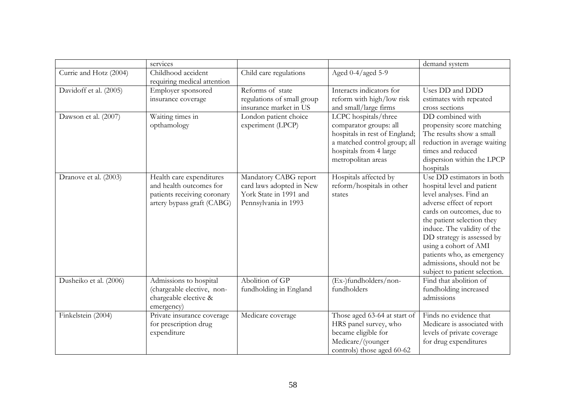|                        | services                                                                                                         |                                                                                                     |                                                                                                                                                                 | demand system                                                                                                                                                                                                                                                                                                                                               |
|------------------------|------------------------------------------------------------------------------------------------------------------|-----------------------------------------------------------------------------------------------------|-----------------------------------------------------------------------------------------------------------------------------------------------------------------|-------------------------------------------------------------------------------------------------------------------------------------------------------------------------------------------------------------------------------------------------------------------------------------------------------------------------------------------------------------|
| Currie and Hotz (2004) | Childhood accident<br>requiring medical attention                                                                | Child care regulations                                                                              | Aged 0-4/aged 5-9                                                                                                                                               |                                                                                                                                                                                                                                                                                                                                                             |
| Davidoff et al. (2005) | Employer sponsored<br>insurance coverage                                                                         | Reforms of state<br>regulations of small group<br>insurance market in US                            | Interacts indicators for<br>reform with high/low risk<br>and small/large firms                                                                                  | Uses DD and DDD<br>estimates with repeated<br>cross sections                                                                                                                                                                                                                                                                                                |
| Dawson et al. (2007)   | Waiting times in<br>opthamology                                                                                  | London patient choice<br>experiment (LPCP)                                                          | LCPC hospitals/three<br>comparator groups: all<br>hospitals in rest of England;<br>a matched control group; all<br>hospitals from 4 large<br>metropolitan areas | DD combined with<br>propensity score matching<br>The results show a small<br>reduction in average waiting<br>times and reduced<br>dispersion within the LPCP<br>hospitals                                                                                                                                                                                   |
| Dranove et al. (2003)  | Health care expenditures<br>and health outcomes for<br>patients receiving coronary<br>artery bypass graft (CABG) | Mandatory CABG report<br>card laws adopted in New<br>York State in 1991 and<br>Pennsylvania in 1993 | Hospitals affected by<br>reform/hospitals in other<br>states                                                                                                    | Use DD estimators in both<br>hospital level and patient<br>level analyses. Find an<br>adverse effect of report<br>cards on outcomes, due to<br>the patient selection they<br>induce. The validity of the<br>DD strategy is assessed by<br>using a cohort of AMI<br>patients who, as emergency<br>admissions, should not be<br>subject to patient selection. |
| Dusheiko et al. (2006) | Admissions to hospital<br>(chargeable elective, non-<br>chargeable elective &<br>emergency)                      | Abolition of GP<br>fundholding in England                                                           | (Ex-)fundholders/non-<br>fundholders                                                                                                                            | Find that abolition of<br>fundholding increased<br>admissions                                                                                                                                                                                                                                                                                               |
| Finkelstein (2004)     | Private insurance coverage<br>for prescription drug<br>expenditure                                               | Medicare coverage                                                                                   | Those aged 63-64 at start of<br>HRS panel survey, who<br>became eligible for<br>Medicare/(younger<br>controls) those aged 60-62                                 | Finds no evidence that<br>Medicare is associated with<br>levels of private coverage<br>for drug expenditures                                                                                                                                                                                                                                                |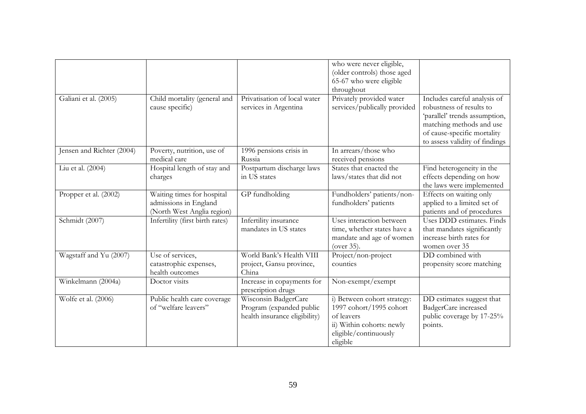|                           |                                 |                               | who were never eligible,     |                                |
|---------------------------|---------------------------------|-------------------------------|------------------------------|--------------------------------|
|                           |                                 |                               |                              |                                |
|                           |                                 |                               | (older controls) those aged  |                                |
|                           |                                 |                               | 65-67 who were eligible      |                                |
|                           |                                 |                               | throughout                   |                                |
| Galiani et al. (2005)     | Child mortality (general and    | Privatisation of local water  | Privately provided water     | Includes careful analysis of   |
|                           | cause specific)                 | services in Argentina         | services/publically provided | robustness of results to       |
|                           |                                 |                               |                              | 'parallel' trends assumption,  |
|                           |                                 |                               |                              | matching methods and use       |
|                           |                                 |                               |                              | of cause-specific mortality    |
|                           |                                 |                               |                              | to assess validity of findings |
| Jensen and Richter (2004) | Poverty, nutrition, use of      | 1996 pensions crisis in       | In arrears/those who         |                                |
|                           | medical care                    | Russia                        | received pensions            |                                |
| Liu et al. (2004)         | Hospital length of stay and     | Postpartum discharge laws     | States that enacted the      | Find heterogeneity in the      |
|                           | charges                         | in US states                  | laws/states that did not     | effects depending on how       |
|                           |                                 |                               |                              | the laws were implemented      |
| Propper et al. (2002)     | Waiting times for hospital      | GP fundholding                | Fundholders' patients/non-   | Effects on waiting only        |
|                           | admissions in England           |                               | fundholders' patients        | applied to a limited set of    |
|                           | (North West Anglia region)      |                               |                              | patients and of procedures     |
| Schmidt (2007)            | Infertility (first birth rates) | Infertility insurance         | Uses interaction between     | Uses DDD estimates. Finds      |
|                           |                                 | mandates in US states         | time, whether states have a  | that mandates significantly    |
|                           |                                 |                               | mandate and age of women     | increase birth rates for       |
|                           |                                 |                               | (over 35).                   | women over 35                  |
| Wagstaff and Yu (2007)    | Use of services,                | World Bank's Health VIII      | Project/non-project          | DD combined with               |
|                           | catastrophic expenses,          | project, Gansu province,      | counties                     | propensity score matching      |
|                           | health outcomes                 | China                         |                              |                                |
| Winkelmann (2004a)        | Doctor visits                   | Increase in copayments for    | Non-exempt/exempt            |                                |
|                           |                                 | prescription drugs            |                              |                                |
| Wolfe et al. (2006)       | Public health care coverage     | Wisconsin BadgerCare          | i) Between cohort strategy:  | DD estimates suggest that      |
|                           | of "welfare leavers"            | Program (expanded public      | 1997 cohort/1995 cohort      | BadgerCare increased           |
|                           |                                 | health insurance eligibility) | of leavers                   | public coverage by 17-25%      |
|                           |                                 |                               | ii) Within cohorts: newly    | points.                        |
|                           |                                 |                               | eligible/continuously        |                                |
|                           |                                 |                               |                              |                                |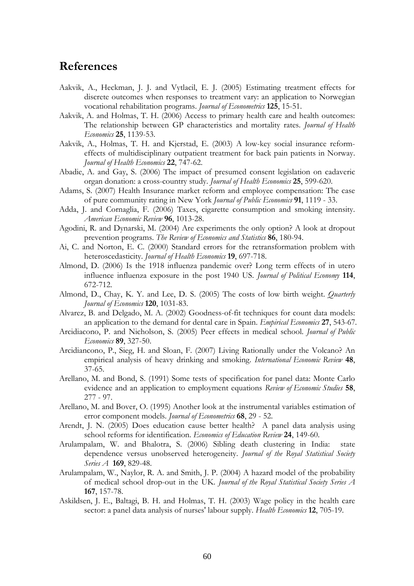## **References**

- Aakvik, A., Heckman, J. J. and Vytlacil, E. J. (2005) Estimating treatment effects for discrete outcomes when responses to treatment vary: an application to Norwegian vocational rehabilitation programs. *Journal of Econometrics* **125**, 15-51.
- Aakvik, A. and Holmas, T. H. (2006) Access to primary health care and health outcomes: The relationship between GP characteristics and mortality rates. *Journal of Health Economics* **25**, 1139-53.
- Aakvik, A., Holmas, T. H. and Kjerstad, E. (2003) A low-key social insurance reformeffects of multidisciplinary outpatient treatment for back pain patients in Norway. *Journal of Health Economics* **22**, 747-62.
- Abadie, A. and Gay, S. (2006) The impact of presumed consent legislation on cadaveric organ donation: a cross-country study. *Journal of Health Economics* **25**, 599-620.
- Adams, S. (2007) Health Insurance market reform and employee compensation: The case of pure community rating in New York *Journal of Public Economics* **91**, 1119 - 33.
- Adda, J. and Cornaglia, F. (2006) Taxes, cigarette consumption and smoking intensity. *American Economic Review* **96**, 1013-28.
- Agodini, R. and Dynarski, M. (2004) Are experiments the only option? A look at dropout prevention programs. *The Review of Economics and Statistics* **86**, 180-94.
- Ai, C. and Norton, E. C. (2000) Standard errors for the retransformation problem with heteroscedasticity. *Journal of Health Economics* **19**, 697-718.
- Almond, D. (2006) Is the 1918 influenza pandemic over? Long term effects of in utero influence influenza exposure in the post 1940 US. *Journal of Political Economy* **114**, 672-712.
- Almond, D., Chay, K. Y. and Lee, D. S. (2005) The costs of low birth weight. *Quarterly Journal of Economics* **120**, 1031-83.
- Alvarez, B. and Delgado, M. A. (2002) Goodness-of-fit techniques for count data models: an application to the demand for dental care in Spain. *Empirical Economics* **27**, 543-67.
- Arcidiacono, P. and Nicholson, S. (2005) Peer effects in medical school. *Journal of Public Economics* **89**, 327-50.
- Arcidiancono, P., Sieg, H. and Sloan, F. (2007) Living Rationally under the Volcano? An empirical analysis of heavy drinking and smoking. *International Economic Review* **48**, 37-65.
- Arellano, M. and Bond, S. (1991) Some tests of specification for panel data: Monte Carlo evidence and an application to employment equations *Review of Economic Studies* **58**, 277 - 97.
- Arellano, M. and Bover, O. (1995) Another look at the instrumental variables estimation of error component models. *Journal of Econometrics* **68**, 29 - 52.
- Arendt, J. N. (2005) Does education cause better health? A panel data analysis using school reforms for identification. *Economics of Education Review* **24**, 149-60.
- Arulampalam, W. and Bhalotra, S. (2006) Sibling death clustering in India: state dependence versus unobserved heterogeneity. *Journal of the Royal Statistical Society Series A* **169**, 829-48.
- Arulampalam, W., Naylor, R. A. and Smith, J. P. (2004) A hazard model of the probability of medical school drop-out in the UK. *Journal of the Royal Statistical Society Series A* **167**, 157-78.
- Askildsen, J. E., Baltagi, B. H. and Holmas, T. H. (2003) Wage policy in the health care sector: a panel data analysis of nurses' labour supply. *Health Economics* **12**, 705-19.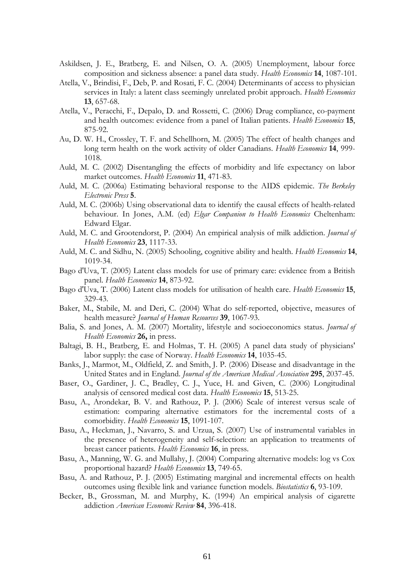- Askildsen, J. E., Bratberg, E. and Nilsen, O. A. (2005) Unemployment, labour force composition and sickness absence: a panel data study. *Health Economics* **14**, 1087-101.
- Atella, V., Brindisi, F., Deb, P. and Rosati, F. C. (2004) Determinants of access to physician services in Italy: a latent class seemingly unrelated probit approach. *Health Economics* **13**, 657-68.
- Atella, V., Peracchi, F., Depalo, D. and Rossetti, C. (2006) Drug compliance, co-payment and health outcomes: evidence from a panel of Italian patients. *Health Economics* **15**, 875-92.
- Au, D. W. H., Crossley, T. F. and Schellhorn, M. (2005) The effect of health changes and long term health on the work activity of older Canadians. *Health Economics* **14**, 999- 1018.
- Auld, M. C. (2002) Disentangling the effects of morbidity and life expectancy on labor market outcomes. *Health Economics* **11**, 471-83.
- Auld, M. C. (2006a) Estimating behavioral response to the AIDS epidemic. *The Berkeley Electronic Press* **5**.
- Auld, M. C. (2006b) Using observational data to identify the causal effects of health-related behaviour. In Jones, A.M. (ed) *Elgar Companion to Health Economics* Cheltenham: Edward Elgar.
- Auld, M. C. and Grootendorst, P. (2004) An empirical analysis of milk addiction. *Journal of Health Economics* **23**, 1117-33.
- Auld, M. C. and Sidhu, N. (2005) Schooling, cognitive ability and health. *Health Economics* **14**, 1019-34.
- Bago d'Uva, T. (2005) Latent class models for use of primary care: evidence from a British panel. *Health Economics* **14**, 873-92.
- Bago d'Uva, T. (2006) Latent class models for utilisation of health care. *Health Economics* **15**, 329-43.
- Baker, M., Stabile, M. and Deri, C. (2004) What do self-reported, objective, measures of health measure? *Journal of Human Resources* **39**, 1067-93.
- Balia, S. and Jones, A. M. (2007) Mortality, lifestyle and socioeconomics status. *Journal of Health Economics* **26,** in press.
- Baltagi, B. H., Bratberg, E. and Holmas, T. H. (2005) A panel data study of physicians' labor supply: the case of Norway. *Health Economics* **14**, 1035-45.
- Banks, J., Marmot, M., Oldfield, Z. and Smith, J. P. (2006) Disease and disadvantage in the United States and in England. *Journal of the American Medical Association* **295**, 2037-45.
- Baser, O., Gardiner, J. C., Bradley, C. J., Yuce, H. and Given, C. (2006) Longitudinal analysis of censored medical cost data. *Health Economics* **15**, 513-25.
- Basu, A., Arondekar, B. V. and Rathouz, P. J. (2006) Scale of interest versus scale of estimation: comparing alternative estimators for the incremental costs of a comorbidity. *Health Economics* **15**, 1091-107.
- Basu, A., Heckman, J., Navarro, S. and Urzua, S. (2007) Use of instrumental variables in the presence of heterogeneity and self-selection: an application to treatments of breast cancer patients. *Health Economics* **16**, in press.
- Basu, A., Manning, W. G. and Mullahy, J. (2004) Comparing alternative models: log vs Cox proportional hazard? *Health Economics* **13**, 749-65.
- Basu, A. and Rathouz, P. J. (2005) Estimating marginal and incremental effects on health outcomes using flexible link and variance function models. *Biostatistics* **6**, 93-109.
- Becker, B., Grossman, M. and Murphy, K. (1994) An empirical analysis of cigarette addiction *American Economic Review* **84**, 396-418.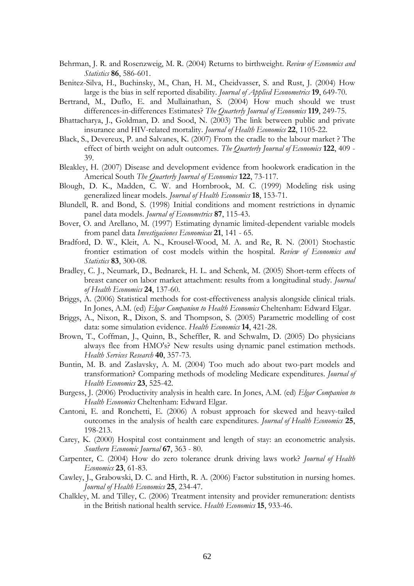- Behrman, J. R. and Rosenzweig, M. R. (2004) Returns to birthweight. *Review of Economics and Statistics* **86**, 586-601.
- Benitez-Silva, H., Buchinsky, M., Chan, H. M., Cheidvasser, S. and Rust, J. (2004) How large is the bias in self reported disability. *Journal of Applied Econometrics* **19**, 649-70.
- Bertrand, M., Duflo, E. and Mullainathan, S. (2004) How much should we trust differences-in-differences Estimates? *The Quarterly Journal of Economics* **119**, 249-75.
- Bhattacharya, J., Goldman, D. and Sood, N. (2003) The link between public and private insurance and HIV-related mortality. *Journal of Health Economics* **22**, 1105-22.
- Black, S., Devereux, P. and Salvanes, K. (2007) From the cradle to the labour market ? The effect of birth weight on adult outcomes. *The Quarterly Journal of Economics* **122**, 409 - 39.
- Bleakley, H. (2007) Disease and development evidence from hookwork eradication in the Americal South *The Quarterly Journal of Economics* **122**, 73-117.
- Blough, D. K., Madden, C. W. and Hornbrook, M. C. (1999) Modeling risk using generalized linear models. *Journal of Health Economics* **18**, 153-71.
- Blundell, R. and Bond, S. (1998) Initial conditions and moment restrictions in dynamic panel data models. *Journal of Econometrics* **87**, 115-43.
- Bover, O. and Arellano, M. (1997) Estimating dynamic limited-dependent variable models from panel data *Investigaciones Economicas* **21**, 141 - 65.
- Bradford, D. W., Kleit, A. N., Krousel-Wood, M. A. and Re, R. N. (2001) Stochastic frontier estimation of cost models within the hospital. *Review of Economics and Statistics* **83**, 300-08.
- Bradley, C. J., Neumark, D., Bednarek, H. L. and Schenk, M. (2005) Short-term effects of breast cancer on labor market attachment: results from a longitudinal study. *Journal of Health Economics* **24**, 137-60.
- Briggs, A. (2006) Statistical methods for cost-effectiveness analysis alongside clinical trials. In Jones, A.M. (ed) *Elgar Companion to Health Economics* Cheltenham: Edward Elgar.
- Briggs, A., Nixon, R., Dixon, S. and Thompson, S. (2005) Parametric modelling of cost data: some simulation evidence. *Health Economics* **14**, 421-28.
- Brown, T., Coffman, J., Quinn, B., Scheffler, R. and Schwalm, D. (2005) Do physicians always flee from HMO's? New results using dynamic panel estimation methods. *Health Services Research* **40**, 357-73.
- Buntin, M. B. and Zaslavsky, A. M. (2004) Too much ado about two-part models and transformation? Comparing methods of modeling Medicare expenditures. *Journal of Health Economics* **23**, 525-42.
- Burgess, J. (2006) Productivity analysis in health care. In Jones, A.M. (ed) *Elgar Companion to Health Economics* Cheltenham: Edward Elgar.
- Cantoni, E. and Ronchetti, E. (2006) A robust approach for skewed and heavy-tailed outcomes in the analysis of health care expenditures. *Journal of Health Economics* **25**, 198-213.
- Carey, K. (2000) Hospital cost containment and length of stay: an econometric analysis. *Southern Economic Journal* **67**, 363 - 80.
- Carpenter, C. (2004) How do zero tolerance drunk driving laws work? *Journal of Health Economics* **23**, 61-83.
- Cawley, J., Grabowski, D. C. and Hirth, R. A. (2006) Factor substitution in nursing homes. *Journal of Health Economics* **25**, 234-47.
- Chalkley, M. and Tilley, C. (2006) Treatment intensity and provider remuneration: dentists in the British national health service. *Health Economics* **15**, 933-46.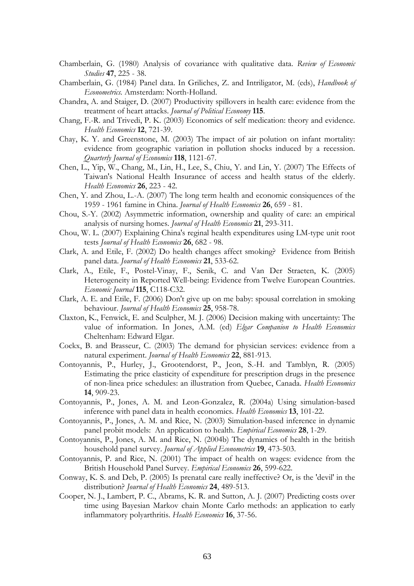- Chamberlain, G. (1980) Analysis of covariance with qualitative data. *Review of Economic Studies* **47**, 225 - 38.
- Chamberlain, G. (1984) Panel data. In Griliches, Z. and Intriligator, M. (eds), *Handbook of Econometrics.* Amsterdam: North-Holland.
- Chandra, A. and Staiger, D. (2007) Productivity spillovers in health care: evidence from the treatment of heart attacks. *Journal of Political Economy* **115**.
- Chang, F.-R. and Trivedi, P. K. (2003) Economics of self medication: theory and evidence. *Health Economics* **12**, 721-39.
- Chay, K. Y. and Greenstone, M. (2003) The impact of air polution on infant mortality: evidence from geographic variation in pollution shocks induced by a recession. *Quarterly Journal of Economics* **118**, 1121-67.
- Chen, L., Yip, W., Chang, M., Lin, H., Lee, S., Chiu, Y. and Lin, Y. (2007) The Effects of Taiwan's National Health Insurance of access and health status of the elderly. *Health Economics* **26**, 223 - 42.
- Chen, Y. and Zhou, L.-A. (2007) The long term health and economic consiquences of the 1959 - 1961 famine in China. *Journal of Health Economics* **26**, 659 - 81.
- Chou, S.-Y. (2002) Asymmetric information, ownership and quality of care: an empirical analysis of nursing homes. *Journal of Health Economics* **21**, 293-311.
- Chou, W. L. (2007) Explaining China's reginal health expenditures using LM-type unit root tests *Journal of Health Economics* **26**, 682 - 98.
- Clark, A. and Etile, F. (2002) Do health changes affect smoking? Evidence from British panel data. *Journal of Health Economics* **21**, 533-62.
- Clark, A., Etile, F., Postel-Vinay, F., Senik, C. and Van Der Straeten, K. (2005) Heterogeneity in Reported Well-being: Evidence from Twelve European Countries. *Economic Journal* **115**, C118-C32.
- Clark, A. E. and Etile, F. (2006) Don't give up on me baby: spousal correlation in smoking behaviour. *Journal of Health Economics* **25**, 958-78.
- Claxton, K., Fenwick, E. and Sculpher, M. J. (2006) Decision making with uncertainty: The value of information. In Jones, A.M. (ed) *Elgar Companion to Health Economics* Cheltenham: Edward Elgar.
- Cockx, B. and Brasseur, C. (2003) The demand for physician services: evidence from a natural experiment. *Journal of Health Economics* **22**, 881-913.
- Contoyannis, P., Hurley, J., Grootendorst, P., Jeon, S.-H. and Tamblyn, R. (2005) Estimating the price elasticity of expenditure for prescription drugs in the presence of non-linea price schedules: an illustration from Quebec, Canada. *Health Economics* **14**, 909-23.
- Contoyannis, P., Jones, A. M. and Leon-Gonzalez, R. (2004a) Using simulation-based inference with panel data in health economics. *Health Economics* **13**, 101-22.
- Contoyannis, P., Jones, A. M. and Rice, N. (2003) Simulation-based inference in dynamic panel probit models: An application to health. *Empirical Economics* **28**, 1-29.
- Contoyannis, P., Jones, A. M. and Rice, N. (2004b) The dynamics of health in the british household panel survey. *Journal of Applied Econometrics* **19**, 473-503.
- Contoyannis, P. and Rice, N. (2001) The impact of health on wages: evidence from the British Household Panel Survey. *Empirical Economics* **26**, 599-622.
- Conway, K. S. and Deb, P. (2005) Is prenatal care really ineffective? Or, is the 'devil' in the distribution? *Journal of Health Economics* **24**, 489-513.
- Cooper, N. J., Lambert, P. C., Abrams, K. R. and Sutton, A. J. (2007) Predicting costs over time using Bayesian Markov chain Monte Carlo methods: an application to early inflammatory polyarthritis. *Health Economics* **16**, 37-56.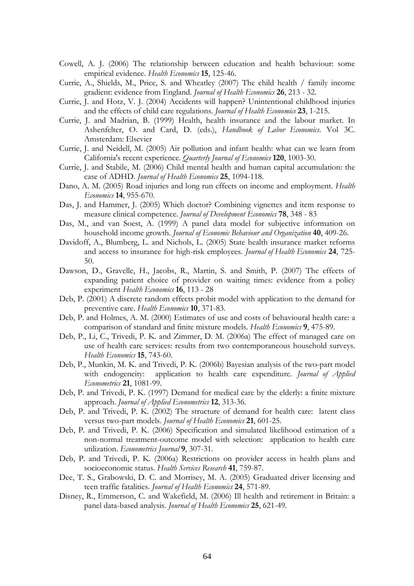- Cowell, A. J. (2006) The relationship between education and health behaviour: some empirical evidence. *Health Economics* **15**, 125-46.
- Currie, A., Shields, M., Price, S. and Wheatley (2007) The child health / family income gradient: evidence from England. *Journal of Health Economics* **26**, 213 - 32.
- Currie, J. and Hotz, V. J. (2004) Accidents will happen? Unintentional childhood injuries and the effects of child care regulations. *Journal of Health Economics* **23**, 1-215.
- Currie, J. and Madrian, B. (1999) Health, health insurance and the labour market. In Ashenfelter, O. and Card, D. (eds.), *Handbook of Labor Economics*. Vol 3C. Amsterdam: Elsevier
- Currie, J. and Neidell, M. (2005) Air pollution and infant health: what can we learn from California's recent experience. *Quarterly Journal of Economics* **120**, 1003-30.
- Currie, J. and Stabile, M. (2006) Child mental health and human capital accumulation: the case of ADHD. *Journal of Health Economics* **25**, 1094-118.
- Dano, A. M. (2005) Road injuries and long run effects on income and employment. *Health Economics* **14**, 955-670.
- Das, J. and Hammer, J. (2005) Which doctor? Combining vignettes and item response to measure clinical competence. *Journal of Development Economics* **78**, 348 - 83
- Das, M., and van Soest, A. (1999) A panel data model for subjective information on household income growth. *Journal of Economic Behaviour and Organization* **40**, 409-26.
- Davidoff, A., Blumberg, L. and Nichols, L. (2005) State health insurance market reforms and access to insurance for high-risk employees. *Journal of Health Economics* **24**, 725- 50.
- Dawson, D., Gravelle, H., Jacobs, R., Martin, S. and Smith, P. (2007) The effects of expanding patient choice of provider on waiting times: evidence from a policy experiment *Health Economics* **16**, 113 - 28
- Deb, P. (2001) A discrete random effects probit model with application to the demand for preventive care. *Health Economics* **10**, 371-83.
- Deb, P. and Holmes, A. M. (2000) Estimates of use and costs of behavioural health care: a comparison of standard and finite mixture models. *Health Economics* **9**, 475-89.
- Deb, P., Li, C., Trivedi, P. K. and Zimmer, D. M. (2006a) The effect of managed care on use of health care services: results from two contemporaneous household surveys. *Health Economics* **15**, 743-60.
- Deb, P., Munkin, M. K. and Trivedi, P. K. (2006b) Bayesian analysis of the two-part model with endogeneity: application to health care expenditure. *Journal of Applied Econometrics* **21**, 1081-99.
- Deb, P. and Trivedi, P. K. (1997) Demand for medical care by the elderly: a finite mixture approach. *Journal of Applied Econometrics* **12**, 313-36.
- Deb, P. and Trivedi, P. K. (2002) The structure of demand for health care: latent class versus two-part models. *Journal of Health Economics* **21**, 601-25.
- Deb, P. and Trivedi, P. K. (2006) Specification and simulated likelihood estimation of a non-normal treatment-outcome model with selection: application to health care utilization. *Econometrics Journal* **9**, 307-31.
- Deb, P. and Trivedi, P. K. (2006a) Restrictions on provider access in health plans and socioeconomic status. *Health Services Research* **41**, 759-87.
- Dee, T. S., Grabowski, D. C. and Morrisey, M. A. (2005) Graduated driver licensing and teen traffic fatalities. *Journal of Health Economics* **24**, 571-89.
- Disney, R., Emmerson, C. and Wakefield, M. (2006) Ill health and retirement in Britain: a panel data-based analysis. *Journal of Health Economics* **25**, 621-49.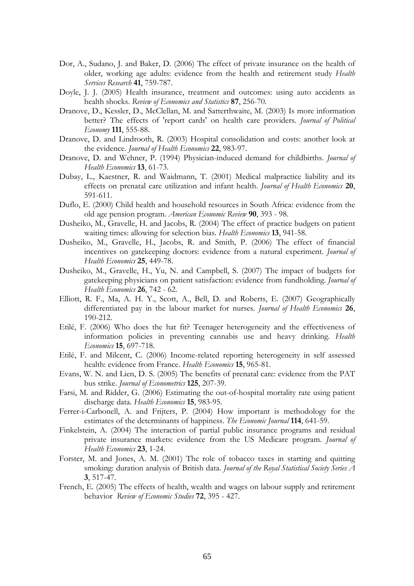- Dor, A., Sudano, J. and Baker, D. (2006) The effect of private insurance on the health of older, working age adults: evidence from the health and retirement study *Health Services Research* **41**, 759-787.
- Doyle, J. J. (2005) Health insurance, treatment and outcomes: using auto accidents as health shocks. *Review of Economics and Statistics* **87**, 256-70.
- Dranove, D., Kessler, D., McClellan, M. and Satterthwaite, M. (2003) Is more information better? The effects of 'report cards' on health care providers. *Journal of Political Economy* **111**, 555-88.
- Dranove, D. and Lindrooth, R. (2003) Hospital consolidation and costs: another look at the evidence. *Journal of Health Economics* **22**, 983-97.
- Dranove, D. and Wehner, P. (1994) Physician-induced demand for childbirths. *Journal of Health Economics* **13**, 61-73.
- Dubay, L., Kaestner, R. and Waidmann, T. (2001) Medical malpractice liability and its effects on prenatal care utilization and infant health. *Journal of Health Economics* **20**, 591-611.
- Duflo, E. (2000) Child health and household resources in South Africa: evidence from the old age pension program. *American Economic Review* **90**, 393 - 98.
- Dusheiko, M., Gravelle, H. and Jacobs, R. (2004) The effect of practice budgets on patient waiting times: allowing for selection bias. *Health Economics* **13**, 941-58.
- Dusheiko, M., Gravelle, H., Jacobs, R. and Smith, P. (2006) The effect of financial incentives on gatekeeping doctors: evidence from a natural experiment. *Journal of Health Economics* **25**, 449-78.
- Dusheiko, M., Gravelle, H., Yu, N. and Campbell, S. (2007) The impact of budgets for gatekeeping physicians on patient satisfaction: evidence from fundholding. *Journal of Health Economics* **26**, 742 - 62.
- Elliott, R. F., Ma, A. H. Y., Scott, A., Bell, D. and Roberts, E. (2007) Geographically differentiated pay in the labour market for nurses. *Journal of Health Economics* **26**, 190-212.
- Etilé, F. (2006) Who does the hat fit? Teenager heterogeneity and the effectiveness of information policies in preventing cannabis use and heavy drinking. *Health Economics* **15**, 697-718.
- Etilé, F. and Milcent, C. (2006) Income-related reporting heterogeneity in self assessed health: evidence from France. *Health Economics* **15**, 965-81.
- Evans, W. N. and Lien, D. S. (2005) The benefits of prenatal care: evidence from the PAT bus strike. *Journal of Econometrics* **125**, 207-39.
- Farsi, M. and Ridder, G. (2006) Estimating the out-of-hospital mortality rate using patient discharge data. *Health Economics* **15**, 983-95.
- Ferrer-i-Carbonell, A. and Frijters, P. (2004) How important is methodology for the estimates of the determinants of happiness. *The Economic Journal* **114**, 641-59.
- Finkelstein, A. (2004) The interaction of partial public insurance programs and residual private insurance markets: evidence from the US Medicare program. *Journal of Health Economics* **23**, 1-24.
- Forster, M. and Jones, A. M. (2001) The role of tobacco taxes in starting and quitting smoking: duration analysis of British data. *Journal of the Royal Statistical Society Series A* **3**, 517-47.
- French, E. (2005) The effects of health, wealth and wages on labour supply and retirement behavior *Review of Economic Studies* **72**, 395 - 427.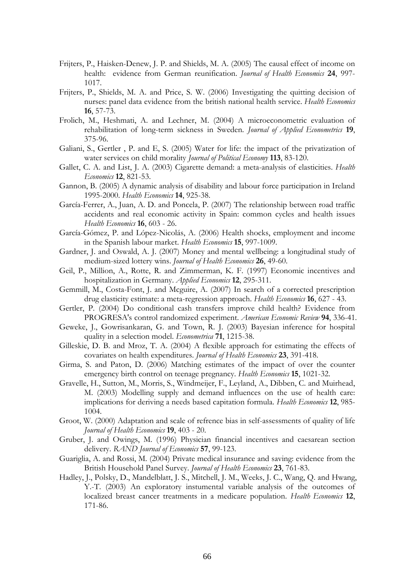- Frijters, P., Haisken-Denew, J. P. and Shields, M. A. (2005) The causal effect of income on health: evidence from German reunification. *Journal of Health Economics* **24**, 997- 1017.
- Frijters, P., Shields, M. A. and Price, S. W. (2006) Investigating the quitting decision of nurses: panel data evidence from the british national health service. *Health Economics* **16**, 57-73.
- Frolich, M., Heshmati, A. and Lechner, M. (2004) A microeconometric evaluation of rehabilitation of long-term sickness in Sweden. *Journal of Applied Econometrics* **19**, 375-96.
- Galiani, S., Gertler , P. and E, S. (2005) Water for life: the impact of the privatization of water services on child morality *Journal of Political Economy* **113**, 83-120.
- Gallet, C. A. and List, J. A. (2003) Cigarette demand: a meta-analysis of elasticities. *Health Economics* **12**, 821-53.
- Gannon, B. (2005) A dynamic analysis of disability and labour force participation in Ireland 1995-2000. *Health Economics* **14**, 925-38.
- García-Ferrer, A., Juan, A. D. and Poncela, P. (2007) The relationship between road traffic accidents and real economic activity in Spain: common cycles and health issues *Health Economics* **16**, 603 - 26.
- García-Gómez, P. and López-Nicolás, A. (2006) Health shocks, employment and income in the Spanish labour market. *Health Economics* **15**, 997-1009.
- Gardner, J. and Oswald, A. J. (2007) Money and mental wellbeing: a longitudinal study of medium-sized lottery wins. *Journal of Health Economics* **26**, 49-60.
- Geil, P., Million, A., Rotte, R. and Zimmerman, K. F. (1997) Economic incentives and hospitalization in Germany. *Applied Economics* **12**, 295-311.
- Gemmill, M., Costa-Font, J. and Mcguire, A. (2007) In search of a corrected prescription drug elasticity estimate: a meta-regression approach. *Health Economics* **16**, 627 - 43.
- Gertler, P. (2004) Do conditional cash transfers improve child health? Evidence from PROGRESA's control randomized experiment. *American Economic Review* **94**, 336-41.
- Geweke, J., Gowrisankaran, G. and Town, R. J. (2003) Bayesian inference for hospital quality in a selection model. *Econometrica* **71**, 1215-38.
- Gilleskie, D. B. and Mroz, T. A. (2004) A flexible approach for estimating the effects of covariates on health expenditures. *Journal of Health Economics* **23**, 391-418.
- Girma, S. and Paton, D. (2006) Matching estimates of the impact of over the counter emergency birth control on teenage pregnancy. *Health Economics* **15**, 1021-32.
- Gravelle, H., Sutton, M., Morris, S., Windmeijer, F., Leyland, A., Dibben, C. and Muirhead, M. (2003) Modelling supply and demand influences on the use of health care: implications for deriving a needs based capitation formula. *Health Economics* **12**, 985- 1004.
- Groot, W. (2000) Adaptation and scale of refrence bias in self-assessments of quality of life *Journal of Health Economics* **19**, 403 - 20.
- Gruber, J. and Owings, M. (1996) Physician financial incentives and caesarean section delivery. *RAND Journal of Economics* **57**, 99-123.
- Guariglia, A. and Rossi, M. (2004) Private medical insurance and saving: evidence from the British Household Panel Survey. *Journal of Health Economics* **23**, 761-83.
- Hadley, J., Polsky, D., Mandelblatt, J. S., Mitchell, J. M., Weeks, J. C., Wang, Q. and Hwang, Y.-T. (2003) An exploratory instumental variable analysis of the outcomes of localized breast cancer treatments in a medicare population. *Health Economics* **12**, 171-86.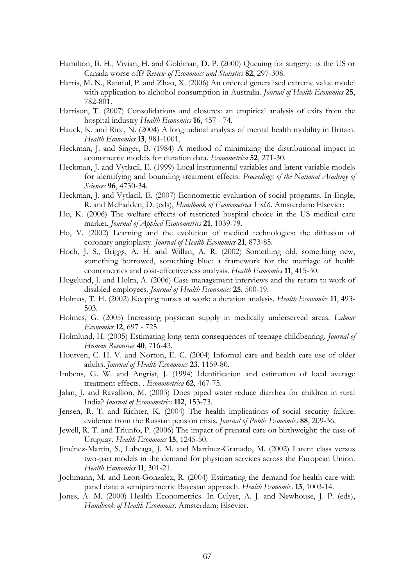- Hamilton, B. H., Vivian, H. and Goldman, D. P. (2000) Queuing for surgery: is the US or Canada worse off? *Review of Economics and Statistics* **82**, 297-308.
- Harris, M. N., Ramful, P. and Zhao, X. (2006) An ordered generalised extreme value model with application to alchohol consumption in Australia. *Journal of Health Economics* **25**, 782-801.
- Harrison, T. (2007) Consolidations and closures: an empirical analysis of exits from the hospital industry *Health Economics* **16**, 457 - 74.
- Hauck, K. and Rice, N. (2004) A longitudinal analysis of mental health mobility in Britain. *Health Economics* **13**, 981-1001.
- Heckman, J. and Singer, B. (1984) A method of minimizing the distributional impact in econometric models for duration data. *Econometrica* **52**, 271-30.
- Heckman, J. and Vytlacil, E. (1999) Local instrumental variables and latent variable models for identifying and bounding treatment effects. *Proceedings of the National Academy of Sciences* **96**, 4730-34.
- Heckman, J. and Vytlacil, E. (2007) Econometric evaluation of social programs. In Engle, R. and McFadden, D. (eds), *Handbook of Econometrics Vol.6.* Amsterdam: Elsevier:
- Ho, K. (2006) The welfare effects of restricted hospital choice in the US medical care market. *Journal of Applied Econometrics* **21**, 1039-79.
- Ho, V. (2002) Learning and the evolution of medical technologies: the diffusion of coronary angioplasty. *Journal of Health Economics* **21**, 873-85.
- Hoch, J. S., Briggs, A. H. and Willan, A. R. (2002) Something old, something new, something borrowed, something blue: a framework for the marriage of health econometrics and cost-effectiveness analysis. *Health Economics* **11**, 415-30.
- Hogelund, J. and Holm, A. (2006) Case management interviews and the return to work of disabled employees. *Journal of Health Economics* **25**, 500-19.
- Holmas, T. H. (2002) Keeping nurses at work: a duration analysis. *Health Economics* **11**, 493- 503.
- Holmes, G. (2005) Increasing physician supply in medically underserved areas. *Labour Economics* **12**, 697 - 725.
- Holmlund, H. (2005) Estimating long-term consequences of teenage childbearing. *Journal of Human Resources* **40**, 716-43.
- Houtven, C. H. V. and Norton, E. C. (2004) Informal care and health care use of older adults. *Journal of Health Economics* **23**, 1159-80.
- Imbens, G. W. and Angrist, J. (1994) Identification and estimation of local average treatment effects. . *Econometrica* **62**, 467-75.
- Jalan, J. and Ravallion, M. (2003) Does piped water reduce diarrhea for children in rural India? *Journal of Econometrics* **112**, 153-73.
- Jensen, R. T. and Richter, K. (2004) The health implications of social security failure: evidence from the Russian pension crisis. *Journal of Public Economics* **88**, 209-36.
- Jewell, R. T. and Triunfo, P. (2006) The impact of prenatal care on birthweight: the case of Uruguay. *Health Economics* **15**, 1245-50.
- Jiménez-Martin, S., Labeaga, J. M. and Martínez-Granado, M. (2002) Latent class versus two-part models in the demand for physician services across the European Union. *Health Economics* **11**, 301-21.
- Jochmann, M. and Leon-Gonzalez, R. (2004) Estimating the demand for health care with panel data: a semiparametric Bayesian approach. *Health Economics* **13**, 1003-14.
- Jones, A. M. (2000) Health Econometrics. In Culyer, A. J. and Newhouse, J. P. (eds), *Handbook of Health Economics.* Amsterdam: Elsevier.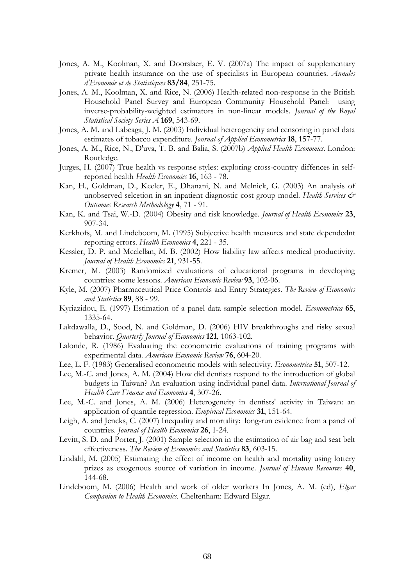- Jones, A. M., Koolman, X. and Doorslaer, E. V. (2007a) The impact of supplementary private health insurance on the use of specialists in European countries. *Annales d'Economie et de Statistiques* **83/84**, 251-75.
- Jones, A. M., Koolman, X. and Rice, N. (2006) Health-related non-response in the British Household Panel Survey and European Community Household Panel: using inverse-probability-weighted estimators in non-linear models. *Journal of the Royal Statistical Society Series A* **169**, 543-69.
- Jones, A. M. and Labeaga, J. M. (2003) Individual heterogeneity and censoring in panel data estimates of tobacco expenditure. *Journal of Applied Econometrics* **18**, 157-77.
- Jones, A. M., Rice, N., D'uva, T. B. and Balia, S. (2007b) *Applied Health Economics.* London: Routledge.
- Jurges, H. (2007) True health vs response styles: exploring cross-country diffences in selfreported health *Health Economics* **16**, 163 - 78.
- Kan, H., Goldman, D., Keeler, E., Dhanani, N. and Melnick, G. (2003) An analysis of unobserved selcetion in an inpatient diagnostic cost group model. *Health Services*  $\mathcal{O}^*$ *Outcomes Research Methodology* **4**, 71 - 91.
- Kan, K. and Tsai, W.-D. (2004) Obesity and risk knowledge. *Journal of Health Economics* **23**, 907-34.
- Kerkhofs, M. and Lindeboom, M. (1995) Subjective health measures and state dependednt reporting errors. *Health Economics* **4**, 221 - 35.
- Kessler, D. P. and Mcclellan, M. B. (2002) How liability law affects medical productivity. *Journal of Health Economics* **21**, 931-55.
- Kremer, M. (2003) Randomized evaluations of educational programs in developing countries: some lessons. *American Economic Review* **93**, 102-06.
- Kyle, M. (2007) Pharmaceutical Price Controls and Entry Strategies. *The Review of Economics and Statistics* **89**, 88 - 99.
- Kyriazidou, E. (1997) Estimation of a panel data sample selection model. *Econometrica* **65**, 1335-64.
- Lakdawalla, D., Sood, N. and Goldman, D. (2006) HIV breakthroughs and risky sexual behavior. *Quarterly Journal of Economics* **121**, 1063-102.
- Lalonde, R. (1986) Evaluating the econometric evaluations of training programs with experimental data. *American Economic Review* **76**, 604-20.
- Lee, L. F. (1983) Generalised econometric models with selectivity. *Econometrica* **51**, 507-12.
- Lee, M.-C. and Jones, A. M. (2004) How did dentists respond to the introduction of global budgets in Taiwan? An evaluation using individual panel data. *International Journal of Health Care Finance and Economics* **4**, 307-26.
- Lee, M.-C. and Jones, A. M. (2006) Heterogeneity in dentists' activity in Taiwan: an application of quantile regression. *Empirical Economics* **31**, 151-64.
- Leigh, A. and Jencks, C. (2007) Inequality and mortality: long-run evidence from a panel of countries. *Journal of Health Economics* **26**, 1-24.
- Levitt, S. D. and Porter, J. (2001) Sample selection in the estimation of air bag and seat belt effectiveness. *The Review of Economics and Statistics* **83**, 603-15.
- Lindahl, M. (2005) Estimating the effect of income on health and mortality using lottery prizes as exogenous source of variation in income. *Journal of Human Resources* **40**, 144-68.
- Lindeboom, M. (2006) Health and work of older workers In Jones, A. M. (ed), *Elgar Companion to Health Economics.* Cheltenham: Edward Elgar.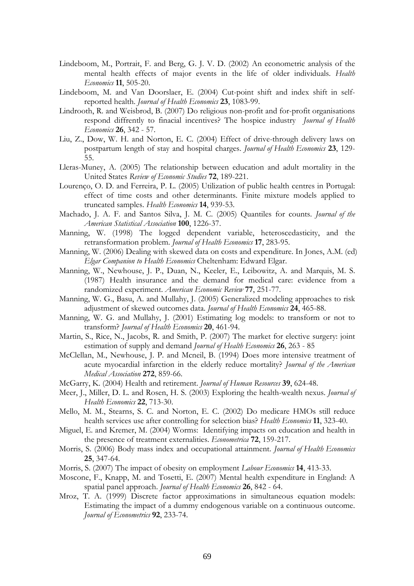- Lindeboom, M., Portrait, F. and Berg, G. J. V. D. (2002) An econometric analysis of the mental health effects of major events in the life of older individuals. *Health Economics* **11**, 505-20.
- Lindeboom, M. and Van Doorslaer, E. (2004) Cut-point shift and index shift in selfreported health. *Journal of Health Economics* **23**, 1083-99.
- Lindrooth, R. and Weisbrod, B. (2007) Do religious non-profit and for-profit organisations respond diffrently to finacial incentives? The hospice industry *Journal of Health Economics* **26**, 342 - 57.
- Liu, Z., Dow, W. H. and Norton, E. C. (2004) Effect of drive-through delivery laws on postpartum length of stay and hospital charges. *Journal of Health Economics* **23**, 129- 55.
- Lleras-Muney, A. (2005) The relationship between education and adult mortality in the United States *Review of Economic Studies* **72**, 189-221.
- Lourenço, O. D. and Ferreira, P. L. (2005) Utilization of public health centres in Portugal: effect of time costs and other determinants. Finite mixture models applied to truncated samples. *Health Economics* **14**, 939-53.
- Machado, J. A. F. and Santos Silva, J. M. C. (2005) Quantiles for counts. *Journal of the American Statistical Association* **100**, 1226-37.
- Manning, W. (1998) The logged dependent variable, heteroscedasticity, and the retransformation problem. *Journal of Health Economics* **17**, 283-95.
- Manning, W. (2006) Dealing with skewed data on costs and expenditure. In Jones, A.M. (ed) *Elgar Companion to Health Economics* Cheltenham: Edward Elgar.
- Manning, W., Newhouse, J. P., Duan, N., Keeler, E., Leibowitz, A. and Marquis, M. S. (1987) Health insurance and the demand for medical care: evidence from a randomized experiment. *American Economic Review* **77**, 251-77.
- Manning, W. G., Basu, A. and Mullahy, J. (2005) Generalized modeling approaches to risk adjustment of skewed outcomes data. *Journal of Health Economics* **24**, 465-88.
- Manning, W. G. and Mullahy, J. (2001) Estimating log models: to transform or not to transform? *Journal of Health Economics* **20**, 461-94.
- Martin, S., Rice, N., Jacobs, R. and Smith, P. (2007) The market for elective surgery: joint estimation of supply and demand *Journal of Health Economics* **26**, 263 - 85
- McClellan, M., Newhouse, J. P. and Mcneil, B. (1994) Does more intensive treatment of acute myocardial infarction in the elderly reduce mortality? *Journal of the American Medical Association* **272**, 859-66.
- McGarry, K. (2004) Health and retirement. *Journal of Human Resources* **39**, 624-48.
- Meer, J., Miller, D. L. and Rosen, H. S. (2003) Exploring the health-wealth nexus. *Journal of Health Economics* **22**, 713-30.
- Mello, M. M., Stearns, S. C. and Norton, E. C. (2002) Do medicare HMOs still reduce health services use after controlling for selection bias? *Health Economics* **11**, 323-40.
- Miguel, E. and Kremer, M. (2004) Worms: Identifying impacts on education and health in the presence of treatment externalities. *Econometrica* **72**, 159-217.
- Morris, S. (2006) Body mass index and occupational attainment. *Journal of Health Economics* **25**, 347-64.
- Morris, S. (2007) The impact of obesity on employment *Labour Economics* **14**, 413-33.
- Moscone, F., Knapp, M. and Tosetti, E. (2007) Mental health expenditure in England: A spatial panel approach. *Journal of Health Economics* **26**, 842 - 64.
- Mroz, T. A. (1999) Discrete factor approximations in simultaneous equation models: Estimating the impact of a dummy endogenous variable on a continuous outcome. *Journal of Econometrics* **92**, 233-74.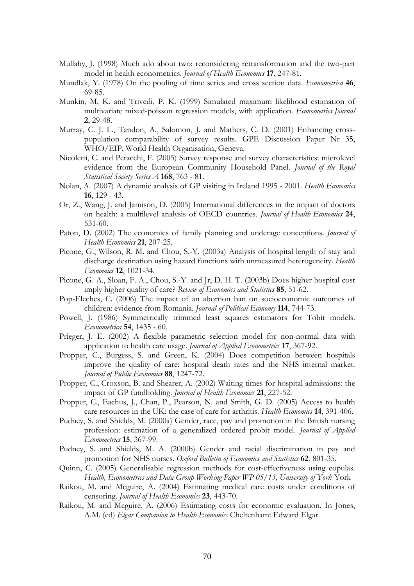- Mullahy, J. (1998) Much ado about two: reconsidering retransformation and the two-part model in health econometrics. *Journal of Health Economics* **17**, 247-81.
- Mundlak, Y. (1978) On the pooling of time series and cross section data. *Econometrica* **46**, 69-85.
- Munkin, M. K. and Trivedi, P. K. (1999) Simulated maximum likelihood estimation of multivariate mixed-poisson regression models, with application. *Econometrics Journal* **2**, 29-48.
- Murray, C. J. L., Tandon, A., Salomon, J. and Mathers, C. D. (2001) Enhancing crosspopulation comparability of survey results. GPE Discussion Paper Nr 35, WHO/EIP, World Health Organisation, Geneva.
- Nicoletti, C. and Peracchi, F. (2005) Survey response and survey characteristics: microlevel evidence from the European Community Household Panel. *Journal of the Royal Statistical Society Series A* **168**, 763 - 81.
- Nolan, A. (2007) A dynamic analysis of GP visiting in Ireland 1995 2001. *Health Economics* **16**, 129 - 43.
- Or, Z., Wang, J. and Jamison, D. (2005) International differences in the impact of doctors on health: a multilevel analysis of OECD countries. *Journal of Health Economics* **24**, 531-60.
- Paton, D. (2002) The economics of family planning and underage conceptions. *Journal of Health Economics* **21**, 207-25.
- Picone, G., Wilson, R. M. and Chou, S.-Y. (2003a) Analysis of hospital length of stay and discharge destination using hazard functions with unmeasured heterogeneity. *Health Economics* **12**, 1021-34.
- Picone, G. A., Sloan, F. A., Chou, S.-Y. and Jr, D. H. T. (2003b) Does higher hospital cost imply higher quality of care? *Review of Economics and Statistics* **85**, 51-62.
- Pop-Eleches, C. (2006) The impact of an abortion ban on socioeconomic outcomes of children: evidence from Romania. *Journal of Political Economy* **114**, 744-73.
- Powell, J. (1986) Symmetrically trimmed least squares estimators for Tobit models. *Econometrica* **54**, 1435 - 60.
- Prieger, J. E. (2002) A flexible parametric selection model for non-normal data with application to health care usage. *Journal of Applied Econometrics* **17**, 367-92.
- Propper, C., Burgess, S. and Green, K. (2004) Does competition between hospitals improve the quality of care: hospital death rates and the NHS internal market. *Journal of Public Economics* **88**, 1247-72.
- Propper, C., Croxson, B. and Shearer, A. (2002) Waiting times for hospital admissions: the impact of GP fundholding. *Journal of Health Economics* **21**, 227-52.
- Propper, C., Eachus, J., Chan, P., Pearson, N. and Smith, G. D. (2005) Access to health care resources in the UK: the case of care for arthritis. *Health Economics* **14**, 391-406.
- Pudney, S. and Shields, M. (2000a) Gender, race, pay and promotion in the British nursing profession: estimation of a generalized ordered probit model. *Journal of Applied Econometrics* **15**, 367-99.
- Pudney, S. and Shields, M. A. (2000b) Gender and racial discrimination in pay and promotion for NHS nurses. *Oxford Bulletin of Economics and Statistics* **62**, 801-35.
- Quinn, C. (2005) Generalisable regression methods for cost-effectiveness using copulas. *Health, Econometrics and Data Group Working Paper WP 05/13, University of York* York
- Raikou, M. and Mcguire, A. (2004) Estimating medical care costs under conditions of censoring. *Journal of Health Economics* **23**, 443-70.
- Raikou, M. and Mcguire, A. (2006) Estimating costs for economic evaluation. In Jones, A.M. (ed) *Elgar Companion to Health Economics* Cheltenham: Edward Elgar.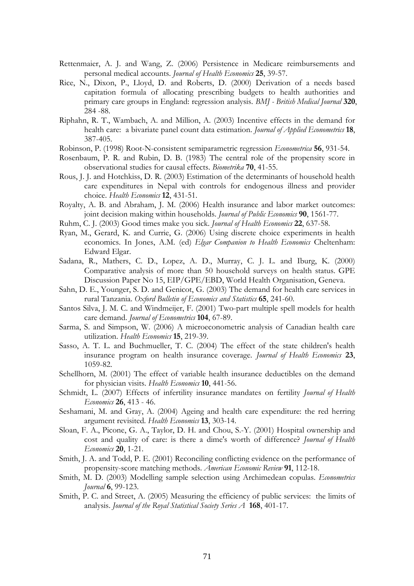- Rettenmaier, A. J. and Wang, Z. (2006) Persistence in Medicare reimbursements and personal medical accounts. *Journal of Health Economics* **25**, 39-57.
- Rice, N., Dixon, P., Lloyd, D. and Roberts, D. (2000) Derivation of a needs based capitation formula of allocating prescribing budgets to health authorities and primary care groups in England: regression analysis. *BMJ - British Medical Journal* **320**, 284 -88.
- Riphahn, R. T., Wambach, A. and Million, A. (2003) Incentive effects in the demand for health care: a bivariate panel count data estimation. *Journal of Applied Econometrics* **18**, 387-405.
- Robinson, P. (1998) Root-N-consistent semiparametric regression *Econometrica* **56**, 931-54.
- Rosenbaum, P. R. and Rubin, D. B. (1983) The central role of the propensity score in observational studies for causal effects. *Biometrika* **70**, 41-55.
- Rous, J. J. and Hotchkiss, D. R. (2003) Estimation of the determinants of household health care expenditures in Nepal with controls for endogenous illness and provider choice. *Health Economics* **12**, 431-51.
- Royalty, A. B. and Abraham, J. M. (2006) Health insurance and labor market outcomes: joint decision making within households. *Journal of Public Economics* **90**, 1561-77.
- Ruhm, C. J. (2003) Good times make you sick. *Journal of Health Economics* **22**, 637-58.
- Ryan, M., Gerard, K. and Currie, G. (2006) Using discrete choice experiments in health economics. In Jones, A.M. (ed) *Elgar Companion to Health Economics* Cheltenham: Edward Elgar.
- Sadana, R., Mathers, C. D., Lopez, A. D., Murray, C. J. L. and Iburg, K. (2000) Comparative analysis of more than 50 household surveys on health status. GPE Discussion Paper No 15, EIP/GPE/EBD, World Health Organisation, Geneva.
- Sahn, D. E., Younger, S. D. and Genicot, G. (2003) The demand for health care services in rural Tanzania. *Oxford Bulletin of Economics and Statistics* **65**, 241-60.
- Santos Silva, J. M. C. and Windmeijer, F. (2001) Two-part multiple spell models for health care demand. *Journal of Econometrics* **104**, 67-89.
- Sarma, S. and Simpson, W. (2006) A microeconometric analysis of Canadian health care utilization. *Health Economics* **15**, 219-39.
- Sasso, A. T. L. and Buchmueller, T. C. (2004) The effect of the state children's health insurance program on health insurance coverage. *Journal of Health Economics* **23**, 1059-82.
- Schellhorn, M. (2001) The effect of variable health insurance deductibles on the demand for physician visits. *Health Economics* **10**, 441-56.
- Schmidt, L. (2007) Effects of infertility insurance mandates on fertility *Journal of Health Economics* **26**, 413 - 46.
- Seshamani, M. and Gray, A. (2004) Ageing and health care expenditure: the red herring argument revisited. *Health Economics* **13**, 303-14.
- Sloan, F. A., Picone, G. A., Taylor, D. H. and Chou, S.-Y. (2001) Hospital ownership and cost and quality of care: is there a dime's worth of difference? *Journal of Health Economics* **20**, 1-21.
- Smith, J. A. and Todd, P. E. (2001) Reconciling conflicting evidence on the performance of propensity-score matching methods. *American Economic Review* **91**, 112-18.
- Smith, M. D. (2003) Modelling sample selection using Archimedean copulas. *Econometrics Journal* **6**, 99-123.
- Smith, P. C. and Street, A. (2005) Measuring the efficiency of public services: the limits of analysis. *Journal of the Royal Statistical Society Series A* **168**, 401-17.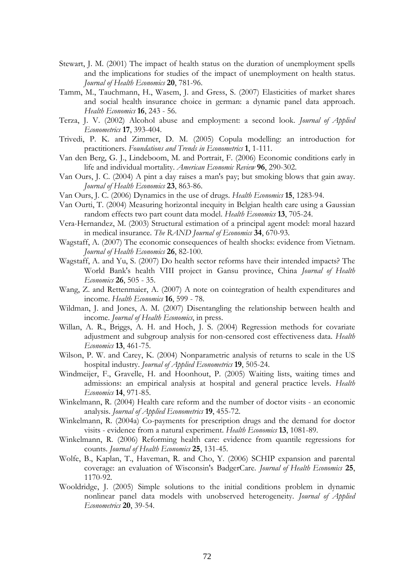- Stewart, J. M. (2001) The impact of health status on the duration of unemployment spells and the implications for studies of the impact of unemployment on health status. *Journal of Health Economics* **20**, 781-96.
- Tamm, M., Tauchmann, H., Wasem, J. and Gress, S. (2007) Elasticities of market shares and social health insurance choice in german: a dynamic panel data approach. *Health Economics* **16**, 243 - 56.
- Terza, J. V. (2002) Alcohol abuse and employment: a second look. *Journal of Applied Econometrics* **17**, 393-404.
- Trivedi, P. K. and Zimmer, D. M. (2005) Copula modelling: an introduction for practitioners. *Foundations and Trends in Econometrics* **1**, 1-111.
- Van den Berg, G. J., Lindeboom, M. and Portrait, F. (2006) Economic conditions early in life and individual mortality. *American Economic Review* **96**, 290-302.
- Van Ours, J. C. (2004) A pint a day raises a man's pay; but smoking blows that gain away. *Journal of Health Economics* **23**, 863-86.
- Van Ours, J. C. (2006) Dynamics in the use of drugs. *Health Economics* **15**, 1283-94.
- Van Ourti, T. (2004) Measuring horizontal inequity in Belgian health care using a Gaussian random effects two part count data model. *Health Economics* **13**, 705-24.
- Vera-Hernandez, M. (2003) Structural estimation of a principal agent model: moral hazard in medical insurance. *The RAND Journal of Economics* **34**, 670-93.
- Wagstaff, A. (2007) The economic consequences of health shocks: evidence from Vietnam. *Journal of Health Economics* **26**, 82-100.
- Wagstaff, A. and Yu, S. (2007) Do health sector reforms have their intended impacts? The World Bank's health VIII project in Gansu province, China *Journal of Health Economics* **26**, 505 - 35.
- Wang, Z. and Rettenmaier, A. (2007) A note on cointegration of health expenditures and income. *Health Economics* **16**, 599 - 78.
- Wildman, J. and Jones, A. M. (2007) Disentangling the relationship between health and income. *Journal of Health Economics*, in press.
- Willan, A. R., Briggs, A. H. and Hoch, J. S. (2004) Regression methods for covariate adjustment and subgroup analysis for non-censored cost effectiveness data. *Health Economics* **13**, 461-75.
- Wilson, P. W. and Carey, K. (2004) Nonparametric analysis of returns to scale in the US hospital industry. *Journal of Applied Econometrics* **19**, 505-24.
- Windmeijer, F., Gravelle, H. and Hoonhout, P. (2005) Waiting lists, waiting times and admissions: an empirical analysis at hospital and general practice levels. *Health Economics* **14**, 971-85.
- Winkelmann, R. (2004) Health care reform and the number of doctor visits an economic analysis. *Journal of Applied Econometrics* **19**, 455-72.
- Winkelmann, R. (2004a) Co-payments for prescription drugs and the demand for doctor visits - evidence from a natural experiment. *Health Economics* **13**, 1081-89.
- Winkelmann, R. (2006) Reforming health care: evidence from quantile regressions for counts. *Journal of Health Economics* **25**, 131-45.
- Wolfe, B., Kaplan, T., Haveman, R. and Cho, Y. (2006) SCHIP expansion and parental coverage: an evaluation of Wisconsin's BadgerCare. *Journal of Health Economics* **25**, 1170-92.
- Wooldridge, J. (2005) Simple solutions to the initial conditions problem in dynamic nonlinear panel data models with unobserved heterogeneity. *Journal of Applied Econometrics* **20**, 39-54.